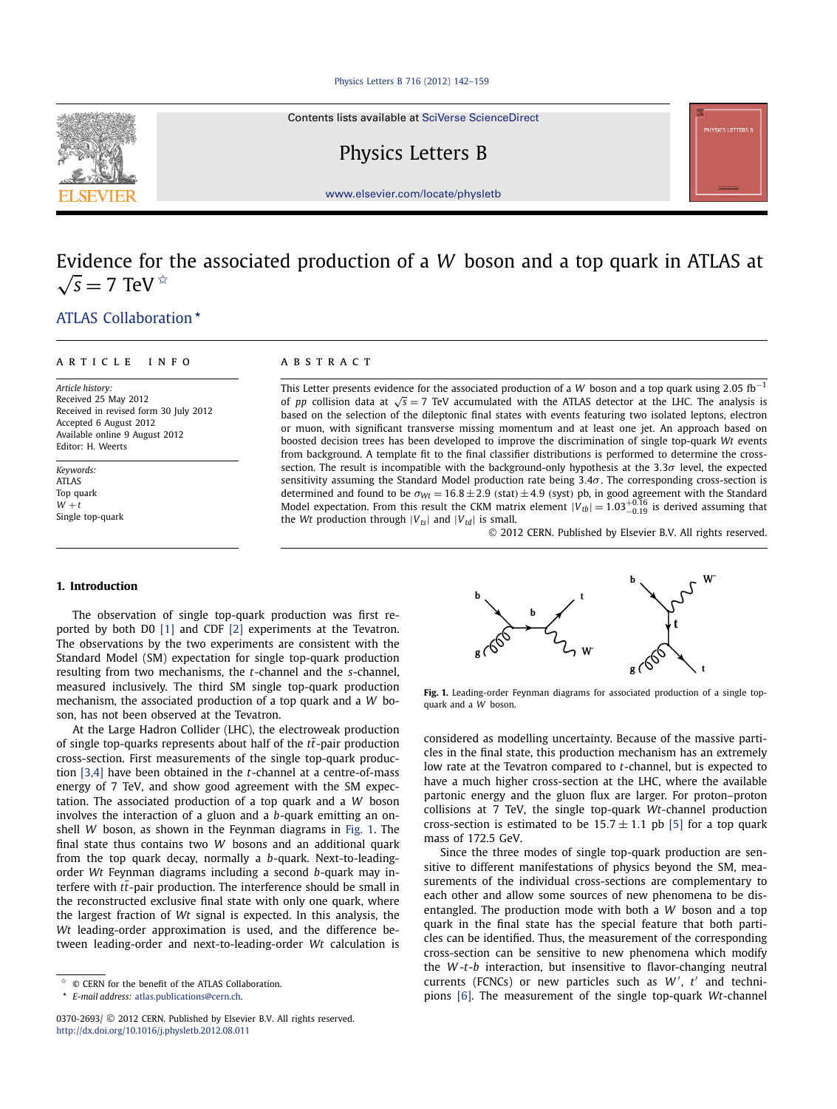Contents lists available at [SciVerse ScienceDirect](http://www.ScienceDirect.com/)

Physics Letters B



[www.elsevier.com/locate/physletb](http://www.elsevier.com/locate/physletb)

# Evidence for the associated production of a *W* boson and a top quark in ATLAS at  $\sqrt{s} = 7$  TeV  $\overline{x}$

# [.ATLAS Collaboration](#page-6-0) *-*

# article info abstract

*Article history:* Received 25 May 2012 Received in revised form 30 July 2012 Accepted 6 August 2012 Available online 9 August 2012 Editor: H. Weerts

*Keywords:* ATLAS Top quark  $W + t$ Single top-quark

This Letter presents evidence for the associated production of a *W* boson and a top quark using 2*.*05 fb−<sup>1</sup> of *pp* collision data at  $\sqrt{s}$  = 7 TeV accumulated with the ATLAS detector at the LHC. The analysis is based on the selection of the dileptonic final states with events featuring two isolated leptons, electron or muon, with significant transverse missing momentum and at least one jet. An approach based on boosted decision trees has been developed to improve the discrimination of single top-quark *Wt* events from background. A template fit to the final classifier distributions is performed to determine the crosssection. The result is incompatible with the background-only hypothesis at the 3*.*3*σ* level, the expected sensitivity assuming the Standard Model production rate being 3*.*4*σ*. The corresponding cross-section is determined and found to be  $\sigma_{Wt} = 16.8 \pm 2.9$  *(stat)* $\pm 4.9$  *(syst)* pb, in good agreement with the Standard Model expectation. From this result the CKM matrix element  $|V_{tb}| = 1.03_{-0.19}^{+0.16}$  is derived assuming that the *Wh* are destined the unit *W* and *W* discussion of the unit *M* is exactly the *Wt* production through  $|V_{ts}|$  and  $|V_{td}|$  is small.

© 2012 CERN. Published by Elsevier B.V. All rights reserved.

# **1. Introduction**

The observation of single top-quark production was first reported by both D0 [\[1\]](#page-5-0) and CDF [\[2\]](#page-5-0) experiments at the Tevatron. The observations by the two experiments are consistent with the Standard Model (SM) expectation for single top-quark production resulting from two mechanisms, the *t*-channel and the *s*-channel, measured inclusively. The third SM single top-quark production mechanism, the associated production of a top quark and a *W* boson, has not been observed at the Tevatron.

At the Large Hadron Collider (LHC), the electroweak production of single top-quarks represents about half of the  $t\bar{t}$ -pair production cross-section. First measurements of the single top-quark production [\[3,4\]](#page-5-0) have been obtained in the *t*-channel at a centre-of-mass energy of 7 TeV, and show good agreement with the SM expectation. The associated production of a top quark and a *W* boson involves the interaction of a gluon and a *b*-quark emitting an onshell *W* boson, as shown in the Feynman diagrams in Fig. 1. The final state thus contains two *W* bosons and an additional quark from the top quark decay, normally a *b*-quark. Next-to-leadingorder *Wt* Feynman diagrams including a second *b*-quark may interfere with  $t\bar{t}$ -pair production. The interference should be small in the reconstructed exclusive final state with only one quark, where the largest fraction of *Wt* signal is expected. In this analysis, the *Wt* leading-order approximation is used, and the difference between leading-order and next-to-leading-order *Wt* calculation is



**Fig. 1.** Leading-order Feynman diagrams for associated production of a single topquark and a *W* boson.

considered as modelling uncertainty. Because of the massive particles in the final state, this production mechanism has an extremely low rate at the Tevatron compared to *t*-channel, but is expected to have a much higher cross-section at the LHC, where the available partonic energy and the gluon flux are larger. For proton–proton collisions at 7 TeV, the single top-quark *Wt*-channel production cross-section is estimated to be  $15.7 \pm 1.1$  pb [\[5\]](#page-5-0) for a top quark mass of 172.5 GeV.

Since the three modes of single top-quark production are sensitive to different manifestations of physics beyond the SM, measurements of the individual cross-sections are complementary to each other and allow some sources of new phenomena to be disentangled. The production mode with both a *W* boson and a top quark in the final state has the special feature that both particles can be identified. Thus, the measurement of the corresponding cross-section can be sensitive to new phenomena which modify the *W* -*t*-*b* interaction, but insensitive to flavor-changing neutral currents (FCNCs) or new particles such as W', t' and technipions [\[6\].](#page-5-0) The measurement of the single top-quark *Wt*-channel

 $\hat{P}$  © CERN for the benefit of the ATLAS Collaboration.

*<sup>-</sup> E-mail address:* [atlas.publications@cern.ch.](mailto:atlas.publications@cern.ch)

<sup>0370-2693/</sup> © 2012 CERN. Published by Elsevier B.V. All rights reserved. <http://dx.doi.org/10.1016/j.physletb.2012.08.011>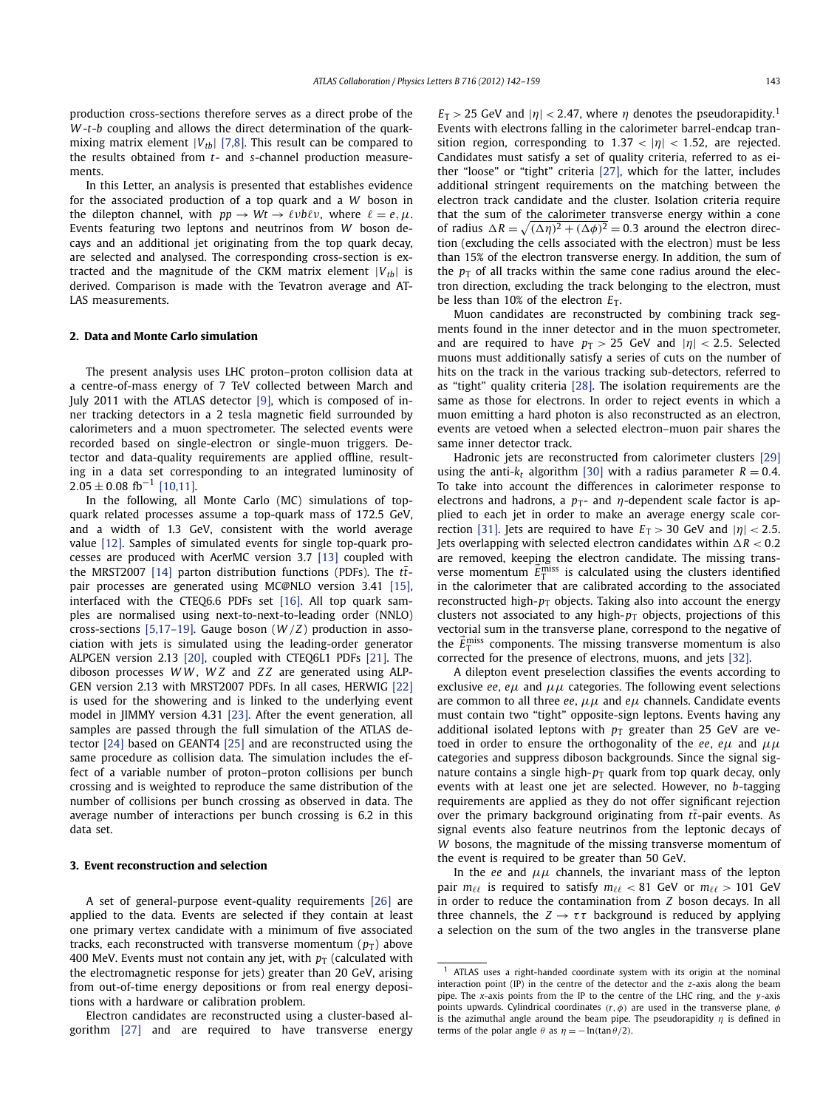<span id="page-1-0"></span>production cross-sections therefore serves as a direct probe of the *W* -*t*-*b* coupling and allows the direct determination of the quarkmixing matrix element  $|V_{tb}|$  [\[7,8\].](#page-5-0) This result can be compared to the results obtained from *t*- and *s*-channel production measurements.

In this Letter, an analysis is presented that establishes evidence for the associated production of a top quark and a *W* boson in the dilepton channel, with  $pp \rightarrow Wt \rightarrow \ell \nu b \ell \nu$ , where  $\ell = e, \mu$ . Events featuring two leptons and neutrinos from *W* boson decays and an additional jet originating from the top quark decay, are selected and analysed. The corresponding cross-section is extracted and the magnitude of the CKM matrix element  $|V_{tb}|$  is derived. Comparison is made with the Tevatron average and AT-LAS measurements.

# **2. Data and Monte Carlo simulation**

The present analysis uses LHC proton–proton collision data at a centre-of-mass energy of 7 TeV collected between March and July 2011 with the ATLAS detector [\[9\],](#page-5-0) which is composed of inner tracking detectors in a 2 tesla magnetic field surrounded by calorimeters and a muon spectrometer. The selected events were recorded based on single-electron or single-muon triggers. Detector and data-quality requirements are applied offline, resulting in a data set corresponding to an integrated luminosity of  $2.05 \pm 0.08$  fb<sup>-1</sup> [\[10,11\].](#page-5-0)

In the following, all Monte Carlo (MC) simulations of topquark related processes assume a top-quark mass of 172.5 GeV, and a width of 1.3 GeV, consistent with the world average value [\[12\].](#page-5-0) Samples of simulated events for single top-quark processes are produced with AcerMC version 3.7 [\[13\]](#page-5-0) coupled with the MRST2007 [\[14\]](#page-5-0) parton distribution functions (PDFs). The  $t\bar{t}$ pair processes are generated using MC@NLO version 3.41 [\[15\],](#page-5-0) interfaced with the CTEQ6.6 PDFs set [\[16\].](#page-5-0) All top quark samples are normalised using next-to-next-to-leading order (NNLO) cross-sections [\[5,17–19\].](#page-5-0) Gauge boson (*W /Z*) production in association with jets is simulated using the leading-order generator ALPGEN version 2.13 [\[20\],](#page-5-0) coupled with CTEQ6L1 PDFs [\[21\].](#page-5-0) The diboson processes *W W* , *W Z* and *Z Z* are generated using ALP-GEN version 2.13 with MRST2007 PDFs. In all cases, HERWIG [\[22\]](#page-5-0) is used for the showering and is linked to the underlying event model in JIMMY version 4.31 [\[23\].](#page-5-0) After the event generation, all samples are passed through the full simulation of the ATLAS detector [\[24\]](#page-5-0) based on GEANT4 [\[25\]](#page-5-0) and are reconstructed using the same procedure as collision data. The simulation includes the effect of a variable number of proton–proton collisions per bunch crossing and is weighted to reproduce the same distribution of the number of collisions per bunch crossing as observed in data. The average number of interactions per bunch crossing is 6.2 in this data set.

# **3. Event reconstruction and selection**

A set of general-purpose event-quality requirements [\[26\]](#page-5-0) are applied to the data. Events are selected if they contain at least one primary vertex candidate with a minimum of five associated tracks, each reconstructed with transverse momentum  $(p_T)$  above 400 MeV. Events must not contain any jet, with  $p_T$  (calculated with the electromagnetic response for jets) greater than 20 GeV, arising from out-of-time energy depositions or from real energy depositions with a hardware or calibration problem.

Electron candidates are reconstructed using a cluster-based algorithm [\[27\]](#page-5-0) and are required to have transverse energy  $E_T > 25$  GeV and  $|\eta| < 2.47$ , where  $\eta$  denotes the pseudorapidity.<sup>1</sup> Events with electrons falling in the calorimeter barrel-endcap transition region, corresponding to  $1.37 < |\eta| < 1.52$ , are rejected. Candidates must satisfy a set of quality criteria, referred to as either "loose" or "tight" criteria [\[27\],](#page-5-0) which for the latter, includes additional stringent requirements on the matching between the electron track candidate and the cluster. Isolation criteria require that the sum of the calorimeter transverse energy within a cone of radius  $\Delta R = \sqrt{(\Delta \eta)^2 + (\Delta \phi)^2} = 0.3$  around the electron direction (excluding the cells associated with the electron) must be less than 15% of the electron transverse energy. In addition, the sum of the  $p_T$  of all tracks within the same cone radius around the electron direction, excluding the track belonging to the electron, must be less than 10% of the electron *E*T.

Muon candidates are reconstructed by combining track segments found in the inner detector and in the muon spectrometer, and are required to have  $p_T > 25$  GeV and  $|\eta| < 2.5$ . Selected muons must additionally satisfy a series of cuts on the number of hits on the track in the various tracking sub-detectors, referred to as "tight" quality criteria [\[28\].](#page-5-0) The isolation requirements are the same as those for electrons. In order to reject events in which a muon emitting a hard photon is also reconstructed as an electron, events are vetoed when a selected electron–muon pair shares the same inner detector track.

Hadronic jets are reconstructed from calorimeter clusters [\[29\]](#page-5-0) using the anti- $k_t$  algorithm [\[30\]](#page-6-0) with a radius parameter  $R = 0.4$ . To take into account the differences in calorimeter response to electrons and hadrons, a  $p_T$ - and  $\eta$ -dependent scale factor is applied to each jet in order to make an average energy scale cor-rection [\[31\].](#page-6-0) Jets are required to have  $E_T > 30$  GeV and  $|\eta| < 2.5$ . Jets overlapping with selected electron candidates within  $\Delta R < 0.2$ are removed, keeping the electron candidate. The missing transverse momentum  $\vec{E}_{\text{T}}^{\text{miss}}$  is calculated using the clusters identified in the calorimeter that are calibrated according to the associated reconstructed high- $p<sub>T</sub>$  objects. Taking also into account the energy clusters not associated to any high- $p<sub>T</sub>$  objects, projections of this vectorial sum in the transverse plane, correspond to the negative of the  $\vec{E}_{\text{T}}^{\text{miss}}$  components. The missing transverse momentum is also corrected for the presence of electrons, muons, and jets [\[32\].](#page-6-0)

A dilepton event preselection classifies the events according to exclusive *ee*,  $e\mu$  and  $\mu\mu$  categories. The following event selections are common to all three *ee*, *μμ* and *eμ* channels. Candidate events must contain two "tight" opposite-sign leptons. Events having any additional isolated leptons with  $p_T$  greater than 25 GeV are vetoed in order to ensure the orthogonality of the *ee*, *eμ* and *μμ* categories and suppress diboson backgrounds. Since the signal signature contains a single high- $p_T$  quark from top quark decay, only events with at least one jet are selected. However, no *b*-tagging requirements are applied as they do not offer significant rejection over the primary background originating from  $t\bar{t}$ -pair events. As signal events also feature neutrinos from the leptonic decays of *W* bosons, the magnitude of the missing transverse momentum of the event is required to be greater than 50 GeV.

In the *ee* and  $\mu\mu$  channels, the invariant mass of the lepton pair  $m_{\ell\ell}$  is required to satisfy  $m_{\ell\ell} < 81$  GeV or  $m_{\ell\ell} > 101$  GeV in order to reduce the contamination from *Z* boson decays. In all three channels, the  $Z \rightarrow \tau \tau$  background is reduced by applying a selection on the sum of the two angles in the transverse plane

<sup>1</sup> ATLAS uses a right-handed coordinate system with its origin at the nominal interaction point (IP) in the centre of the detector and the *z*-axis along the beam pipe. The *x*-axis points from the IP to the centre of the LHC ring, and the *y*-axis points upwards. Cylindrical coordinates *(r,φ)* are used in the transverse plane, *φ* is the azimuthal angle around the beam pipe. The pseudorapidity *η* is defined in terms of the polar angle  $\theta$  as  $\eta = -\ln(\tan \theta/2)$ .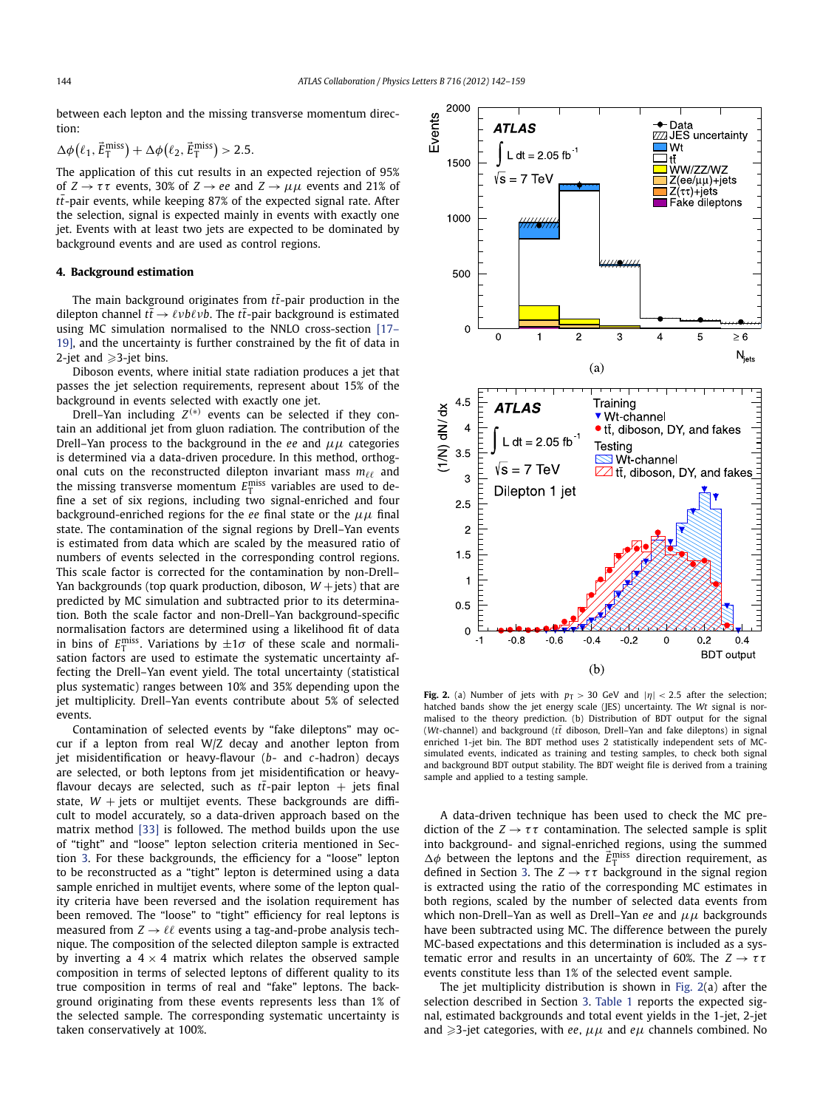between each lepton and the missing transverse momentum direction:

$$
\Delta\phi(\ell_1, \vec{E}_{\text{T}}^{\text{miss}}) + \Delta\phi(\ell_2, \vec{E}_{\text{T}}^{\text{miss}}) > 2.5.
$$

The application of this cut results in an expected rejection of 95% of  $Z \rightarrow \tau \tau$  events, 30% of  $Z \rightarrow ee$  and  $Z \rightarrow \mu \mu$  events and 21% of  $t\bar{t}$ -pair events, while keeping 87% of the expected signal rate. After the selection, signal is expected mainly in events with exactly one jet. Events with at least two jets are expected to be dominated by background events and are used as control regions.

# **4. Background estimation**

The main background originates from  $t\bar{t}$ -pair production in the dilepton channel  $t\bar{t} \rightarrow \ell \nu b \ell \nu b$ . The  $t\bar{t}$ -pair background is estimated using MC simulation normalised to the NNLO cross-section [\[17–](#page-5-0) [19\],](#page-5-0) and the uncertainty is further constrained by the fit of data in 2-jet and  $\geqslant$ 3-jet bins.

Diboson events, where initial state radiation produces a jet that passes the jet selection requirements, represent about 15% of the background in events selected with exactly one jet.

Drell–Yan including  $Z^{(*)}$  events can be selected if they contain an additional jet from gluon radiation. The contribution of the Drell–Yan process to the background in the *ee* and *μμ* categories is determined via a data-driven procedure. In this method, orthogonal cuts on the reconstructed dilepton invariant mass  $m_{\ell\ell}$  and the missing transverse momentum  $E_{\text{T}}^{\text{miss}}$  variables are used to define a set of six regions, including two signal-enriched and four background-enriched regions for the *ee* final state or the *μμ* final state. The contamination of the signal regions by Drell–Yan events is estimated from data which are scaled by the measured ratio of numbers of events selected in the corresponding control regions. This scale factor is corrected for the contamination by non-Drell– Yan backgrounds (top quark production, diboson,  $W +$ jets) that are predicted by MC simulation and subtracted prior to its determination. Both the scale factor and non-Drell–Yan background-specific normalisation factors are determined using a likelihood fit of data in bins of  $E_{\text{T}}^{\text{miss}}$ . Variations by  $\pm 1\sigma$  of these scale and normalisation factors are used to estimate the systematic uncertainty affecting the Drell–Yan event yield. The total uncertainty (statistical plus systematic) ranges between 10% and 35% depending upon the jet multiplicity. Drell–Yan events contribute about 5% of selected events.

Contamination of selected events by "fake dileptons" may occur if a lepton from real W/Z decay and another lepton from jet misidentification or heavy-flavour (*b*- and *c*-hadron) decays are selected, or both leptons from jet misidentification or heavyflavour decays are selected, such as  $t\bar{t}$ -pair lepton + jets final state,  $W$  + jets or multijet events. These backgrounds are difficult to model accurately, so a data-driven approach based on the matrix method [\[33\]](#page-6-0) is followed. The method builds upon the use of "tight" and "loose" lepton selection criteria mentioned in Section [3.](#page-1-0) For these backgrounds, the efficiency for a "loose" lepton to be reconstructed as a "tight" lepton is determined using a data sample enriched in multijet events, where some of the lepton quality criteria have been reversed and the isolation requirement has been removed. The "loose" to "tight" efficiency for real leptons is measured from  $Z \rightarrow \ell \ell$  events using a tag-and-probe analysis technique. The composition of the selected dilepton sample is extracted by inverting a  $4 \times 4$  matrix which relates the observed sample composition in terms of selected leptons of different quality to its true composition in terms of real and "fake" leptons. The background originating from these events represents less than 1% of the selected sample. The corresponding systematic uncertainty is taken conservatively at 100%.



**Fig. 2.** (a) Number of jets with  $p_T > 30$  GeV and  $|\eta| < 2.5$  after the selection; hatched bands show the jet energy scale (JES) uncertainty. The *Wt* signal is normalised to the theory prediction. (b) Distribution of BDT output for the signal (*Wt*-channel) and background ( $t\bar{t}$  diboson, Drell–Yan and fake dileptons) in signal enriched 1-jet bin. The BDT method uses 2 statistically independent sets of MCsimulated events, indicated as training and testing samples, to check both signal and background BDT output stability. The BDT weight file is derived from a training sample and applied to a testing sample.

A data-driven technique has been used to check the MC prediction of the  $Z \rightarrow \tau \tau$  contamination. The selected sample is split into background- and signal-enriched regions, using the summed  $\Delta \phi$  between the leptons and the  $\vec{E}_{\text{T}}^{\text{miss}}$  direction requirement, as defined in Section [3.](#page-1-0) The  $Z \rightarrow \tau \tau$  background in the signal region is extracted using the ratio of the corresponding MC estimates in both regions, scaled by the number of selected data events from which non-Drell–Yan as well as Drell–Yan *ee* and *μμ* backgrounds have been subtracted using MC. The difference between the purely MC-based expectations and this determination is included as a systematic error and results in an uncertainty of 60%. The  $Z \rightarrow \tau \tau$ events constitute less than 1% of the selected event sample.

The jet multiplicity distribution is shown in Fig. 2(a) after the selection described in Section [3.](#page-1-0) [Table 1](#page-3-0) reports the expected signal, estimated backgrounds and total event yields in the 1-jet, 2-jet and  $\geq$ 3-jet categories, with *ee*,  $\mu\mu$  and  $e\mu$  channels combined. No

<span id="page-2-0"></span>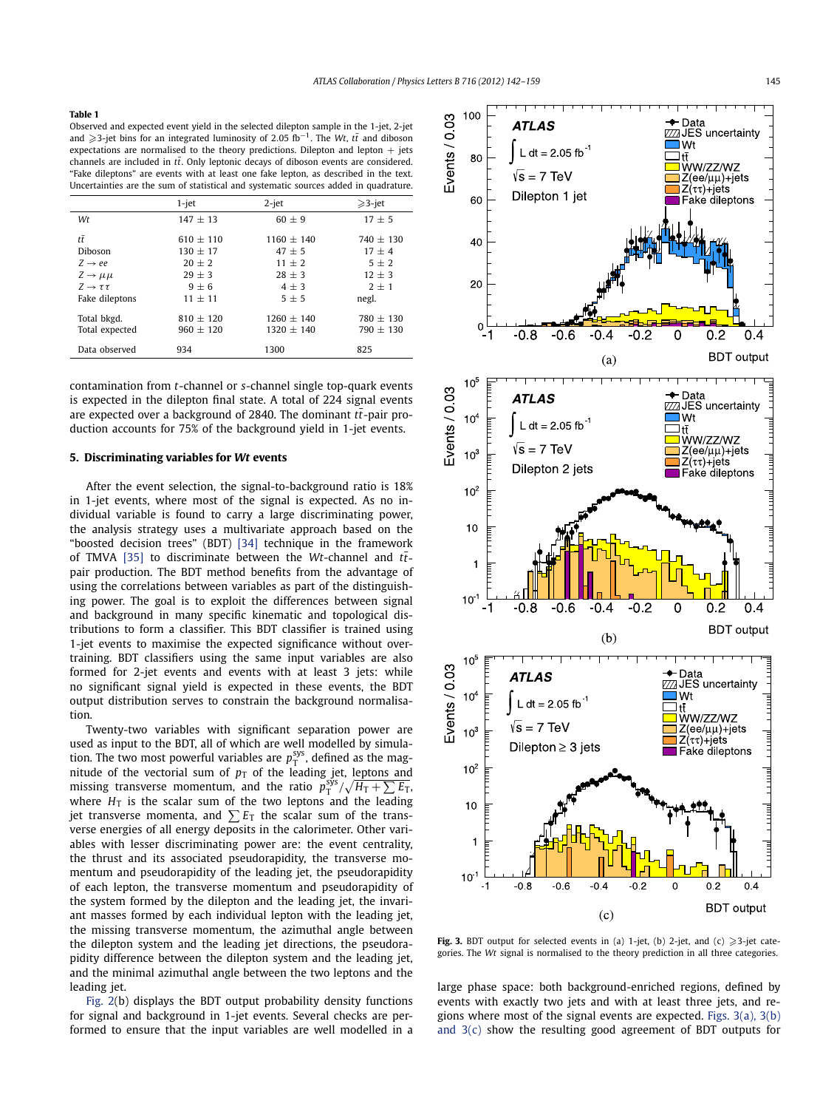# <span id="page-3-0"></span>**Table 1**

Observed and expected event yield in the selected dilepton sample in the 1-jet, 2-jet and ≥3-jet bins for an integrated luminosity of 2.05 fb<sup>−1</sup>. The *Wt*, *tt* and diboson expectations are normalised to the theory predictions. Dilepton and lepton  $+$  jets channels are included in  $t\bar{t}$ . Only leptonic decays of diboson events are considered. "Fake dileptons" are events with at least one fake lepton, as described in the text. Uncertainties are the sum of statistical and systematic sources added in quadrature.

|                           | $1$ -jet    | $2$ -jet       | $\geqslant$ 3-jet |
|---------------------------|-------------|----------------|-------------------|
| Wt                        | $147 + 13$  | $60 + 9$       | $17 + 5$          |
| $t\bar{t}$                | $610 + 110$ | $1160 + 140$   | $740 + 130$       |
| Diboson                   | $130 + 17$  | $47 + 5$       | $17 + 4$          |
| $Z \rightarrow ee$        | $20 + 2$    | $11 + 2$       | $5 \pm 2$         |
| $Z \rightarrow \mu \mu$   | $29 + 3$    | $28 + 3$       | $12 \pm 3$        |
| $Z \rightarrow \tau \tau$ | $9 + 6$     | $4 + 3$        | $2 + 1$           |
| Fake dileptons            | $11 + 11$   | $5 + 5$        | negl.             |
| Total bkgd.               | $810 + 120$ | $1260 \pm 140$ | $780 + 130$       |
| Total expected            | $960 + 120$ | $1320 + 140$   | $790 + 130$       |
| Data observed             | 934         | 1300           | 825               |

contamination from *t*-channel or *s*-channel single top-quark events is expected in the dilepton final state. A total of 224 signal events are expected over a background of 2840. The dominant  $t\bar{t}$ -pair production accounts for 75% of the background yield in 1-jet events.

# **5. Discriminating variables for** *Wt* **events**

After the event selection, the signal-to-background ratio is 18% in 1-jet events, where most of the signal is expected. As no individual variable is found to carry a large discriminating power, the analysis strategy uses a multivariate approach based on the "boosted decision trees" (BDT) [\[34\]](#page-6-0) technique in the framework of TMVA [\[35\]](#page-6-0) to discriminate between the  $Wt$ -channel and  $t\bar{t}$ pair production. The BDT method benefits from the advantage of using the correlations between variables as part of the distinguishing power. The goal is to exploit the differences between signal and background in many specific kinematic and topological distributions to form a classifier. This BDT classifier is trained using 1-jet events to maximise the expected significance without overtraining. BDT classifiers using the same input variables are also formed for 2-jet events and events with at least 3 jets: while no significant signal yield is expected in these events, the BDT output distribution serves to constrain the background normalisation.

Twenty-two variables with significant separation power are used as input to the BDT, all of which are well modelled by simulation. The two most powerful variables are  $p_T^{\text{sys}}$ , defined as the magnitude of the vectorial sum of  $p_T$  of the leading jet, leptons and missing transverse momentum, and the ratio  $p_T^{sys}/\sqrt{H_T + \sum E_T}$ , where  $H_T$  is the scalar sum of the two leptons and the leading jet transverse momenta, and  $\sum E_T$  the scalar sum of the transverse energies of all energy deposits in the calorimeter. Other variables with lesser discriminating power are: the event centrality, the thrust and its associated pseudorapidity, the transverse momentum and pseudorapidity of the leading jet, the pseudorapidity of each lepton, the transverse momentum and pseudorapidity of the system formed by the dilepton and the leading jet, the invariant masses formed by each individual lepton with the leading jet, the missing transverse momentum, the azimuthal angle between the dilepton system and the leading jet directions, the pseudorapidity difference between the dilepton system and the leading jet, and the minimal azimuthal angle between the two leptons and the leading jet.

[Fig. 2\(](#page-2-0)b) displays the BDT output probability density functions for signal and background in 1-jet events. Several checks are performed to ensure that the input variables are well modelled in a



**Fig. 3.** BDT output for selected events in (a) 1-jet, (b) 2-jet, and (c)  $\geqslant$ 3-jet categories. The *Wt* signal is normalised to the theory prediction in all three categories.

large phase space: both background-enriched regions, defined by events with exactly two jets and with at least three jets, and regions where most of the signal events are expected. Figs. 3(a), 3(b) and 3(c) show the resulting good agreement of BDT outputs for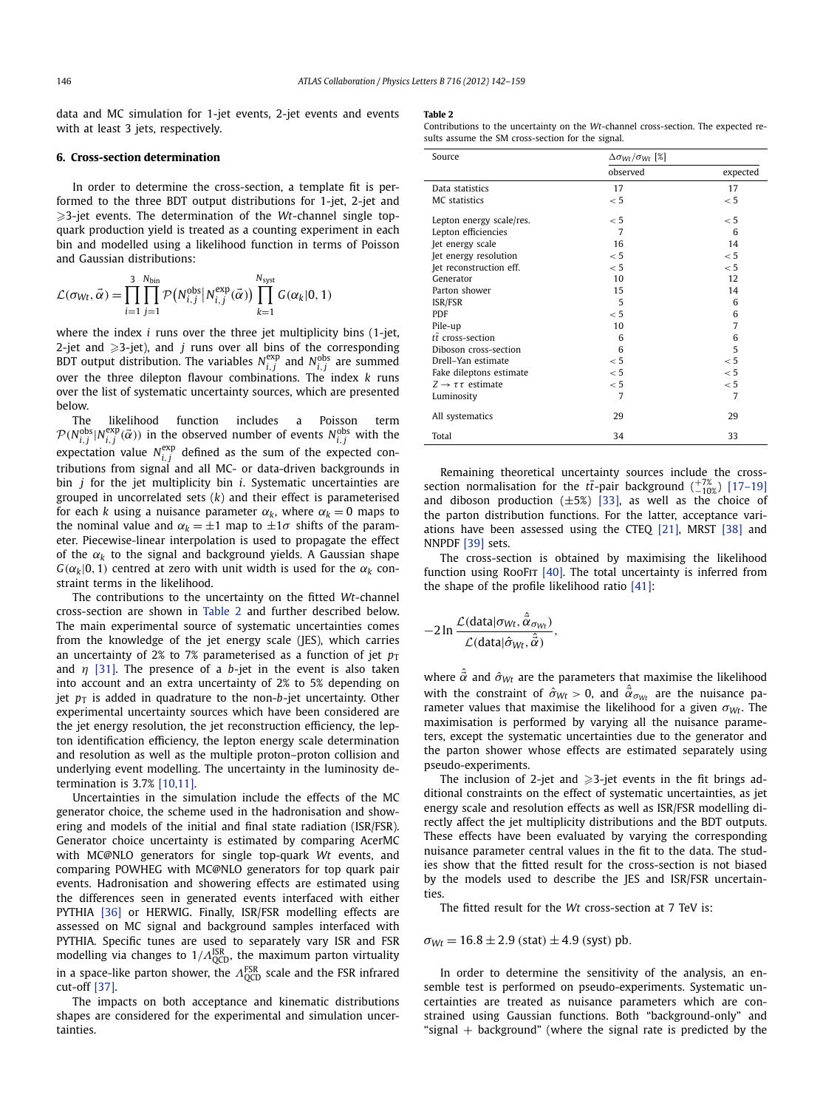data and MC simulation for 1-jet events, 2-jet events and events with at least 3 jets, respectively.

# **6. Cross-section determination**

In order to determine the cross-section, a template fit is performed to the three BDT output distributions for 1-jet, 2-jet and -3-jet events. The determination of the *Wt*-channel single topquark production yield is treated as a counting experiment in each bin and modelled using a likelihood function in terms of Poisson and Gaussian distributions:

$$
\mathcal{L}(\sigma_{Wt}, \vec{\alpha}) = \prod_{i=1}^{3} \prod_{j=1}^{N_{\text{bin}}} \mathcal{P}(N_{i,j}^{\text{obs}}|N_{i,j}^{\text{exp}}(\vec{\alpha})) \prod_{k=1}^{N_{\text{syst}}} G(\alpha_k|0, 1)
$$

where the index *i* runs over the three jet multiplicity bins (1-jet, 2-jet and  $\geqslant$ 3-jet), and *j* runs over all bins of the corresponding BDT output distribution. The variables  $N_{i,j}^{\text{exp}}$  and  $N_{i,j}^{\text{obs}}$  are summed over the three dilepton flavour combinations. The index *k* runs over the list of systematic uncertainty sources, which are presented below.

The likelihood function includes a Poisson term  $\mathcal{P}(N^{\text{obs}}_{i,j} | N^{\text{exp}}_{i,j}(\vec{\alpha}))$  in the observed number of events  $N^{\text{obs}}_{i,j}$  with the expectation value  $N_{i,j}^{\text{exp}}$  defined as the sum of the expected contributions from signal and all MC- or data-driven backgrounds in bin *j* for the jet multiplicity bin *i*. Systematic uncertainties are grouped in uncorrelated sets (*k*) and their effect is parameterised for each *k* using a nuisance parameter  $\alpha_k$ , where  $\alpha_k = 0$  maps to the nominal value and  $\alpha_k = \pm 1$  map to  $\pm 1\sigma$  shifts of the parameter. Piecewise-linear interpolation is used to propagate the effect of the  $\alpha_k$  to the signal and background yields. A Gaussian shape  $G(\alpha_k|0, 1)$  centred at zero with unit width is used for the  $\alpha_k$  constraint terms in the likelihood.

The contributions to the uncertainty on the fitted *Wt*-channel cross-section are shown in Table 2 and further described below. The main experimental source of systematic uncertainties comes from the knowledge of the jet energy scale (JES), which carries an uncertainty of 2% to 7% parameterised as a function of jet  $p<sub>T</sub>$ and *η* [\[31\].](#page-6-0) The presence of a *b*-jet in the event is also taken into account and an extra uncertainty of 2% to 5% depending on jet  $p<sub>T</sub>$  is added in quadrature to the non-b-jet uncertainty. Other experimental uncertainty sources which have been considered are the jet energy resolution, the jet reconstruction efficiency, the lepton identification efficiency, the lepton energy scale determination and resolution as well as the multiple proton–proton collision and underlying event modelling. The uncertainty in the luminosity determination is 3.7% [\[10,11\].](#page-5-0)

Uncertainties in the simulation include the effects of the MC generator choice, the scheme used in the hadronisation and showering and models of the initial and final state radiation (ISR/FSR). Generator choice uncertainty is estimated by comparing AcerMC with MC@NLO generators for single top-quark *Wt* events, and comparing POWHEG with MC@NLO generators for top quark pair events. Hadronisation and showering effects are estimated using the differences seen in generated events interfaced with either PYTHIA [\[36\]](#page-6-0) or HERWIG. Finally, ISR/FSR modelling effects are assessed on MC signal and background samples interfaced with PYTHIA. Specific tunes are used to separately vary ISR and FSR modelling via changes to 1/ $\Lambda_{\rm QCD}^{\rm ISR}$ , the maximum parton virtuality in a space-like parton shower, the  $\Lambda_{\rm QCD}^{\rm FSR}$  scale and the FSR infrared cut-off [\[37\].](#page-6-0)

The impacts on both acceptance and kinematic distributions shapes are considered for the experimental and simulation uncertainties.

### **Table 2**

Contributions to the uncertainty on the *Wt*-channel cross-section. The expected results assume the SM cross-section for the signal.

| Source                             | $\Delta \sigma_{Wt}/\sigma_{Wt}$ [%] |          |
|------------------------------------|--------------------------------------|----------|
|                                    | observed                             | expected |
| Data statistics                    | 17                                   | 17       |
| MC statistics                      | < 5                                  | < 5      |
| Lepton energy scale/res.           | < 5                                  | < 5      |
| Lepton efficiencies                | 7                                    | 6        |
| Jet energy scale                   | 16                                   | 14       |
| Jet energy resolution              | < 5                                  | < 5      |
| Jet reconstruction eff.            | < 5                                  | < 5      |
| Generator                          | 10                                   | 12       |
| Parton shower                      | 15                                   | 14       |
| ISR/FSR                            | 5                                    | 6        |
| <b>PDF</b>                         | < 5                                  | 6        |
| Pile-up                            | 10                                   | 7        |
| $t\bar{t}$ cross-section           | 6                                    | 6        |
| Diboson cross-section              | 6                                    | 5        |
| Drell-Yan estimate                 | < 5                                  | $\leq 5$ |
| Fake dileptons estimate            | < 5                                  | < 5      |
| $Z \rightarrow \tau \tau$ estimate | < 5                                  | < 5      |
| Luminosity                         | 7                                    | 7        |
| All systematics                    | 29                                   | 29       |
| Total                              | 34                                   | 33       |

Remaining theoretical uncertainty sources include the crosssection normalisation for the *tt*=pair background  $\left(\frac{+7\%}{-10\%}\right)$  [\[17–19\]](#page-5-0) and diboson production  $(\pm 5\%)$  [\[33\],](#page-6-0) as well as the choice of the parton distribution functions. For the latter, acceptance variations have been assessed using the CTEQ [\[21\],](#page-5-0) MRST [\[38\]](#page-6-0) and NNPDF [\[39\]](#page-6-0) sets.

The cross-section is obtained by maximising the likelihood function using RooFit [\[40\].](#page-6-0) The total uncertainty is inferred from the shape of the profile likelihood ratio [\[41\]:](#page-6-0)

$$
-2\ln\frac{\mathcal{L}(data|\sigma_{Wt},\hat{\vec{\alpha}}_{\sigma_{Wt}})}{\mathcal{L}(data|\hat{\sigma}_{Wt},\hat{\vec{\alpha}})},
$$

where  $\vec{\alpha}$  and  $\hat{\sigma}_{Wt}$  are the parameters that maximise the likelihood with the constraint of  $\hat{\sigma}_{Wt} > 0$ , and  $\vec{\alpha}_{\sigma_{Wt}}$  are the nuisance parameter values that maximise the likelihood for a given  $\sigma_{Wt}$ . The maximisation is performed by varying all the nuisance parameters, except the systematic uncertainties due to the generator and the parton shower whose effects are estimated separately using pseudo-experiments.

The inclusion of 2-jet and  $\geqslant$ 3-jet events in the fit brings additional constraints on the effect of systematic uncertainties, as jet energy scale and resolution effects as well as ISR/FSR modelling directly affect the jet multiplicity distributions and the BDT outputs. These effects have been evaluated by varying the corresponding nuisance parameter central values in the fit to the data. The studies show that the fitted result for the cross-section is not biased by the models used to describe the JES and ISR/FSR uncertainties.

The fitted result for the *Wt* cross-section at 7 TeV is:

 $\sigma_{Wt} = 16.8 \pm 2.9$  *(stat)*  $\pm 4.9$  *(syst)* pb.

In order to determine the sensitivity of the analysis, an ensemble test is performed on pseudo-experiments. Systematic uncertainties are treated as nuisance parameters which are constrained using Gaussian functions. Both "background-only" and "signal  $+$  background" (where the signal rate is predicted by the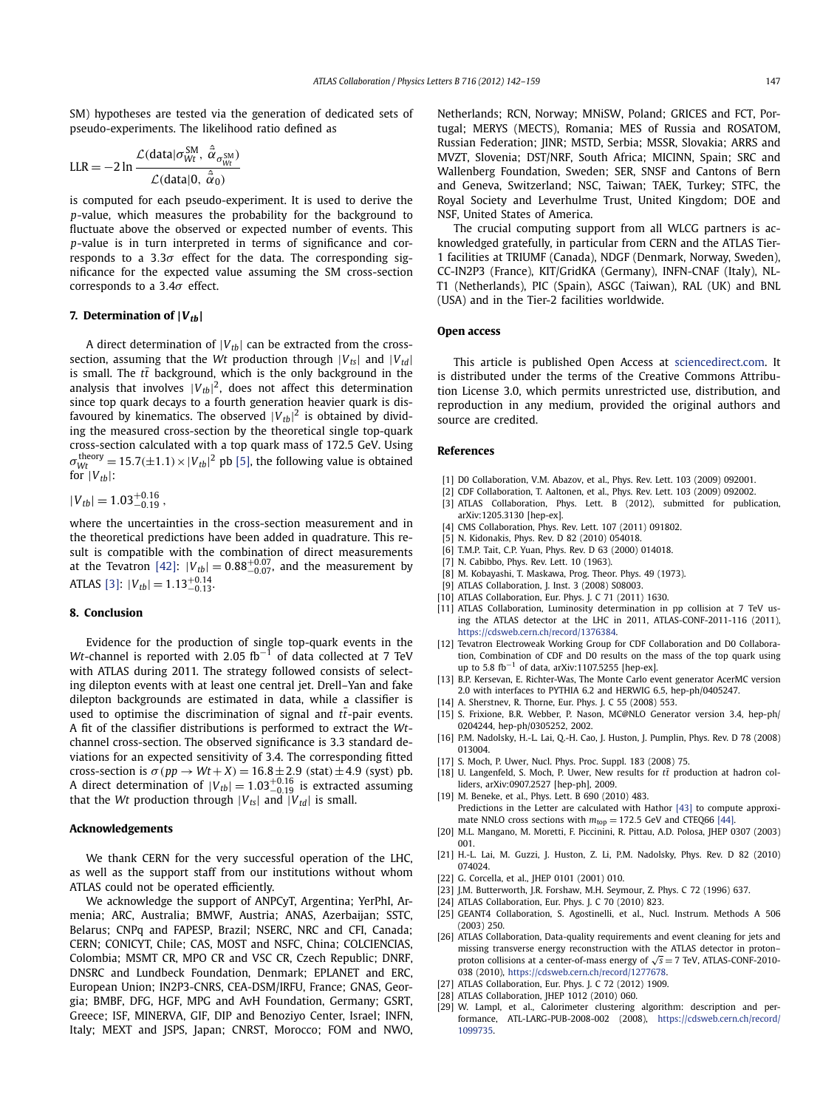<span id="page-5-0"></span>SM) hypotheses are tested via the generation of dedicated sets of pseudo-experiments. The likelihood ratio defined as

$$
LLR = -2 \ln \frac{\mathcal{L}(data | \sigma_{Wt}^{SM}, \hat{\vec{\alpha}}_{\sigma_{Wt}^{SM}})}{\mathcal{L}(data | 0, \hat{\vec{\alpha}}_0)}
$$

is computed for each pseudo-experiment. It is used to derive the *p*-value, which measures the probability for the background to fluctuate above the observed or expected number of events. This *p*-value is in turn interpreted in terms of significance and corresponds to a 3*.*3*σ* effect for the data. The corresponding significance for the expected value assuming the SM cross-section corresponds to a 3*.*4*σ* effect.

# **7.** Determination of  $|V_{th}|$

A direct determination of  $|V_{th}|$  can be extracted from the crosssection, assuming that the *Wt* production through  $|V_{ts}|$  and  $|V_{td}|$ is small. The  $t\bar{t}$  background, which is the only background in the analysis that involves  $|V_{tb}|^2$ , does not affect this determination since top quark decays to a fourth generation heavier quark is disfavoured by kinematics. The observed  $|V_{tb}|^2$  is obtained by dividing the measured cross-section by the theoretical single top-quark cross-section calculated with a top quark mass of 172.5 GeV. Using  $\sigma_{Wt}^{\text{theory}} = 15.7(\pm 1.1) \times |V_{tb}|^2$  pb [5], the following value is obtained for  $|V_{tb}|$ :

$$
|V_{tb}|=1.03^{+0.16}_{-0.19},
$$

where the uncertainties in the cross-section measurement and in the theoretical predictions have been added in quadrature. This result is compatible with the combination of direct measurements at the Tevatron [\[42\]:](#page-6-0)  $|V_{tb}| = 0.88^{+0.07}_{-0.07}$ , and the measurement by ATLAS [3]:  $|V_{tb}| = 1.13^{+0.14}_{-0.13}$ .

# **8. Conclusion**

Evidence for the production of single top-quark events in the *Wt*-channel is reported with 2.05 fb<sup>-1</sup> of data collected at 7 TeV with ATLAS during 2011. The strategy followed consists of selecting dilepton events with at least one central jet. Drell–Yan and fake dilepton backgrounds are estimated in data, while a classifier is used to optimise the discrimination of signal and  $t\bar{t}$ -pair events. A fit of the classifier distributions is performed to extract the *Wt*channel cross-section. The observed significance is 3.3 standard deviations for an expected sensitivity of 3.4. The corresponding fitted cross-section is  $\sigma(pp \to Wt + X) = 16.8 \pm 2.9$  *(stat)* $\pm 4.9$  *(syst)* pb. A direct determination of  $|V_{tb}| = 1.03^{+0.16}_{-0.19}$  is extracted assuming that the  $Wt$  production through  $|V_{ts}|$  and  $|V_{td}|$  is small.

# **Acknowledgements**

We thank CERN for the very successful operation of the LHC, as well as the support staff from our institutions without whom ATLAS could not be operated efficiently.

We acknowledge the support of ANPCyT, Argentina; YerPhI, Armenia; ARC, Australia; BMWF, Austria; ANAS, Azerbaijan; SSTC, Belarus; CNPq and FAPESP, Brazil; NSERC, NRC and CFI, Canada; CERN; CONICYT, Chile; CAS, MOST and NSFC, China; COLCIENCIAS, Colombia; MSMT CR, MPO CR and VSC CR, Czech Republic; DNRF, DNSRC and Lundbeck Foundation, Denmark; EPLANET and ERC, European Union; IN2P3-CNRS, CEA-DSM/IRFU, France; GNAS, Georgia; BMBF, DFG, HGF, MPG and AvH Foundation, Germany; GSRT, Greece; ISF, MINERVA, GIF, DIP and Benoziyo Center, Israel; INFN, Italy; MEXT and JSPS, Japan; CNRST, Morocco; FOM and NWO, Netherlands; RCN, Norway; MNiSW, Poland; GRICES and FCT, Portugal; MERYS (MECTS), Romania; MES of Russia and ROSATOM, Russian Federation; JINR; MSTD, Serbia; MSSR, Slovakia; ARRS and MVZT, Slovenia; DST/NRF, South Africa; MICINN, Spain; SRC and Wallenberg Foundation, Sweden; SER, SNSF and Cantons of Bern and Geneva, Switzerland; NSC, Taiwan; TAEK, Turkey; STFC, the Royal Society and Leverhulme Trust, United Kingdom; DOE and NSF, United States of America.

The crucial computing support from all WLCG partners is acknowledged gratefully, in particular from CERN and the ATLAS Tier-1 facilities at TRIUMF (Canada), NDGF (Denmark, Norway, Sweden), CC-IN2P3 (France), KIT/GridKA (Germany), INFN-CNAF (Italy), NL-T1 (Netherlands), PIC (Spain), ASGC (Taiwan), RAL (UK) and BNL (USA) and in the Tier-2 facilities worldwide.

# **Open access**

This article is published Open Access at [sciencedirect.com.](http://www.sciencedirect.com) It is distributed under the terms of the Creative Commons Attribution License 3.0, which permits unrestricted use, distribution, and reproduction in any medium, provided the original authors and source are credited.

## **References**

- [1] D0 Collaboration, V.M. Abazov, et al., Phys. Rev. Lett. 103 (2009) 092001.
- [2] CDF Collaboration, T. Aaltonen, et al., Phys. Rev. Lett. 103 (2009) 092002.
- [3] ATLAS Collaboration, Phys. Lett. B (2012), submitted for publication, arXiv:1205.3130 [hep-ex].
- [4] CMS Collaboration, Phys. Rev. Lett. 107 (2011) 091802.
- [5] N. Kidonakis, Phys. Rev. D 82 (2010) 054018.
- [6] T.M.P. Tait, C.P. Yuan, Phys. Rev. D 63 (2000) 014018.
- [7] N. Cabibbo, Phys. Rev. Lett. 10 (1963).
- [8] M. Kobayashi, T. Maskawa, Prog. Theor. Phys. 49 (1973).
- [9] ATLAS Collaboration, J. Inst. 3 (2008) S08003.
- [10] ATLAS Collaboration, Eur. Phys. J. C 71 (2011) 1630.
- [11] ATLAS Collaboration, Luminosity determination in pp collision at 7 TeV using the ATLAS detector at the LHC in 2011, ATLAS-CONF-2011-116 (2011), <https://cdsweb.cern.ch/record/1376384>.
- [12] Tevatron Electroweak Working Group for CDF Collaboration and D0 Collaboration, Combination of CDF and D0 results on the mass of the top quark using up to 5.8  $fb^{-1}$  of data, arXiv:1107.5255 [hep-ex].
- [13] B.P. Kersevan, E. Richter-Was, The Monte Carlo event generator AcerMC version 2.0 with interfaces to PYTHIA 6.2 and HERWIG 6.5, hep-ph/0405247.
- [14] A. Sherstnev, R. Thorne, Eur. Phys. J. C 55 (2008) 553.
- [15] S. Frixione, B.R. Webber, P. Nason, MC@NLO Generator version 3.4, hep-ph/ 0204244, hep-ph/0305252, 2002.
- [16] P.M. Nadolsky, H.-L. Lai, Q.-H. Cao, J. Huston, J. Pumplin, Phys. Rev. D 78 (2008) 013004.
- [17] S. Moch, P. Uwer, Nucl. Phys. Proc. Suppl. 183 (2008) 75.
- [18] U. Langenfeld, S. Moch, P. Uwer, New results for  $t\bar{t}$  production at hadron colliders, arXiv:0907.2527 [hep-ph], 2009.
- [19] M. Beneke, et al., Phys. Lett. B 690 (2010) 483. Predictions in the Letter are calculated with Hathor [\[43\]](#page-6-0) to compute approximate NNLO cross sections with  $m_{\text{top}} = 172.5$  GeV and CTEQ66 [\[44\].](#page-6-0)
- [20] M.L. Mangano, M. Moretti, F. Piccinini, R. Pittau, A.D. Polosa, JHEP 0307 (2003) 001.
- [21] H.-L. Lai, M. Guzzi, J. Huston, Z. Li, P.M. Nadolsky, Phys. Rev. D 82 (2010) 074024.
- [22] G. Corcella, et al., JHEP 0101 (2001) 010.
- [23] J.M. Butterworth, J.R. Forshaw, M.H. Seymour, Z. Phys. C 72 (1996) 637.
- [24] ATLAS Collaboration, Eur. Phys. J. C 70 (2010) 823.
- [25] GEANT4 Collaboration, S. Agostinelli, et al., Nucl. Instrum. Methods A 506 (2003) 250.
- [26] ATLAS Collaboration, Data-quality requirements and event cleaning for jets and missing transverse energy reconstruction with the ATLAS detector in proton– proton collisions at a center-of-mass energy of <sup>√</sup>*<sup>s</sup>* <sup>=</sup> 7 TeV, ATLAS-CONF-2010- 038 (2010), [https://cdsweb.cern.ch/record/1277678.](https://cdsweb.cern.ch/record/1277678)
- [27] ATLAS Collaboration, Eur. Phys. J. C 72 (2012) 1909.
- [28] ATLAS Collaboration, JHEP 1012 (2010) 060.
- [29] W. Lampl, et al., Calorimeter clustering algorithm: description and performance, ATL-LARG-PUB-2008-002 (2008), [https://cdsweb.cern.ch/record/](https://cdsweb.cern.ch/record/1099735) [1099735.](https://cdsweb.cern.ch/record/1099735)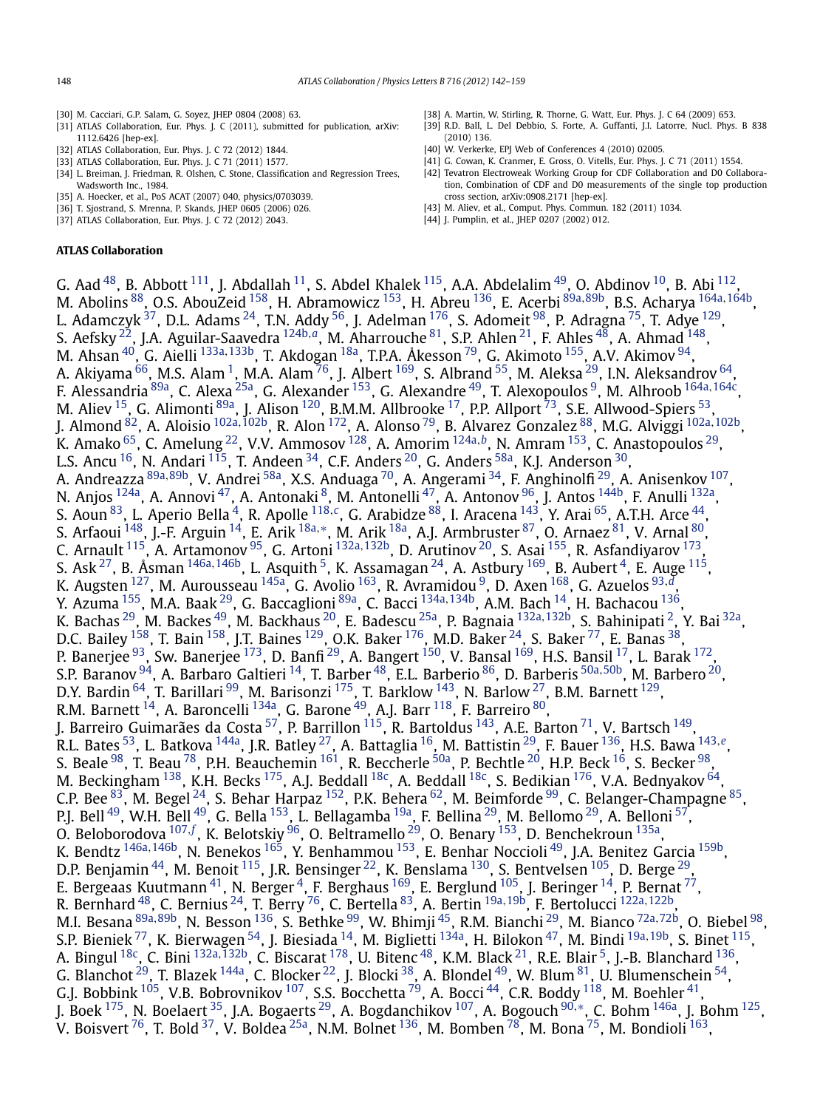- <span id="page-6-0"></span>[30] M. Cacciari, G.P. Salam, G. Soyez, JHEP 0804 (2008) 63.
- [31] ATLAS Collaboration, Eur. Phys. J. C (2011), submitted for publication, arXiv: 1112.6426 [hep-ex].
- [32] ATLAS Collaboration, Eur. Phys. J. C 72 (2012) 1844.
- [33] ATLAS Collaboration, Eur. Phys. J. C 71 (2011) 1577.
- [34] L. Breiman, J. Friedman, R. Olshen, C. Stone, Classification and Regression Trees, Wadsworth Inc., 1984.
- [35] A. Hoecker, et al., PoS ACAT (2007) 040, physics/0703039.
- [36] T. Sjostrand, S. Mrenna, P. Skands, JHEP 0605 (2006) 026.
- [37] ATLAS Collaboration, Eur. Phys. J. C 72 (2012) 2043.

# **ATLAS Collaboration**

- [38] A. Martin, W. Stirling, R. Thorne, G. Watt, Eur. Phys. I. C 64 (2009) 653.
- [39] R.D. Ball, L. Del Debbio, S. Forte, A. Guffanti, J.I. Latorre, Nucl. Phys. B 838 (2010) 136.
- [40] W. Verkerke, EPJ Web of Conferences 4 (2010) 02005.
- [41] G. Cowan, K. Cranmer, E. Gross, O. Vitells, Eur. Phys. J. C 71 (2011) 1554.
- [42] Tevatron Electroweak Working Group for CDF Collaboration and D0 Collaboration, Combination of CDF and D0 measurements of the single top production cross section, arXiv:0908.2171 [hep-ex].
- [43] M. Aliev, et al., Comput. Phys. Commun. 182 (2011) 1034.
- [44] J. Pumplin, et al., JHEP 0207 (2002) 012.

G. Aad  $^{48}$  $^{48}$  $^{48}$ , B. Abbott  $^{111}$ , J. Abdallah  $^{11}$ , S. Abdel Khalek  $^{115}$ , A.A. Abdelalim  $^{49}$ , O. Abdinov  $^{10}$ , B. Abi  $^{112}$ , M. Abolins [88,](#page-15-0) O.S. AbouZeid [158,](#page-16-0) H. Abramowicz [153,](#page-16-0) H. Abreu [136,](#page-16-0) E. Acerbi [89a](#page-15-0)*,*[89b,](#page-15-0) B.S. Acharya [164a](#page-16-0)*,*[164b,](#page-16-0) L. Adamczyk  $^{37}$ , D.L. Adams  $^{24}$ , T.N. Addy  $^{56}$ , J. Adelman  $^{176}$ , S. Adomeit  $^{98}$ , P. Adragna  $^{75}$  $^{75}$  $^{75}$ , T. Adye  $^{129}$ , S. Aefsky [22,](#page-15-0) J.A. Aguilar-Saavedra [124b](#page-16-0)*,[a](#page-17-0)*, M. Aharrouche [81,](#page-15-0) S.P. Ahlen [21,](#page-15-0) F. Ahles [48,](#page-15-0) A. Ahmad [148,](#page-16-0) M. Ahsan [40,](#page-15-0) G. Aielli [133a](#page-16-0)*,*[133b,](#page-16-0) T. Akdogan [18a,](#page-15-0) T.P.A. Åkesson [79,](#page-15-0) G. Akimoto [155](#page-16-0), A.V. Akimov [94,](#page-16-0) A. Akiyama  $^{66}$ , M.S. Alam  $^1$ , M.A. Alam  $^{76}$ , J. Albert  $^{169}$  $^{169}$  $^{169}$ , S. Albrand  $^{55}$ , M. Aleksa  $^{29}$ , I.N. Aleksandrov  $^{64}$ , F. Alessandria [89a,](#page-15-0) C. Alexa [25a,](#page-15-0) G. Alexander [153,](#page-16-0) G. Alexandre [49,](#page-15-0) T. Alexopoulos [9,](#page-14-0) M. Alhroob [164a](#page-16-0)*,*[164c,](#page-16-0) M. Aliev  $^{15}$ , G. Alimonti  $^{89\text{a}}$ , J. Alison  $^{120}$ , B.M.M. Allbrooke  $^{17}$ , P.P. Allport  $^{73}$ , S.E. Allwood-Spiers  $^{53}$ , J. Almond [82,](#page-15-0) A. Aloisio [102a](#page-16-0)*,*[102b,](#page-16-0) R. Alon [172,](#page-17-0) A. Alonso [79,](#page-15-0) B. Alvarez Gonzalez [88,](#page-15-0) M.G. Alviggi [102a](#page-16-0)*,*[102b,](#page-16-0) K. Amako <sup>65</sup>, C. Amelung <sup>22</sup>, V.V. Ammosov <sup>128</sup>, A. Amorim <sup>[124a](#page-16-0),*[b](#page-17-0)*</sup>, N. Amram <sup>153</sup>, C. Anastopoulos <sup>29</sup>, L.S. Ancu <sup>16</sup>, N. Andari <sup>115</sup>, T. Andeen <sup>[34](#page-15-0)</sup>, C.F. Anders <sup>20</sup>, G. Anders <sup>58a</sup>, K.J. Anderson <sup>[30](#page-15-0)</sup>, A. Andreazza [89a](#page-15-0)*,*[89b,](#page-15-0) V. Andrei [58a](#page-15-0), X.S. Anduaga [70](#page-15-0), A. Angerami [34,](#page-15-0) F. Anghinolfi [29,](#page-15-0) A. Anisenkov [107,](#page-16-0) N. Anjos <sup>124a</sup>, A. Annovi <sup>47</sup>, A. Antonaki <sup>8</sup>, M. Antonelli <sup>47</sup>, A. Antonov <sup>96</sup>, J. Antos <sup>144b</sup>, F. Anulli <sup>[132a](#page-16-0)</sup>, S. Aoun [83,](#page-15-0) L. Aperio Bella [4,](#page-14-0) R. Apolle [118](#page-16-0)*,[c](#page-17-0)*, G. Arabidze [88,](#page-15-0) I. Aracena [143,](#page-16-0) Y. Arai [65,](#page-15-0) A.T.H. Arce [44,](#page-15-0) S. Arfaoui [148,](#page-16-0) J.-F. Arguin [14,](#page-14-0) E. Arik [18a](#page-15-0)*,*[∗](#page-17-0), M. Arik [18a,](#page-15-0) A.J. Armbruster [87,](#page-15-0) O. Arnaez [81,](#page-15-0) V. Arnal [80,](#page-15-0) C. Arnault [115,](#page-16-0) A. Artamonov [95,](#page-16-0) G. Artoni [132a](#page-16-0)*,*[132b](#page-16-0), D. Arutinov [20,](#page-15-0) S. Asai [155,](#page-16-0) R. Asfandiyarov [173,](#page-17-0) S. Ask <sup>27</sup>, B. Åsman <sup>[146a](#page-16-0), 146b</sup>, L. Asquith <sup>5</sup>, K. Assamagan <sup>24</sup>, A. Astbury <sup>[169](#page-17-0)</sup>, B. Aubert <sup>4</sup>, E. Auge <sup>115</sup>, K. Augsten [127,](#page-16-0) M. Aurousseau [145a,](#page-16-0) G. Avolio [163,](#page-16-0) R. Avramidou [9,](#page-14-0) D. Axen [168,](#page-17-0) G. Azuelos [93](#page-16-0)*,[d](#page-17-0)*, Y. Azuma [155](#page-16-0), M.A. Baak [29,](#page-15-0) G. Baccaglioni [89a,](#page-15-0) C. Bacci [134a](#page-16-0)*,*[134b,](#page-16-0) A.M. Bach [14,](#page-14-0) H. Bachacou [136,](#page-16-0) K. Bachas [29](#page-15-0), M. Backes [49](#page-15-0), M. Backhaus [20,](#page-15-0) E. Badescu [25a](#page-15-0), P. Bagnaia [132a](#page-16-0)*,*[132b,](#page-16-0) S. Bahinipati [2,](#page-14-0) Y. Bai [32a,](#page-15-0) D.C. Bailey  $^{158}$ , T. Bain  $^{158}$ , J.T. Baines  $^{129}$ , O.K. Baker  $^{176}$  $^{176}$  $^{176}$ , M.D. Baker  $^{24}$ , S. Baker  $^{77}$ , E. Banas  $^{38}$  $^{38}$  $^{38}$ , P. Banerjee <sup>93</sup>, Sw. Banerjee <sup>173</sup>, D. Banfi<sup>29</sup>, A. Bangert <sup>150</sup>, V. Bansal <sup>169</sup>, H.S. Bansil <sup>17</sup>, L. Barak <sup>172</sup>, S.P. Baranov [94,](#page-16-0) A. Barbaro Galtieri [14,](#page-14-0) T. Barber [48,](#page-15-0) E.L. Barberio [86,](#page-15-0) D. Barberis [50a](#page-15-0)*,*[50b,](#page-15-0) M. Barbero [20,](#page-15-0) D.Y. Bardin  $^{64}$ , T. Barillari  $^{99}$ , M. Barisonzi  $^{175}$ , T. Barklow  $^{143}$ , N. Barlow  $^{27}$ , B.M. Barnett  $^{129}$ , R.M. Barnett<sup>14</sup>, A. Baroncelli<sup>134a</sup>, G. Barone<sup>49</sup>, A.J. Barr<sup>118</sup>, F. Barreiro<sup>80</sup>, J. Barreiro Guimarães da Costa<sup>57</sup>, P. Barrillon <sup>115</sup>, R. Bartoldus <sup>143</sup>, A.E. Barton <sup>71</sup>, V. Bartsch <sup>149</sup>, R.L. Bates [53](#page-15-0), L. Batkova [144a,](#page-16-0) J.R. Batley [27,](#page-15-0) A. Battaglia [16,](#page-15-0) M. Battistin [29,](#page-15-0) F. Bauer [136,](#page-16-0) H.S. Bawa [143](#page-16-0)*,[e](#page-17-0)*, S. Beale  $^{98}$ , T. Beau  $^{78}$ , P.H. Beauchemin  $^{161}$ , R. Beccherle  $^{50a}$ , P. Bechtle  $^{20}$ , H.P. Beck  $^{16}$ , S. Becker  $^{98}$ , M. Beckingham <sup>138</sup>, K.H. Becks <sup>175</sup>, A.J. Beddall <sup>18c</sup>, A. Beddall <sup>18c</sup>, S. Bedikian <sup>[176](#page-17-0)</sup>, V.A. Bednyakov <sup>64</sup>, C.P. Bee  $^{83}$ , M. Begel  $^{24}$ , S. Behar Harpaz  $^{152}$ , P.K. Behera  $^{62}$  $^{62}$  $^{62}$ , M. Beimforde  $^{99}$ , C. Belanger-Champagne  $^{85},$ P.J. Bell $^{49}$ , W.H. Bell $^{49}$ , G. Bella $^{153}$ , L. Bellagamba  $^{19a}$ , F. Bellina  $^{29}$ , M. Bellomo  $^{29}$ , A. Belloni  $^{57}$ , O. Beloborodova <sup>[107](#page-16-0), [f](#page-17-0)</sup>, K. Belotskiy <sup>96</sup>, O. Beltramello <sup>29</sup>, O. Benary <sup>153</sup>, D. Benchekroun <sup>[135a](#page-16-0)</sup>, K. Bendtz [146a](#page-16-0)*,*[146b,](#page-16-0) N. Benekos [165,](#page-16-0) Y. Benhammou [153,](#page-16-0) E. Benhar Noccioli [49,](#page-15-0) J.A. Benitez Garcia [159b,](#page-16-0) D.P. Benjamin <sup>44</sup>, M. Benoit<sup>115</sup>, J.R. Bensinger<sup>22</sup>, K. Benslama <sup>[130](#page-16-0)</sup>, S. Bentvelsen <sup>105</sup>, D. Berge<sup>29</sup>, E. Bergeaas Kuutmann $^{41}$ , N. Berger $^4$ , F. Berghaus  $^{169}$ , E. Berglund  $^{105}$ , J. Beringer  $^{14}$ , P. Bernat  $^{77}$ , R. Bernhard [48,](#page-15-0) C. Bernius [24,](#page-15-0) T. Berry [76,](#page-15-0) C. Bertella [83,](#page-15-0) A. Bertin [19a](#page-15-0)*,*[19b,](#page-15-0) F. Bertolucci [122a](#page-16-0)*,*[122b,](#page-16-0) M.I. Besana [89a](#page-15-0)*,*[89b,](#page-15-0) N. Besson [136,](#page-16-0) S. Bethke [99](#page-16-0), W. Bhimji [45,](#page-15-0) R.M. Bianchi [29,](#page-15-0) M. Bianco [72a](#page-15-0)*,*[72b,](#page-15-0) O. Biebel [98,](#page-16-0) S.P. Bieniek [77,](#page-15-0) K. Bierwagen [54,](#page-15-0) J. Biesiada [14,](#page-14-0) M. Biglietti [134a,](#page-16-0) H. Bilokon [47,](#page-15-0) M. Bindi [19a](#page-15-0)*,*[19b,](#page-15-0) S. Binet [115,](#page-16-0) A. Bingul [18c](#page-15-0), C. Bini [132a](#page-16-0)*,*[132b,](#page-16-0) C. Biscarat [178,](#page-17-0) U. Bitenc [48,](#page-15-0) K.M. Black [21,](#page-15-0) R.E. Blair [5,](#page-14-0) J.-B. Blanchard [136,](#page-16-0) G. Blanchot <sup>29</sup>, T. Blazek <sup>144a</sup>, C. Blocker <sup>22</sup>, J. Blocki <sup>38</sup>, A. Blondel <sup>49</sup>, W. Blum <sup>81</sup>, U. Blumenschein <sup>[54](#page-15-0)</sup>, G.J. Bobbink  $^{105}$ , V.B. Bobrovnikov  $^{107}$ , S.S. Bocchetta  $^{79}$ , A. Bocci  $^{44}$ , C.R. Boddy  $^{118}$ , M. Boehler  $^{41}$  $^{41}$  $^{41}$ , J. Boek [175,](#page-17-0) N. Boelaert [35](#page-15-0), J.A. Bogaerts [29,](#page-15-0) A. Bogdanchikov [107,](#page-16-0) A. Bogouch [90](#page-15-0)*,*[∗](#page-17-0), C. Bohm [146a,](#page-16-0) J. Bohm [125,](#page-16-0) V. Boisvert  $^{76}$ , T. Bold  $^{37}$ , V. Boldea  $^{25\mathrm{a}}$ , N.M. Bolnet  $^{136}$ , M. Bomben  $^{78}$ , M. Bona  $^{75}$ , M. Bondioli  $^{163}$ ,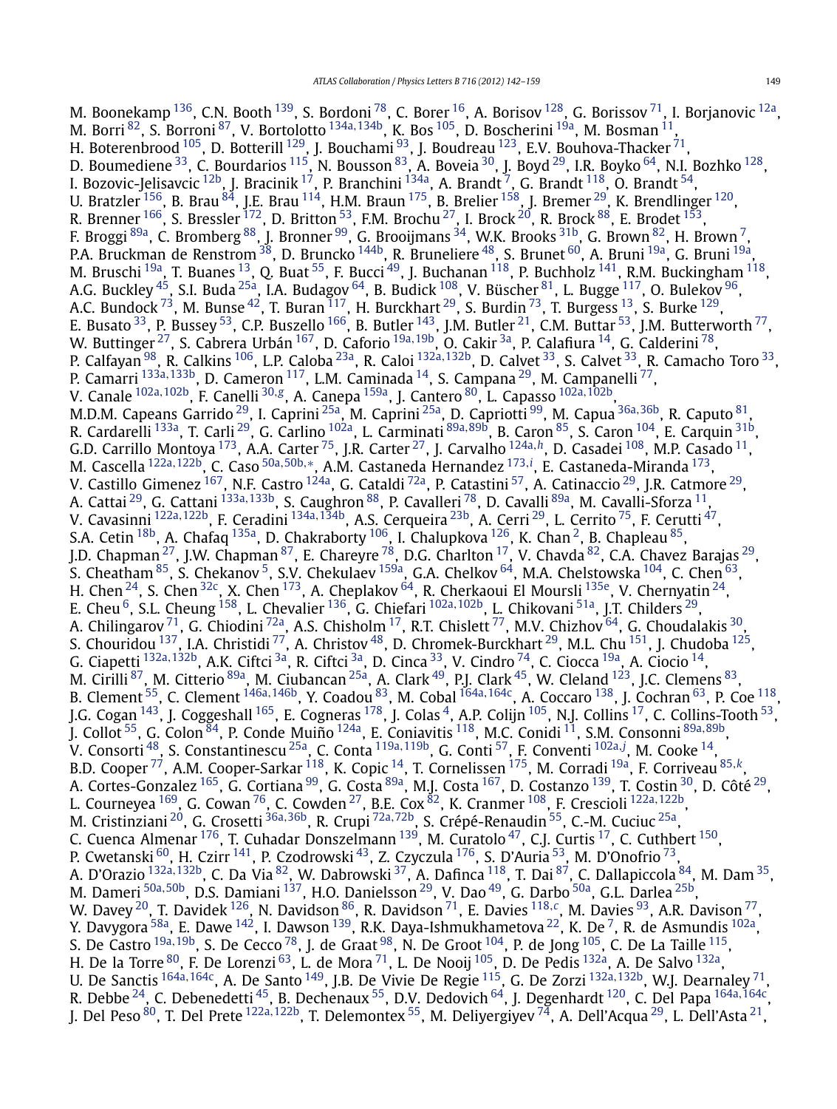M. Boonekamp <sup>136</sup>, C.N. Booth <sup>139</sup>, S. Bordoni <sup>[78](#page-15-0)</sup>, C. Borer <sup>16</sup>, A. Borisov <sup>128</sup>, G. Borissov <sup>71</sup>, I. Borjanovic <sup>12a</sup>, M. Borri [82,](#page-15-0) S. Borroni [87,](#page-15-0) V. Bortolotto [134a](#page-16-0)*,*[134b](#page-16-0), K. Bos [105](#page-16-0), D. Boscherini [19a,](#page-15-0) M. Bosman [11,](#page-14-0) H. Boterenbrood  $^{105}$ , D. Botterill  $^{129}$ , J. Bouchami  $^{93}$ , J. Boudreau  $^{123}$ , E.V. Bouhova-Thacker  $^{71}$ , D. Boumediene  $^{33}$ , C. Bourdarios  $^{115}$ , N. Bousson  $^{83}$ , A. Boveia  $^{30}$ , J. Boyd  $^{29}$ , I.R. Boyko  $^{64}$  $^{64}$  $^{64}$ , N.I. Bozhko  $^{128},$ I. Bozovic-Jelisavcic  $^{12\mathsf{b}}$ , J. Bracinik  $^{17}$ , P. Branchini  $^{134\mathsf{a}}$ , A. Brandt  $^7$ , G. Brandt  $^{118}$ , O. Brandt  $^{54}$ , U. Bratzler <sup>156</sup>, B. Brau  $^{84}$ , J.E. Brau  $^{114}$ , H.M. Braun  $^{175}$ , B. Brelier  $^{158}$ , J. Bremer  $^{29}$ , K. Brendlinger  $^{120}$ , R. Brenner  $^{166}$ , S. Bressler  $^{172}$ , D. Britton  $^{53}$ , F.M. Brochu  $^{27}$ , I. Brock  $^{20}$ , R. Brock  $^{88}$ , E. Brodet  $^{153}$ , F. Broggi  $^{89a}$ , C. Bromberg  $^{88}$ , J. Bronner  $^{99}$ , G. Brooijmans  $^{34}$ , W.K. Brooks  $^{31b}$ , G. Brown  $^{82}$ , H. Brown  $^7$ , P.A. Bruckman de Renstrom <sup>[38](#page-15-0)</sup>, D. Bruncko <sup>144b</sup>, R. Bruneliere <sup>48</sup>, S. Brunet <sup>60</sup>, A. Bruni <sup>[19a](#page-15-0)</sup>, G. Bruni <sup>19a</sup>, M. Bruschi <sup>19a</sup>, T. Buanes <sup>13</sup>, Q. Buat <sup>55</sup>, F. Bucci <sup>49</sup>, J. Buchanan <sup>118</sup>, P. Buchholz <sup>141</sup>, R.M. Buckingham <sup>118</sup>, A.G. Buckley  $^{45}$ , S.I. Buda  $^{25\text{a}}$ , I.A. Budagov  $^{64}$ , B. Budick  $^{108}$ , V. Büscher  $^{81}$ , L. Bugge  $^{117}$ , O. Bulekov  $^{96}$ , A.C. Bundock  $^{73}$ , M. Bunse  $^{42}$ , T. Buran  $^{117}$ , H. Burckhart  $^{29}$ , S. Burdin  $^{73}$ , T. Burgess  $^{13}$ , S. Burke  $^{129}$ , E. Busato  $^{33}$ , P. Bussey  $^{53}$ , C.P. Buszello  $^{166}$ , B. Butler  $^{143}$ , J.M. Butler  $^{21}$ , C.M. Buttar  $^{53}$ , J.M. Butterworth  $^{77}$ , W. Buttinger [27,](#page-15-0) S. Cabrera Urbán [167](#page-17-0), D. Caforio [19a](#page-15-0)*,*[19b,](#page-15-0) O. Cakir [3a,](#page-14-0) P. Calafiura [14,](#page-14-0) G. Calderini [78,](#page-15-0) P. Calfayan [98,](#page-16-0) R. Calkins [106,](#page-16-0) L.P. Caloba [23a,](#page-15-0) R. Caloi [132a](#page-16-0)*,*[132b,](#page-16-0) D. Calvet [33,](#page-15-0) S. Calvet [33,](#page-15-0) R. Camacho Toro [33,](#page-15-0) P. Camarri [133a](#page-16-0)*,*[133b,](#page-16-0) D. Cameron [117,](#page-16-0) L.M. Caminada [14,](#page-14-0) S. Campana [29,](#page-15-0) M. Campanelli [77,](#page-15-0) V. Canale [102a](#page-16-0)*,*[102b,](#page-16-0) F. Canelli [30](#page-15-0)*,[g](#page-17-0)*, A. Canepa [159a,](#page-16-0) J. Cantero [80,](#page-15-0) L. Capasso [102a](#page-16-0)*,*[102b,](#page-16-0) M.D.M. Capeans Garrido [29](#page-15-0), I. Caprini [25a](#page-15-0), M. Caprini [25a,](#page-15-0) D. Capriotti [99,](#page-16-0) M. Capua [36a](#page-15-0)*,*[36b,](#page-15-0) R. Caputo [81,](#page-15-0) R. Cardarelli [133a,](#page-16-0) T. Carli [29,](#page-15-0) G. Carlino [102a,](#page-16-0) L. Carminati [89a](#page-15-0)*,*[89b](#page-15-0), B. Caron [85,](#page-15-0) S. Caron [104,](#page-16-0) E. Carquin [31b](#page-15-0), G.D. Carrillo Montoya [173,](#page-17-0) A.A. Carter [75,](#page-15-0) J.R. Carter [27,](#page-15-0) J. Carvalho [124a](#page-16-0)*,[h](#page-17-0)*, D. Casadei [108,](#page-16-0) M.P. Casado [11,](#page-14-0) M. Cascella [122a](#page-16-0)*,*[122b,](#page-16-0) C. Caso [50a](#page-15-0)*,*[50b](#page-15-0)*,*[∗](#page-17-0), A.M. Castaneda Hernandez [173](#page-17-0)*,[i](#page-17-0)* , E. Castaneda-Miranda [173,](#page-17-0) V. Castillo Gimenez<sup>167</sup>, N.F. Castro <sup>124a</sup>, G. Cataldi <sup>72a</sup>, P. Catastini <sup>57</sup>, A. Catinaccio <sup>[29](#page-15-0)</sup>, J.R. Catmore <sup>29</sup>, A. Cattai [29](#page-15-0), G. Cattani [133a](#page-16-0)*,*[133b,](#page-16-0) S. Caughron [88,](#page-15-0) P. Cavalleri [78,](#page-15-0) D. Cavalli [89a,](#page-15-0) M. Cavalli-Sforza [11,](#page-14-0) V. Cavasinni [122a](#page-16-0)*,*[122b,](#page-16-0) F. Ceradini [134a](#page-16-0)*,*[134b,](#page-16-0) A.S. Cerqueira [23b,](#page-15-0) A. Cerri [29,](#page-15-0) L. Cerrito [75,](#page-15-0) F. Cerutti [47,](#page-15-0) S.A. Cetin  $^{18\text{b}}$ , A. Chafaq  $^{135\text{a}}$ , D. Chakraborty  $^{106}$ , I. Chalupkova  $^{126}$  $^{126}$  $^{126}$ , K. Chan  $^2$ , B. Chapleau  $^{85}$ , J.D. Chapman  $^{27}$ , J.W. Chapman  $^{87}$ , E. Chareyre  $^{78}$ , D.G. Charlton  $^{17}$ , V. Chavda  $^{82}$  $^{82}$  $^{82}$ , C.A. Chavez Barajas  $^{29}$ , S. Cheatham  $^{85}$ , S. Chekanov  $^5$ , S.V. Chekulaev  $^{159}$ , G.A. Chelkov  $^{64}$ , M.A. Chelstowska  $^{104}$ , C. Chen  $^{63}$ , H. Chen <sup>24</sup>, S. Chen <sup>32c</sup>, X. Chen <sup>173</sup>, A. Cheplakov <sup>64</sup>, R. Cherkaoui El Moursli <sup>[135e](#page-16-0)</sup>, V. Chernyatin <sup>24</sup>, E. Cheu [6,](#page-14-0) S.L. Cheung [158,](#page-16-0) L. Chevalier [136,](#page-16-0) G. Chiefari [102a](#page-16-0)*,*[102b,](#page-16-0) L. Chikovani [51a,](#page-15-0) J.T. Childers [29,](#page-15-0) A. Chilingarov <sup>71</sup>, G. Chiodini <sup>72a</sup>, A.S. Chisholm <sup>17</sup>, R.T. Chislett <sup>77</sup>, M.V. Chizhov <sup>64</sup>, G. Choudalakis <sup>30</sup>, S. Chouridou  $^{137}$  $^{137}$  $^{137}$ , I.A. Christidi  $^{77}$ , A. Christov  $^{48}$ , D. Chromek-Burckhart  $^{29}$ , M.L. Chu  $^{151}$  $^{151}$  $^{151}$ , J. Chudoba  $^{125}$ , G. Ciapetti [132a](#page-16-0)*,*[132b,](#page-16-0) A.K. Ciftci [3a,](#page-14-0) R. Ciftci [3a,](#page-14-0) D. Cinca [33](#page-15-0), V. Cindro [74,](#page-15-0) C. Ciocca [19a,](#page-15-0) A. Ciocio [14,](#page-14-0) M. Cirilli <sup>87</sup>, M. Citterio <sup>89a</sup>, M. Ciubancan <sup>25a</sup>, A. Clark <sup>49</sup>, P.J. Clark <sup>45</sup>, W. Cleland <sup>123</sup>, J.C. Clemens <sup>83</sup>, B. Clement [55,](#page-15-0) C. Clement [146a](#page-16-0)*,*[146b,](#page-16-0) Y. Coadou [83,](#page-15-0) M. Cobal [164a](#page-16-0)*,*[164c,](#page-16-0) A. Coccaro [138,](#page-16-0) J. Cochran [63,](#page-15-0) P. Coe [118,](#page-16-0) J.G. Cogan <sup>143</sup>, J. Coggeshall <sup>165</sup>, E. Cogneras <sup>[178](#page-17-0)</sup>, J. Colas <sup>4</sup>, A.P. Colijn <sup>105</sup>, N.J. Collins <sup>17</sup>, C. Collins-Tooth <sup>53</sup>, J. Collot [55,](#page-15-0) G. Colon [84](#page-15-0), P. Conde Muiño [124a,](#page-16-0) E. Coniavitis [118,](#page-16-0) M.C. Conidi [11,](#page-14-0) S.M. Consonni [89a](#page-15-0)*,*[89b,](#page-15-0) V. Consorti [48,](#page-15-0) S. Constantinescu [25a,](#page-15-0) C. Conta [119a](#page-16-0)*,*[119b](#page-16-0), G. Conti [57,](#page-15-0) F. Conventi [102a](#page-16-0)*,[j](#page-17-0)* , M. Cooke [14](#page-14-0), B.D. Cooper [77,](#page-15-0) A.M. Cooper-Sarkar [118,](#page-16-0) K. Copic [14,](#page-14-0) T. Cornelissen [175,](#page-17-0) M. Corradi [19a,](#page-15-0) F. Corriveau [85](#page-15-0)*,[k](#page-17-0)*, A. Cortes-Gonzalez <sup>165</sup>, G. Cortiana <sup>[99](#page-16-0)</sup>, G. Costa <sup>89a</sup>, M.J. Costa <sup>167</sup>, D. Costanzo <sup>139</sup>, T. Costin <sup>[30](#page-15-0)</sup>, D. Côté <sup>29</sup>, L. Courneyea [169,](#page-17-0) G. Cowan [76,](#page-15-0) C. Cowden [27,](#page-15-0) B.E. Cox [82,](#page-15-0) K. Cranmer [108,](#page-16-0) F. Crescioli [122a](#page-16-0)*,*[122b,](#page-16-0) M. Cristinziani <sup>20</sup>, G. Crosetti <sup>[36a](#page-15-0), 36b</sup>, R. Crupi <sup>[72a](#page-15-0), [72b](#page-15-0)</sup>, S. Crépé-Renaudin <sup>55</sup>, C.-M. Cuciuc <sup>25a</sup>, C. Cuenca Almenar <sup>176</sup>, T. Cuhadar Donszelmann <sup>139</sup>, M. Curatolo <sup>47</sup>, C.J. Curtis <sup>17</sup>, C. Cuthbert <sup>150</sup>, P. Cwetanski <sup>60</sup>, H. Czirr <sup>141</sup>, P. Czodrowski <sup>[43](#page-15-0)</sup>, Z. Czyczula <sup>176</sup>, S. D'Auria <sup>53</sup>, M. D'Onofrio <sup>73</sup>, A. D'Orazio [132a](#page-16-0)*,*[132b,](#page-16-0) C. Da Via [82](#page-15-0), W. Dabrowski [37,](#page-15-0) A. Dafinca [118,](#page-16-0) T. Dai [87,](#page-15-0) C. Dallapiccola [84,](#page-15-0) M. Dam [35](#page-15-0), M. Dameri [50a](#page-15-0)*,*[50b,](#page-15-0) D.S. Damiani [137](#page-16-0), H.O. Danielsson [29,](#page-15-0) V. Dao [49,](#page-15-0) G. Darbo [50a,](#page-15-0) G.L. Darlea [25b,](#page-15-0) W. Davey [20,](#page-15-0) T. Davidek [126,](#page-16-0) N. Davidson [86,](#page-15-0) R. Davidson [71,](#page-15-0) E. Davies [118](#page-16-0)*,[c](#page-17-0)*, M. Davies [93](#page-16-0), A.R. Davison [77,](#page-15-0) Y. Davygora <sup>58a</sup>, E. Dawe <sup>142</sup>, I. Dawson <sup>139</sup>, R.K. Daya-Ishmukhametova <sup>22</sup>, K. De<sup>7</sup>, R. de Asmundis <sup>102a</sup>, S. De Castro [19a](#page-15-0)*,*[19b,](#page-15-0) S. De Cecco [78,](#page-15-0) J. de Graat [98,](#page-16-0) N. De Groot [104,](#page-16-0) P. de Jong [105,](#page-16-0) C. De La Taille [115,](#page-16-0) H. De la Torre $^{80}$ , F. De Lorenzi $^{63}$ , L. de Mora $^{71}$ , L. De Nooij  $^{105}$ , D. De Pedis  $^{132}$ , A. De Salvo  $^{132}$ , U. De Sanctis [164a](#page-16-0)*,*[164c,](#page-16-0) A. De Santo [149,](#page-16-0) J.B. De Vivie De Regie [115,](#page-16-0) G. De Zorzi [132a](#page-16-0)*,*[132b,](#page-16-0) W.J. Dearnaley [71,](#page-15-0) R. Debbe [24,](#page-15-0) C. Debenedetti [45,](#page-15-0) B. Dechenaux [55,](#page-15-0) D.V. Dedovich [64,](#page-15-0) J. Degenhardt [120,](#page-16-0) C. Del Papa [164a](#page-16-0)*,*[164c,](#page-16-0) J. Del Peso [80,](#page-15-0) T. Del Prete [122a](#page-16-0)*,*[122b,](#page-16-0) T. Delemontex [55,](#page-15-0) M. Deliyergiyev [74,](#page-15-0) A. Dell'Acqua [29,](#page-15-0) L. Dell'Asta [21](#page-15-0),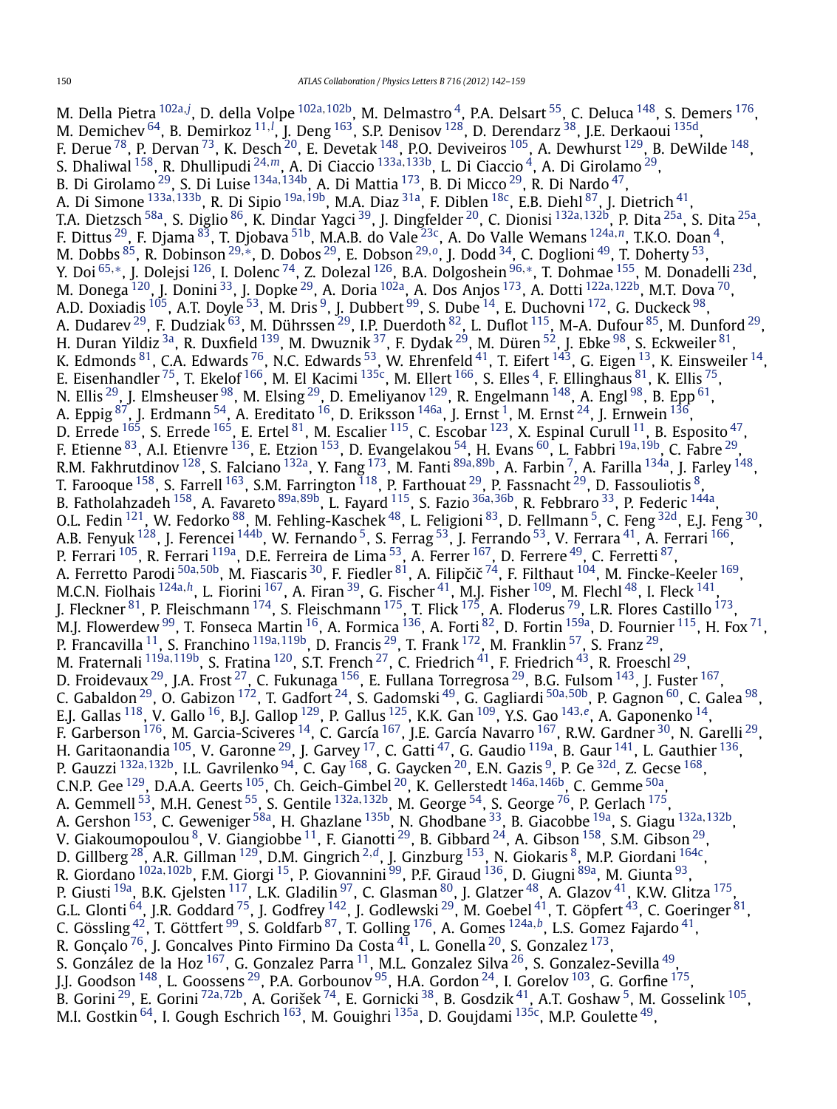M. Della Pietra <sup>[102a](#page-16-0),[j](#page-17-0)</sup>, D. della Volpe <sup>102a,102b</sup>, M. Delmastro <sup>4</sup>, P.A. Delsart <sup>[55](#page-15-0)</sup>, C. Deluca <sup>148</sup>, S. Demers <sup>176</sup>, M. Demichev <sup>64</sup>, B. Demirkoz <sup>[11](#page-14-0), [</sup>, J. Deng <sup>[163](#page-16-0)</sup>, S.P. Denisov <sup>[128](#page-16-0)</sup>, D. Derendarz <sup>38</sup>, J.E. Derkaoui <sup>135d</sup>, F. Derue  $^{78}$ , P. Dervan  $^{73}$  $^{73}$  $^{73}$ , K. Desch  $^{20}$ , E. Devetak  $^{148}$ , P.O. Deviveiros  $^{105}$ , A. Dewhurst  $^{129}$ , B. DeWilde  $^{148}$ , S. Dhaliwal [158,](#page-16-0) R. Dhullipudi [24](#page-15-0)*,[m](#page-17-0)*, A. Di Ciaccio [133a](#page-16-0)*,*[133b,](#page-16-0) L. Di Ciaccio [4,](#page-14-0) A. Di Girolamo [29,](#page-15-0) B. Di Girolamo [29,](#page-15-0) S. Di Luise [134a](#page-16-0)*,*[134b,](#page-16-0) A. Di Mattia [173,](#page-17-0) B. Di Micco [29,](#page-15-0) R. Di Nardo [47,](#page-15-0) A. Di Simone [133a](#page-16-0)*,*[133b,](#page-16-0) R. Di Sipio [19a](#page-15-0)*,*[19b](#page-15-0), M.A. Diaz [31a,](#page-15-0) F. Diblen [18c,](#page-15-0) E.B. Diehl [87,](#page-15-0) J. Dietrich [41,](#page-15-0) T.A. Dietzsch [58a,](#page-15-0) S. Diglio [86](#page-15-0), K. Dindar Yagci [39,](#page-15-0) J. Dingfelder [20,](#page-15-0) C. Dionisi [132a](#page-16-0)*,*[132b,](#page-16-0) P. Dita [25a,](#page-15-0) S. Dita [25a,](#page-15-0) F. Dittus [29,](#page-15-0) F. Djama [83,](#page-15-0) T. Djobava [51b,](#page-15-0) M.A.B. do Vale [23c](#page-15-0), A. Do Valle Wemans [124a](#page-16-0)*,[n](#page-17-0)*, T.K.O. Doan [4,](#page-14-0) M. Dobbs [85,](#page-15-0) R. Dobinson [29](#page-15-0)*,*[∗](#page-17-0), D. Dobos [29,](#page-15-0) E. Dobson [29](#page-15-0)*,[o](#page-17-0)*, J. Dodd [34,](#page-15-0) C. Doglioni [49,](#page-15-0) T. Doherty [53,](#page-15-0) Y. Doi [65](#page-15-0)*,*[∗](#page-17-0), J. Dolejsi [126,](#page-16-0) I. Dolenc [74,](#page-15-0) Z. Dolezal [126,](#page-16-0) B.A. Dolgoshein [96](#page-16-0)*,*[∗](#page-17-0), T. Dohmae [155,](#page-16-0) M. Donadelli [23d,](#page-15-0) M. Donega [120,](#page-16-0) J. Donini [33,](#page-15-0) J. Dopke [29,](#page-15-0) A. Doria [102a](#page-16-0), A. Dos Anjos [173,](#page-17-0) A. Dotti [122a](#page-16-0)*,*[122b,](#page-16-0) M.T. Dova [70,](#page-15-0) A.D. Doxiadis  $^{105}$ , A.T. Doyle  $^{53}$ , M. Dris  $^{9}$ , J. Dubbert  $^{99}$ , S. Dube  $^{14}$ , E. Duchovni  $^{172}$ , G. Duckeck  $^{98}$ , A. Dudarev <sup>[29](#page-15-0)</sup>, F. Dudziak <sup>63</sup>, M. Dührssen <sup>29</sup>, I.P. Duerdoth <sup>82</sup>, L. Duflot <sup>115</sup>, M-A. Dufour <sup>85</sup>, M. Dunford <sup>29</sup>, H. Duran Yildiz <sup>3a</sup>, R. Duxfield <sup>139</sup>, M. Dwuznik <sup>37</sup>, F. Dydak <sup>29</sup>, M. Düren <sup>52</sup>, J. Ebke <sup>98</sup>, S. Eckweiler <sup>81</sup>, K. Edmonds  $^{81}$  $^{81}$  $^{81}$ , C.A. Edwards  $^{76}$  $^{76}$  $^{76}$ , N.C. Edwards  $^{53}$ , W. Ehrenfeld  $^{41}$ , T. Eifert  $^{143}$ , G. Eigen  $^{13}$ , K. Einsweiler  $^{14}$ , E. Eisenhandler <sup>75</sup>, T. Ekelof <sup>166</sup>, M. El Kacimi <sup>135c</sup>, M. Ellert <sup>166</sup>, S. Elles <sup>4</sup>, F. Ellinghaus <sup>81</sup>, K. Ellis <sup>75</sup>, N. Ellis  $^{29}$ , J. Elmsheuser  $^{98}$ , M. Elsing  $^{29}$ , D. Emeliyanov  $^{129}$ , R. Engelmann  $^{148}$ , A. Engl  $^{98}$ , B. Epp  $^{61}$ , A. Eppig  $^{87}$ , J. Erdmann  $^{54}$ , A. Ereditato  $^{16}$ , D. Eriksson  $^{146}$ , J. Ernst  $^1$ , M. Ernst  $^{24}$ , J. Ernwein  $^{136}$  $^{136}$  $^{136}$ , D. Errede  $^{165}$  $^{165}$  $^{165}$ , S. Errede  $^{165}$ , E. Ertel  $^{81}$ , M. Escalier  $^{115}$ , C. Escobar  $^{123}$ , X. Espinal Curull  $^{11}$ , B. Esposito  $^{47}$ , F. Etienne [83,](#page-15-0) A.I. Etienvre [136,](#page-16-0) E. Etzion [153,](#page-16-0) D. Evangelakou [54,](#page-15-0) H. Evans [60,](#page-15-0) L. Fabbri [19a](#page-15-0)*,*[19b,](#page-15-0) C. Fabre [29,](#page-15-0) R.M. Fakhrutdinov [128](#page-16-0), S. Falciano [132a,](#page-16-0) Y. Fang [173,](#page-17-0) M. Fanti [89a](#page-15-0)*,*[89b,](#page-15-0) A. Farbin [7,](#page-14-0) A. Farilla [134a,](#page-16-0) J. Farley [148](#page-16-0), T. Farooque  $^{158}$ , S. Farrell  $^{163}$ , S.M. Farrington  $^{118}$ , P. Farthouat  $^{29}$ , P. Fassnacht  $^{29}$ , D. Fassouliotis  $^8$ , B. Fatholahzadeh [158,](#page-16-0) A. Favareto [89a](#page-15-0)*,*[89b,](#page-15-0) L. Fayard [115,](#page-16-0) S. Fazio [36a](#page-15-0)*,*[36b,](#page-15-0) R. Febbraro [33,](#page-15-0) P. Federic [144a](#page-16-0), O.L. Fedin <sup>121</sup>, W. Fedorko <sup>88</sup>, M. Fehling-Kaschek <sup>48</sup>, L. Feligioni <sup>83</sup>, D. Fellmann <sup>5</sup>, C. Feng <sup>32d</sup>, E.J. Feng <sup>30</sup>, A.B. Fenyuk <sup>128</sup>, J. Ferencei <sup>[144b](#page-16-0)</sup>, W. Fernando <sup>5</sup>, S. Ferrag <sup>53</sup>, J. Ferrando <sup>53</sup>, V. Ferrara <sup>41</sup>, A. Ferrari <sup>166</sup>, P. Ferrari <sup>105</sup>, R. Ferrari <sup>119a</sup>, D.E. Ferreira de Lima <sup>[53](#page-15-0)</sup>, A. Ferrer <sup>167</sup>, D. Ferrere <sup>49</sup>, C. Ferretti <sup>87</sup>, A. Ferretto Parodi <sup>[50a](#page-15-0),50b</sup>, M. Fiascaris <sup>30</sup>, F. Fiedler <sup>81</sup>, A. Filipčič <sup>74</sup>, F. Filthaut <sup>104</sup>, M. Fincke-Keeler <sup>169</sup>, M.C.N. Fiolhais [124a](#page-16-0)*,[h](#page-17-0)*, L. Fiorini [167,](#page-17-0) A. Firan [39,](#page-15-0) G. Fischer [41,](#page-15-0) M.J. Fisher [109,](#page-16-0) M. Flechl [48,](#page-15-0) I. Fleck [141,](#page-16-0) J. Fleckner <sup>81</sup>, P. Fleischmann <sup>174</sup>, S. Fleischmann <sup>175</sup>, T. Flick <sup>175</sup>, A. Floderus <sup>79</sup>, L.R. Flores Castillo <sup>173</sup>, M.J. Flowerdew <sup>[99](#page-16-0)</sup>, T. Fonseca Martin <sup>16</sup>, A. Formica <sup>136</sup>, A. Forti <sup>[82](#page-15-0)</sup>, D. Fortin <sup>159a</sup>, D. Fournier <sup>115</sup>, H. Fox <sup>71</sup>, P. Francavilla [11,](#page-14-0) S. Franchino [119a](#page-16-0)*,*[119b,](#page-16-0) D. Francis [29,](#page-15-0) T. Frank [172,](#page-17-0) M. Franklin [57,](#page-15-0) S. Franz [29](#page-15-0), M. Fraternali [119a](#page-16-0)*,*[119b,](#page-16-0) S. Fratina [120](#page-16-0), S.T. French [27,](#page-15-0) C. Friedrich [41,](#page-15-0) F. Friedrich [43](#page-15-0), R. Froeschl [29,](#page-15-0) D. Froidevaux $^{29}$ , J.A. Frost $^{27}$ , C. Fukunaga  $^{156}$  $^{156}$  $^{156}$ , E. Fullana Torregrosa $^{29}$ , B.G. Fulsom  $^{143}$ , J. Fuster  $^{167}$ , C. Gabaldon [29,](#page-15-0) O. Gabizon [172,](#page-17-0) T. Gadfort [24,](#page-15-0) S. Gadomski [49,](#page-15-0) G. Gagliardi [50a](#page-15-0)*,*[50b](#page-15-0), P. Gagnon [60,](#page-15-0) C. Galea [98,](#page-16-0) E.J. Gallas [118,](#page-16-0) V. Gallo [16,](#page-15-0) B.J. Gallop [129,](#page-16-0) P. Gallus [125,](#page-16-0) K.K. Gan [109,](#page-16-0) Y.S. Gao [143](#page-16-0)*,[e](#page-17-0)*, A. Gaponenko [14](#page-14-0), F. Garberson <sup>176</sup>, M. Garcia-Sciveres <sup>14</sup>, C. García <sup>167</sup>, J.E. García Navarro <sup>167</sup>, R.W. Gardner <sup>30</sup>, N. Garelli <sup>29</sup>, H. Garitaonandia  $^{105}$ , V. Garonne  $^{29}$  $^{29}$  $^{29}$ , J. Garvey  $^{17}$ , C. Gatti  $^{47}$ , G. Gaudio  $^{119$ a, B. Gaur  $^{141}$ , L. Gauthier  $^{136}$ , P. Gauzzi [132a](#page-16-0)*,*[132b,](#page-16-0) I.L. Gavrilenko [94](#page-16-0), C. Gay [168](#page-17-0), G. Gaycken [20,](#page-15-0) E.N. Gazis [9,](#page-14-0) P. Ge [32d,](#page-15-0) Z. Gecse [168](#page-17-0), C.N.P. Gee [129](#page-16-0), D.A.A. Geerts [105,](#page-16-0) Ch. Geich-Gimbel [20,](#page-15-0) K. Gellerstedt [146a](#page-16-0)*,*[146b,](#page-16-0) C. Gemme [50a,](#page-15-0) A. Gemmell [53,](#page-15-0) M.H. Genest [55,](#page-15-0) S. Gentile [132a](#page-16-0)*,*[132b](#page-16-0), M. George [54,](#page-15-0) S. George [76,](#page-15-0) P. Gerlach [175,](#page-17-0) A. Gershon [153,](#page-16-0) C. Geweniger [58a,](#page-15-0) H. Ghazlane [135b,](#page-16-0) N. Ghodbane [33,](#page-15-0) B. Giacobbe [19a](#page-15-0), S. Giagu [132a](#page-16-0)*,*[132b,](#page-16-0) V. Giakoumopoulou  $^8$ , V. Giangiobbe  $^{11}$ , F. Gianotti  $^{29}$  $^{29}$  $^{29}$ , B. Gibbard  $^{24}$ , A. Gibson  $^{158}$ , S.M. Gibson  $^{29}$ , D. Gillberg [28](#page-15-0), A.R. Gillman [129,](#page-16-0) D.M. Gingrich [2](#page-14-0)*,[d](#page-17-0)*, J. Ginzburg [153,](#page-16-0) N. Giokaris [8,](#page-14-0) M.P. Giordani [164c,](#page-16-0) R. Giordano [102a](#page-16-0)*,*[102b,](#page-16-0) F.M. Giorgi [15,](#page-14-0) P. Giovannini [99](#page-16-0), P.F. Giraud [136,](#page-16-0) D. Giugni [89a,](#page-15-0) M. Giunta [93,](#page-16-0) P. Giusti <sup>19a</sup>, B.K. Gjelsten <sup>117</sup>, L.K. Gladilin <sup>97</sup>, C. Glasman <sup>80</sup>, J. Glatzer <sup>48</sup>, A. Glazov <sup>41</sup>, K.W. Glitza <sup>175</sup>, G.L. Glonti  $^{64}$  $^{64}$  $^{64}$ , J.R. Goddard  $^{75}$ , J. Godfrey  $^{142}$ , J. Godlewski  $^{29}$ , M. Goebel  $^{41}$ , T. Göpfert  $^{43}$  $^{43}$  $^{43}$ , C. Goeringer  $^{81}$ , C. Gössling [42,](#page-15-0) T. Göttfert [99,](#page-16-0) S. Goldfarb [87,](#page-15-0) T. Golling [176](#page-17-0), A. Gomes [124a](#page-16-0)*,[b](#page-17-0)*, L.S. Gomez Fajardo [41](#page-15-0), R. Gonçalo  $^{76}$ , J. Goncalves Pinto Firmino Da Costa $^{41}$ , L. Gonella  $^{20}$ , S. Gonzalez  $^{173},$ S. González de la Hoz <sup>167</sup>, G. Gonzalez Parra <sup>11</sup>, M.L. Gonzalez Silva <sup>26</sup>, S. Gonzalez-Sevilla <sup>49</sup>, J.J. Goodson  $^{148}$ , L. Goossens  $^{29}$ , P.A. Gorbounov  $^{95}$ , H.A. Gordon  $^{24}$ , I. Gorelov  $^{103}$ , G. Gorfine  $^{175}$ , B. Gorini [29,](#page-15-0) E. Gorini [72a](#page-15-0)*,*[72b,](#page-15-0) A. Gorišek [74](#page-15-0), E. Gornicki [38,](#page-15-0) B. Gosdzik [41,](#page-15-0) A.T. Goshaw [5,](#page-14-0) M. Gosselink [105,](#page-16-0) M.I. Gostkin <sup>64</sup>, I. Gough Eschrich <sup>163</sup>, M. Gouighri <sup>135a</sup>, D. Goujdami <sup>135c</sup>, M.P. Goulette <sup>49</sup>,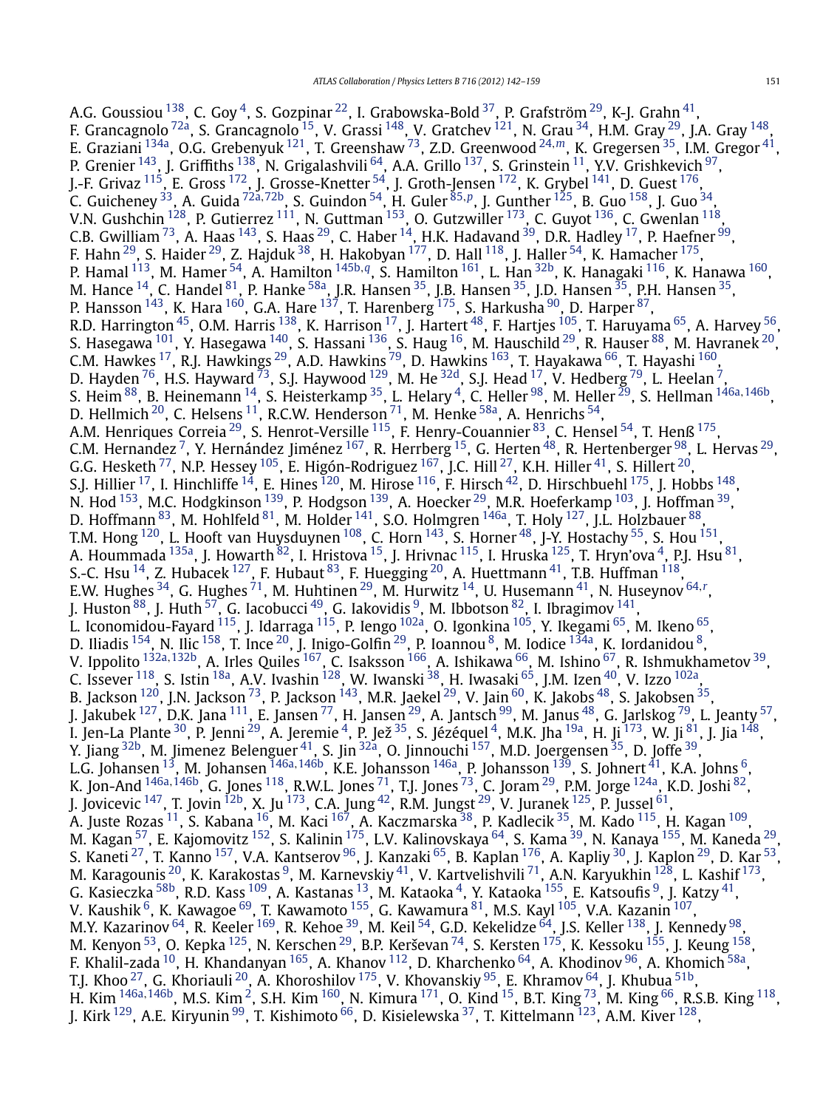A.G. Goussiou <sup>[138](#page-16-0)</sup>, C. Goy <sup>4</sup>, S. Gozpinar <sup>22</sup>, I. Grabowska-Bold <sup>37</sup>, P. Grafström <sup>29</sup>, K-J. Grahn <sup>41</sup>, F. Grancagnolo  $^{72a}$ , S. Grancagnolo  $^{15}$ , V. Grassi  $^{148}$ , V. Gratchev  $^{121}$ , N. Grau  $^{34}$ , H.M. Gray  $^{29}$  $^{29}$  $^{29}$ , J.A. Gray  $^{148}$ , E. Graziani [134a,](#page-16-0) O.G. Grebenyuk [121,](#page-16-0) T. Greenshaw [73,](#page-15-0) Z.D. Greenwood [24](#page-15-0)*,[m](#page-17-0)*, K. Gregersen [35,](#page-15-0) I.M. Gregor [41,](#page-15-0) P. Grenier  $^{143}$ , J. Griffiths  $^{138}$  $^{138}$  $^{138}$ , N. Grigalashvili  $^{64}$ , A.A. Grillo  $^{137}$ , S. Grinstein  $^{11}$ , Y.V. Grishkevich  $^{97}$ , J.-F. Grivaz <sup>[115](#page-16-0)</sup>, E. Gross <sup>[172](#page-17-0)</sup>, J. Grosse-Knetter <sup>54</sup>, J. Groth-Jensen <sup>172</sup>, K. Grybel <sup>141</sup>, D. Guest <sup>176</sup>, C. Guicheney [33,](#page-15-0) A. Guida [72a](#page-15-0)*,*[72b,](#page-15-0) S. Guindon [54,](#page-15-0) H. Guler [85](#page-15-0)*,[p](#page-17-0)*, J. Gunther [125,](#page-16-0) B. Guo [158](#page-16-0), J. Guo [34,](#page-15-0) V.N. Gushchin  $^{128}$ , P. Gutierrez  $^{111}$ , N. Guttman  $^{153}$ , O. Gutzwiller  $^{173}$ , C. Guyot  $^{136}$ , C. Gwenlan  $^{118}$ , C.B. Gwilliam  $^{73}$ , A. Haas  $^{143}$ , S. Haas  $^{29}$ , C. Haber  $^{14}$ , H.K. Hadavand  $^{39}$ , D.R. Hadley  $^{17}$ , P. Haefner  $^{99}$ , F. Hahn  $^{29}$ , S. Haider  $^{29}$ , Z. Hajduk  $^{38}$ , H. Hakobyan  $^{177}$ , D. Hall  $^{118}$ , J. Haller  $^{54}$  $^{54}$  $^{54}$ , K. Hamacher  $^{175}$ , P. Hamal [113](#page-16-0), M. Hamer [54,](#page-15-0) A. Hamilton [145b](#page-16-0)*,[q](#page-17-0)*, S. Hamilton [161,](#page-16-0) L. Han [32b,](#page-15-0) K. Hanagaki [116,](#page-16-0) K. Hanawa [160,](#page-16-0) M. Hance  $^{14}$ , C. Handel  $^{81}$ , P. Hanke  $^{58}$ a, J.R. Hansen  $^{35}$  $^{35}$  $^{35}$ , J.B. Hansen  $^{35}$ , J.D. Hansen  $^{35}$ , P.H. Hansen  $^{35}$ , P. Hansson  $^{143}$ , K. Hara  $^{160}$ , G.A. Hare  $^{137}$ , T. Harenberg  $^{175}$ , S. Harkusha  $^{90}$ , D. Harper  $^{87}$ , R.D. Harrington <sup>45</sup>, O.M. Harris <sup>138</sup>, K. Harrison <sup>17</sup>, J. Hartert <sup>48</sup>, F. Hartjes <sup>105</sup>, T. Haruyama <sup>65</sup>, A. Harvey <sup>56</sup>, S. Hasegawa  $^{101}$ , Y. Hasegawa  $^{140}$ , S. Hassani  $^{136}$ , S. Haug  $^{16}$ , M. Hauschild  $^{29}$  $^{29}$  $^{29}$ , R. Hauser  $^{88}$ , M. Havranek  $^{20}$ , C.M. Hawkes  $^{17}$ , R.J. Hawkings  $^{29}$  $^{29}$  $^{29}$ , A.D. Hawkins  $^{79}$ , D. Hawkins  $^{163}$ , T. Hayakawa  $^{66}$ , T. Hayashi  $^{160}$ , D. Hayden  $^{76}$ , H.S. Hayward  $^{73}$ , S.J. Haywood  $^{129}$ , M. He  $^{32{\rm d}}$ , S.J. Head  $^{17}$ , V. Hedberg  $^{79}$ , L. Heelan  $^7$ , S. Heim [88,](#page-15-0) B. Heinemann [14,](#page-14-0) S. Heisterkamp [35](#page-15-0), L. Helary [4,](#page-14-0) C. Heller [98,](#page-16-0) M. Heller [29,](#page-15-0) S. Hellman [146a](#page-16-0)*,*[146b,](#page-16-0) D. Hellmich  $^{20}$ , C. Helsens  $^{11}$ , R.C.W. Henderson  $^{71}$ , M. Henke  $^{58a}$ , A. Henrichs  $^{54}$ , A.M. Henriques Correia $^{\rm 29}$ , S. Henrot-Versille  $^{\rm 115}$ , F. Henry-Couannier  $^{\rm 83}$ , C. Hensel  $^{\rm 54}$ , T. Henß  $^{\rm 175}$  $^{\rm 175}$  $^{\rm 175}$ , C.M. Hernandez <sup>7</sup>, Y. Hernández Jiménez <sup>167</sup>, R. Herrberg <sup>15</sup>, G. Herten <sup>48</sup>, R. Hertenberger <sup>98</sup>, L. Hervas <sup>29</sup>, G.G. Hesketh  $^{77}$ , N.P. Hessey  $^{105}$ , E. Higón-Rodriguez  $^{167}$ , J.C. Hill  $^{27}$ , K.H. Hiller  $^{41}$  $^{41}$  $^{41}$ , S. Hillert  $^{20}$ , S.J. Hillier <sup>17</sup>, I. Hinchliffe <sup>14</sup>, E. Hines <sup>120</sup>, M. Hirose <sup>116</sup>, F. Hirsch <sup>42</sup>, D. Hirschbuehl <sup>175</sup>, J. Hobbs <sup>[148](#page-16-0)</sup>, N. Hod  $^{153}$ , M.C. Hodgkinson  $^{139}$  $^{139}$  $^{139}$ , P. Hodgson  $^{139}$ , A. Hoecker  $^{29}$ , M.R. Hoeferkamp  $^{103}$ , J. Hoffman  $^{39}$ , D. Hoffmann $^{\rm 83}$ , M. Hohlfeld $^{\rm 81}$ , M. Holder  $^{\rm 141}$ , S.O. Holmgren  $^{\rm 146a}$ , T. Holy  $^{\rm 127}$ , J.L. Holzbauer $^{\rm 88}$ , T.M. Hong  $^{120}$ , L. Hooft van Huysduynen  $^{108}$ , C. Horn  $^{143}$ , S. Horner  $^{48}$ , J-Y. Hostachy  $^{55}$ , S. Hou  $^{151}$ , A. Hoummada <sup>135a</sup>, J. Howarth <sup>82</sup>, I. Hristova <sup>15</sup>, J. Hrivnac <sup>115</sup>, I. Hruska <sup>125</sup>, T. Hryn'ova <sup>4</sup>, P.J. Hsu <sup>81</sup>, S.-C. Hsu  $^{14}$ , Z. Hubacek  $^{127}$ , F. Hubaut  $^{83}$ , F. Huegging  $^{20}$ , A. Huettmann  $^{41}$ , T.B. Huffman  $^{118}$ , E.W. Hughes [34](#page-15-0), G. Hughes [71,](#page-15-0) M. Huhtinen [29,](#page-15-0) M. Hurwitz [14,](#page-14-0) U. Husemann [41,](#page-15-0) N. Huseynov [64](#page-15-0)*,[r](#page-17-0)* , J. Huston  $88$ , J. Huth  $57$ , G. Iacobucci  $49$  $49$ , G. Iakovidis  $9$ , M. Ibbotson  $82$ , I. Ibragimov  $141$ , L. Iconomidou-Fayard  $^{115}$ , J. Idarraga  $^{115}$ , P. Iengo  $^{102a}$ , O. Igonkina  $^{105}$  $^{105}$  $^{105}$ , Y. Ikegami  $^{65}$  $^{65}$  $^{65}$ , M. Ikeno  $^{65}$ , D. Iliadis <sup>[154](#page-16-0)</sup>, N. Ilic <sup>158</sup>, T. Ince <sup>20</sup>, J. Inigo-Golfin <sup>29</sup>, P. Ioannou <sup>8</sup>, M. Iodice <sup>134a</sup>, K. Iordanidou <sup>8</sup>, V. Ippolito [132a](#page-16-0)*,*[132b,](#page-16-0) A. Irles Quiles [167,](#page-17-0) C. Isaksson [166](#page-17-0), A. Ishikawa [66,](#page-15-0) M. Ishino [67,](#page-15-0) R. Ishmukhametov [39,](#page-15-0) C. Issever  $^{118}$ , S. Istin  $^{18a}$ , A.V. Ivashin  $^{128}$ , W. Iwanski  $^{38}$ , H. Iwasaki  $^{65}$ , J.M. Izen  $^{40}$ , V. Izzo  $^{102a}$ , B. Jackson  $^{120}$ , J.N. Jackson  $^{73}$ , P. Jackson  $^{143}$ , M.R. Jaekel  $^{29}$ , V. Jain  $^{60}$ , K. Jakobs  $^{48}$ , S. Jakobsen  $^{35}$ , J. Jakubek <sup>127</sup>, D.K. Jana <sup>111</sup>, E. Jansen <sup>77</sup>, H. Jansen <sup>[29](#page-15-0)</sup>, A. Jantsch <sup>99</sup>, M. Janus <sup>48</sup>, G. Jarlskog <sup>79</sup>, L. Jeanty <sup>57</sup>, I. Jen-La Plante <sup>30</sup>, P. Jenni <sup>29</sup>, A. Jeremie <sup>4</sup>, P. Jež <sup>35</sup>, S. Jézéquel <sup>4</sup>, M.K. Jha <sup>19a</sup>, H. Ji <sup>173</sup>, W. Ji <sup>81</sup>, J. Jia <sup>148</sup>, Y. Jiang <sup>[32b](#page-15-0)</sup>, M. Jimenez Belenguer <sup>41</sup>, S. Jin <sup>32a</sup>, O. Jinnouchi <sup>157</sup>, M.D. Joergensen <sup>35</sup>, D. Joffe <sup>39</sup>, L.G. Johansen <sup>[13](#page-14-0)</sup>, M. Johansen <sup>[146a](#page-16-0), 146b</sup>, K.E. Johansson <sup>146a</sup>, P. Johansson <sup>[139](#page-16-0)</sup>, S. Johnert <sup>41</sup>, K.A. Johns <sup>6</sup>, K. Jon-And [146a](#page-16-0)*,*[146b,](#page-16-0) G. Jones [118,](#page-16-0) R.W.L. Jones [71,](#page-15-0) T.J. Jones [73,](#page-15-0) C. Joram [29](#page-15-0), P.M. Jorge [124a,](#page-16-0) K.D. Joshi [82](#page-15-0), J. Jovicevic  $^{147}$  $^{147}$  $^{147}$ , T. Jovin  $^{12b}$ , X. Ju  $^{173}$ , C.A. Jung  $^{42}$ , R.M. Jungst  $^{29}$ , V. Juranek  $^{125}$ , P. Jussel  $^{61}$ , A. Juste Rozas <sup>11</sup>, S. Kabana <sup>16</sup>, M. Kaci <sup>167</sup>, A. Kaczmarska <sup>38</sup>, P. Kadlecik <sup>35</sup>, M. Kado <sup>115</sup>, H. Kagan <sup>109</sup>, M. Kagan <sup>57</sup>, E. Kajomovitz <sup>152</sup>, S. Kalinin <sup>175</sup>, L.V. Kalinovskaya <sup>[64](#page-15-0)</sup>, S. Kama <sup>39</sup>, N. Kanaya <sup>155</sup>, M. Kaneda <sup>29</sup>, S. Kaneti <sup>27</sup>, T. Kanno <sup>157</sup>, V.A. Kantserov <sup>96</sup>, J. Kanzaki <sup>65</sup>, B. Kaplan <sup>176</sup>, A. Kapliy <sup>30</sup>, J. Kaplon <sup>29</sup>, D. Kar <sup>53</sup>, M. Karagounis  $^{20}$ , K. Karakostas  $^9$ , M. Karnevskiy  $^{41}$ , V. Kartvelishvili  $^{71}$ , A.N. Karyukhin  $^{128}$ , L. Kashif  $^{173},$ G. Kasieczka  $^{58\mathrm{b}}$ , R.D. Kass  $^{109}$ , A. Kastanas  $^{13}$ , M. Kataoka  $^4$ , Y. Kataoka  $^{155}$ , E. Katsoufis  $^9$ , J. Katzy  $^{41}$ , V. Kaushik  $^6$ , K. Kawagoe  $^{69}$ , T. Kawamoto  $^{155}$ , G. Kawamura  $^{81}$  $^{81}$  $^{81}$ , M.S. Kayl  $^{105}$ , V.A. Kazanin  $^{107},$ M.Y. Kazarinov  $^{64}$ , R. Keeler  $^{169}$ , R. Kehoe  $^{39}$ , M. Keil  $^{54}$  $^{54}$  $^{54}$ , G.D. Kekelidze  $^{64}$ , J.S. Keller  $^{138}$ , J. Kennedy  $^{98}$ , M. Kenyon $^{53}$ , O. Kepka $^{125}$ , N. Kerschen $^{29}$ , B.P. Kerševan $^{74}$ , S. Kersten $^{175}$ , K. Kessoku $^{155}$ , J. Keung $^{158}$ , F. Khalil-zada  $^{10}$ , H. Khandanyan  $^{165}$ , A. Khanov  $^{112}$ , D. Kharchenko  $^{64}$ , A. Khodinov  $^{96}$ , A. Khomich  $^{58\mathrm{a}}$ , T.J. Khoo $^{27}$ , G. Khoriauli $^{20}$ , A. Khoroshilov  $^{175}$ , V. Khovanskiy  $^{95}$ , E. Khramov  $^{64}$ , J. Khubua  $^{51\mathrm{b}}$ , H. Kim [146a](#page-16-0)*,*[146b,](#page-16-0) M.S. Kim [2](#page-14-0), S.H. Kim [160,](#page-16-0) N. Kimura [171,](#page-17-0) O. Kind [15,](#page-14-0) B.T. King [73,](#page-15-0) M. King [66,](#page-15-0) R.S.B. King [118,](#page-16-0) J. Kirk <sup>129</sup>, A.E. Kiryunin  $99$ , T. Kishimoto  $66$ , D. Kisielewska  $37$ , T. Kittelmann  $123$ , A.M. Kiver  $128$ ,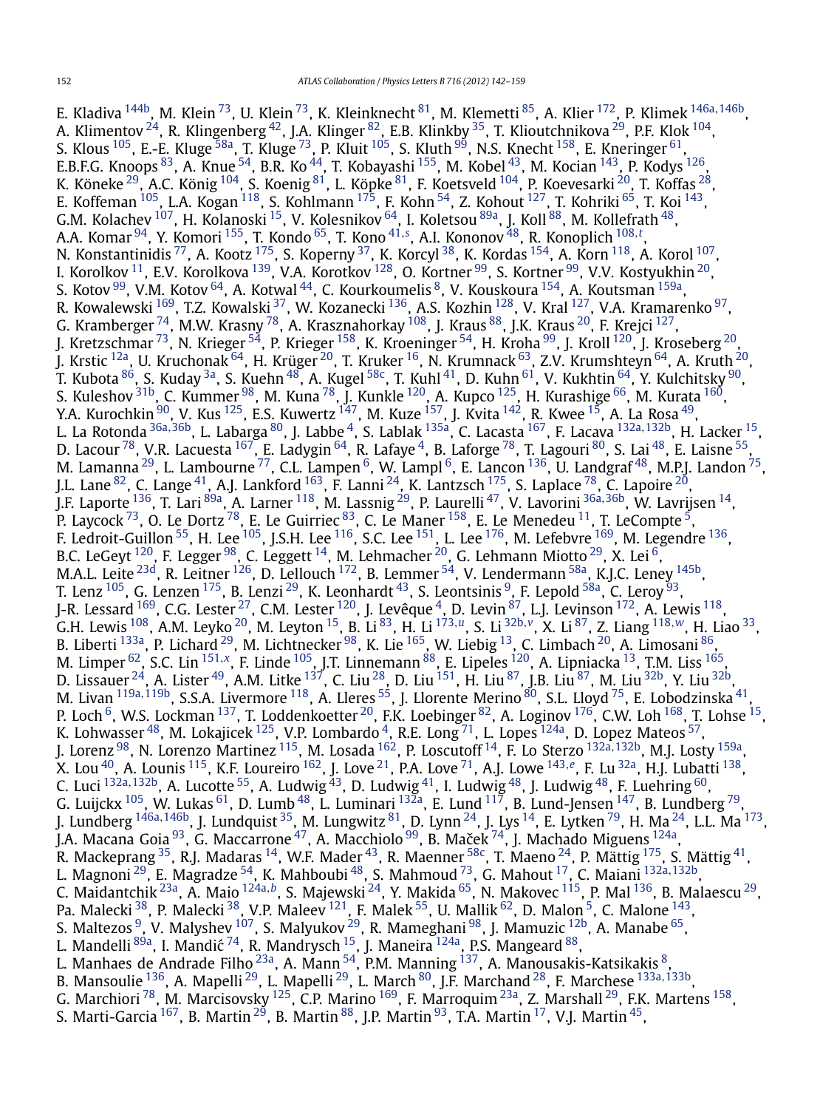E. Kladiva [144b,](#page-16-0) M. Klein [73](#page-15-0), U. Klein [73,](#page-15-0) K. Kleinknecht [81,](#page-15-0) M. Klemetti [85,](#page-15-0) A. Klier [172,](#page-17-0) P. Klimek [146a](#page-16-0)*,*[146b,](#page-16-0) A. Klimentov  $^{24}$ , R. Klingenberg  $^{42}$ , J.A. Klinger  $^{82}$ , E.B. Klinkby  $^{35}$ , T. Klioutchnikova  $^{29}$ , P.F. Klok  $^{104}$ , S. Klous  $^{105}$  $^{105}$  $^{105}$ , E.-E. Kluge  $^{58\mathrm{a}}$ , T. Kluge  $^{73}$ , P. Kluit  $^{105}$ , S. Kluth  $^{99}$ , N.S. Knecht  $^{158}$ , E. Kneringer  $^{61}$ , E.B.F.G. Knoops  $^{83}$ , A. Knue  $^{54}$ , B.R. Ko  $^{44}$ , T. Kobayashi  $^{155}$ , M. Kobel  $^{43}$ , M. Kocian  $^{143}$ , P. Kodys  $^{126}$ , K. Köneke $^{29}$ , A.C. König  $^{104}$ , S. Koenig  $^{81}$ , L. Köpke  $^{81}$ , F. Koetsveld  $^{104}$ , P. Koevesarki  $^{20}$  $^{20}$  $^{20}$ , T. Koffas  $^{28},$ E. Koffeman <sup>105</sup>, L.A. Kogan <sup>118</sup>, S. Kohlmann <sup>175</sup>, F. Kohn <sup>54</sup>, Z. Kohout <sup>127</sup>, T. Kohriki <sup>65</sup>, T. Koi <sup>143</sup>, E. Koncentan J. L.A. Kogan J. S. Kommann J. C. Kommun, L. Koncentant J. S. Koncentant J. J. Kollefrath <sup>48</sup>, G.M. Kollefrath <sup>48</sup>, A.A. Komar [94,](#page-16-0) Y. Komori [155,](#page-16-0) T. Kondo [65,](#page-15-0) T. Kono [41](#page-15-0)*,[s](#page-17-0)* , A.I. Kononov [48](#page-15-0), R. Konoplich [108](#page-16-0)*,[t](#page-17-0)* , N. Konstantinidis  $^{77}$ , A. Kootz  $^{175}$ , S. Koperny  $^{37}$ , K. Korcyl  $^{38}$ , K. Kordas  $^{154}$ , A. Korn  $^{118}$ , A. Korol  $^{107}$ , I. Korolkov [11,](#page-14-0) E.V. Korolkova [139](#page-16-0), V.A. Korotkov [128,](#page-16-0) O. Kortner [99,](#page-16-0) S. Kortner [99,](#page-16-0) V.V. Kostyukhin [20,](#page-15-0) S. Kotov <sup>[99](#page-16-0)</sup>, V.M. Kotov <sup>64</sup>, A. Kotwal <sup>44</sup>, C. Kourkoumelis <sup>8</sup>, V. Kouskoura <sup>154</sup>, A. Koutsman <sup>159a</sup>, R. Kowalewski <sup>169</sup>, T.Z. Kowalski <sup>37</sup>, W. Kozanecki <sup>136</sup>, A.S. Kozhin <sup>128</sup>, V. Kral <sup>127</sup>, V.A. Kramarenko <sup>97</sup>, G. Kramberger  $^{74}$  $^{74}$  $^{74}$ , M.W. Krasny  $^{78}$ , A. Krasznahorkay  $^{108}$ , J. Kraus  $^{88}$ , J.K. Kraus  $^{20}$ , F. Krejci  $^{127},$ J. Kretzschmar <sup>73</sup>, N. Krieger <sup>54</sup>, P. Krieger <sup>158</sup>, K. Kroeninger <sup>54</sup>, H. Kroha <sup>99</sup>, J. Kroll <sup>120</sup>, J. Kroseberg <sup>20</sup>, J. Krstic <sup>12a</sup>, U. Kruchonak <sup>64</sup>, H. Krüger <sup>20</sup>, T. Kruker <sup>16</sup>, N. Krumnack <sup>63</sup>, Z.V. Krumshteyn <sup>64</sup>, A. Kruth <sup>20</sup>, T. Kubota  $^{86}$ , S. Kuday  $^{3a}$ , S. Kuehn  $^{48}$  $^{48}$  $^{48}$ , A. Kugel  $^{58\rm c}$ , T. Kuhl  $^{41}$ , D. Kuhn  $^{61}$ , V. Kukhtin  $^{64}$ , Y. Kulchitsky  $^{90}$ , S. Kuleshov <sup>31b</sup>, C. Kummer <sup>98</sup>, M. Kuna <sup>78</sup>, J. Kunkle <sup>120</sup>, A. Kupco <sup>125</sup>, H. Kurashige <sup>[66](#page-15-0)</sup>, M. Kurata <sup>160</sup>, Y.A. Kurochkin <sup>[90](#page-15-0)</sup>, V. Kus <sup>125</sup>, E.S. Kuwertz <sup>147</sup>, M. Kuze <sup>157</sup>, J. Kvita <sup>142</sup>, R. Kwee <sup>15</sup>, A. La Rosa <sup>49</sup>, L. La Rotonda [36a](#page-15-0)*,*[36b,](#page-15-0) L. Labarga [80](#page-15-0), J. Labbe [4,](#page-14-0) S. Lablak [135a,](#page-16-0) C. Lacasta [167,](#page-17-0) F. Lacava [132a](#page-16-0)*,*[132b,](#page-16-0) H. Lacker [15,](#page-14-0) D. Lacour <sup>78</sup>, V.R. Lacuesta <sup>167</sup>, E. Ladygin <sup>64</sup>, R. Lafaye <sup>4</sup>, B. Laforge <sup>78</sup>, T. Lagouri <sup>80</sup>, S. Lai <sup>48</sup>, E. Laisne <sup>55</sup>, M. Lamanna  $^{29}$ , L. Lambourne  $^{77}$ , C.L. Lampen  $^6$ , W. Lampl  $^6$ , E. Lancon  $^{136}$  $^{136}$  $^{136}$ , U. Landgraf  $^{48}$ , M.P.J. Landon  $^{75}$ , J.L. Lane  $^{82}$ , C. Lange  $^{41}$ , A.J. Lankford  $^{163}$ , F. Lanni  $^{24}$ , K. Lantzsch  $^{175}$ , S. Laplace  $^{78}$ , C. Lapoire  $^{20}$ , J.F. Laporte [136,](#page-16-0) T. Lari [89a,](#page-15-0) A. Larner [118,](#page-16-0) M. Lassnig [29,](#page-15-0) P. Laurelli [47,](#page-15-0) V. Lavorini [36a](#page-15-0)*,*[36b](#page-15-0), W. Lavrijsen [14](#page-14-0), P. Laycock  $^{73}$ , O. Le Dortz  $^{78}$ , E. Le Guirriec  $^{83}$ , C. Le Maner  $^{158}$ , E. Le Menedeu  $^{11}$ , T. LeCompte  $^5$ , F. Ledroit-Guillon  $^{55}$  $^{55}$  $^{55}$ , H. Lee  $^{105}$ , J.S.H. Lee  $^{116}$ , S.C. Lee  $^{151}$ , L. Lee  $^{176}$ , M. Lefebvre  $^{169}$ , M. Legendre  $^{136}$ , B.C. LeGeyt  $^{120}$  $^{120}$  $^{120}$ , F. Legger  $^{98}$ , C. Leggett  $^{14}$ , M. Lehmacher  $^{20}$ , G. Lehmann Miotto  $^{29}$ , X. Lei  $^6$ , M.A.L. Leite $^{23\mathsf{d}}$ , R. Leitner  $^{126}$ , D. Lellouch  $^{172}$ , B. Lemmer  $^{54}$ , V. Lendermann  $^{58\mathsf{a}}$ , K.J.C. Leney  $^{145\mathsf{b}}$ , T. Lenz  $^{105}$ , G. Lenzen  $^{175}$  $^{175}$  $^{175}$ , B. Lenzi  $^{29}$ , K. Leonhardt  $^{43}$ , S. Leontsinis  $^9$ , F. Lepold  $^{58\mathrm{a}}$ , C. Leroy  $^{93}$ , J-R. Lessard  $^{169}$ , C.G. Lester  $^{27}$ , C.M. Lester  $^{120}$ , J. Levêque  $^4$ , D. Levin  $^{87}$ , L.J. Levinson  $^{172}$ , A. Lewis  $^{118}$ , G.H. Lewis [108,](#page-16-0) A.M. Leyko [20,](#page-15-0) M. Leyton [15,](#page-14-0) B. Li [83](#page-15-0), H. Li [173](#page-17-0)*,[u](#page-17-0)*, S. Li [32b](#page-15-0)*,[v](#page-17-0)*, X. Li [87,](#page-15-0) Z. Liang [118](#page-16-0)*,[w](#page-17-0)*, H. Liao [33,](#page-15-0) B. Liberti  $^{133}$ , P. Lichard  $^{29}$ , M. Lichtnecker  $^{98}$ , K. Lie  $^{165}$  $^{165}$  $^{165}$ , W. Liebig  $^{13}$ , C. Limbach  $^{20}$ , A. Limosani  $^{86},$ M. Limper [62](#page-15-0), S.C. Lin [151](#page-16-0)*,[x](#page-17-0)*, F. Linde [105,](#page-16-0) J.T. Linnemann [88,](#page-15-0) E. Lipeles [120,](#page-16-0) A. Lipniacka [13,](#page-14-0) T.M. Liss [165,](#page-16-0) D. Lissauer  $^{24}$ , A. Lister  $^{49}$ , A.M. Litke  $^{137}$ , C. Liu  $^{28}$ , D. Liu  $^{151}$ , H. Liu  $^{87}$ , J.B. Liu  $^{87}$ , M. Liu  $^{32\mathrm{b}}$ , Y. Liu  $^{32\mathrm{b}}$ , M. Livan <sup>[119a](#page-16-0), 119b</sup>, S.S.A. Livermore <sup>[118](#page-16-0)</sup>, A. Lleres <sup>[55](#page-15-0)</sup>, J. Llorente Merino <sup>80</sup>, S.L. Lloyd <sup>75</sup>, E. Lobodzinska <sup>41</sup> P. Loch  $^6$ , W.S. Lockman  $^{137}$ , T. Loddenkoetter  $^{20}$  $^{20}$  $^{20}$ , F.K. Loebinger  $^{82}$ , A. Loginov  $^{176}$ , C.W. Loh  $^{168}$ , T. Lohse  $^{15}$ , K. Lohwasser  $^{48}$ , M. Lokajicek  $^{125}$ , V.P. Lombardo  $^4$ , R.E. Long  $^{71}$ , L. Lopes  $^{124\text{a}}$ , D. Lopez Mateos  $^{57}$ , J. Lorenz [98,](#page-16-0) N. Lorenzo Martinez [115](#page-16-0), M. Losada [162,](#page-16-0) P. Loscutoff [14,](#page-14-0) F. Lo Sterzo [132a](#page-16-0)*,*[132b,](#page-16-0) M.J. Losty [159a](#page-16-0), X. Lou [40,](#page-15-0) A. Lounis [115,](#page-16-0) K.F. Loureiro [162,](#page-16-0) J. Love [21,](#page-15-0) P.A. Love [71,](#page-15-0) A.J. Lowe [143](#page-16-0)*,[e](#page-17-0)*, F. Lu [32a,](#page-15-0) H.J. Lubatti [138,](#page-16-0) C. Luci <sup>[132a](#page-16-0), 132b</sup>, A. Lucotte <sup>55</sup>, A. Ludwig <sup>43</sup>, D. Ludwig <sup>41</sup>, I. Ludwig <sup>48</sup>, J. Ludwig <sup>48</sup>, F. Luehring <sup>60</sup>, G. Luijckx  $^{105}$ , W. Lukas  $^{61}$ , D. Lumb  $^{48}$  $^{48}$  $^{48}$ , L. Luminari  $^{132}$ , E. Lund  $^{117}$ , B. Lund-Jensen  $^{147}$ , B. Lundberg  $^{79}$ , J. Lundberg [146a](#page-16-0)*,*[146b,](#page-16-0) J. Lundquist [35,](#page-15-0) M. Lungwitz [81,](#page-15-0) D. Lynn [24,](#page-15-0) J. Lys [14,](#page-14-0) E. Lytken [79,](#page-15-0) H. Ma [24,](#page-15-0) L.L. Ma [173,](#page-17-0) J.A. Macana Goia $^{93}$ , G. Maccarrone $^{47}$ , A. Macchiolo $^{99}$ , B. Maček $^{74}$ , J. Machado Miguens  $^{124}$ , R. Mackeprang <sup>35</sup>, R.J. Madaras <sup>[14](#page-14-0)</sup>, W.F. Mader <sup>43</sup>, R. Maenner <sup>58c</sup>, T. Maeno <sup>24</sup>, P. Mättig <sup>175</sup>, S. Mättig <sup>41</sup>, L. Magnoni [29](#page-15-0), E. Magradze [54,](#page-15-0) K. Mahboubi [48,](#page-15-0) S. Mahmoud [73,](#page-15-0) G. Mahout [17,](#page-15-0) C. Maiani [132a](#page-16-0)*,*[132b,](#page-16-0) C. Maidantchik [23a,](#page-15-0) A. Maio [124a](#page-16-0)*,[b](#page-17-0)*, S. Majewski [24,](#page-15-0) Y. Makida [65,](#page-15-0) N. Makovec [115,](#page-16-0) P. Mal [136,](#page-16-0) B. Malaescu [29,](#page-15-0) Pa. Malecki <sup>[38](#page-15-0)</sup>, P. Malecki <sup>38</sup>, V.P. Maleev <sup>121</sup>, F. Malek <sup>55</sup>, U. Mallik <sup>62</sup>, D. Malon <sup>5</sup>, C. Malone <sup>143</sup>, S. Maltezos  $^9$ , V. Malyshev  $^{107}$ , S. Malyukov  $^{29}$ , R. Mameghani  $^{98}$ , J. Mamuzic  $^{12\mathrm{b}}$ , A. Manabe  $^{65}$ , L. Mandelli <sup>89a</sup>, I. Mandić <sup>74</sup>, R. Mandrysch <sup>15</sup>, J. Maneira <sup>124a</sup>, P.S. Mangeard <sup>88</sup>, L. Manhaes de Andrade Filho $^{23}$ a, A. Mann $^{54}$ , P.M. Manning $^{137}$  $^{137}$  $^{137}$ , A. Manousakis-Katsikakis $^8\!$ B. Mansoulie [136,](#page-16-0) A. Mapelli [29,](#page-15-0) L. Mapelli [29](#page-15-0), L. March [80,](#page-15-0) J.F. Marchand [28,](#page-15-0) F. Marchese [133a](#page-16-0)*,*[133b,](#page-16-0) G. Marchiori  $^{78}$ , M. Marcisovsky  $^{125}$ , C.P. Marino  $^{169}$ , F. Marroquim  $^{23a}$ , Z. Marshall  $^{29}$ , F.K. Martens  $^{158}$ , S. Marti-Garcia <sup>167</sup>, B. Martin <sup>29</sup>, B. Martin <sup>88</sup>, J.P. Martin <sup>93</sup>, T.A. Martin <sup>17</sup>, V.J. Martin <sup>[45](#page-15-0)</sup>,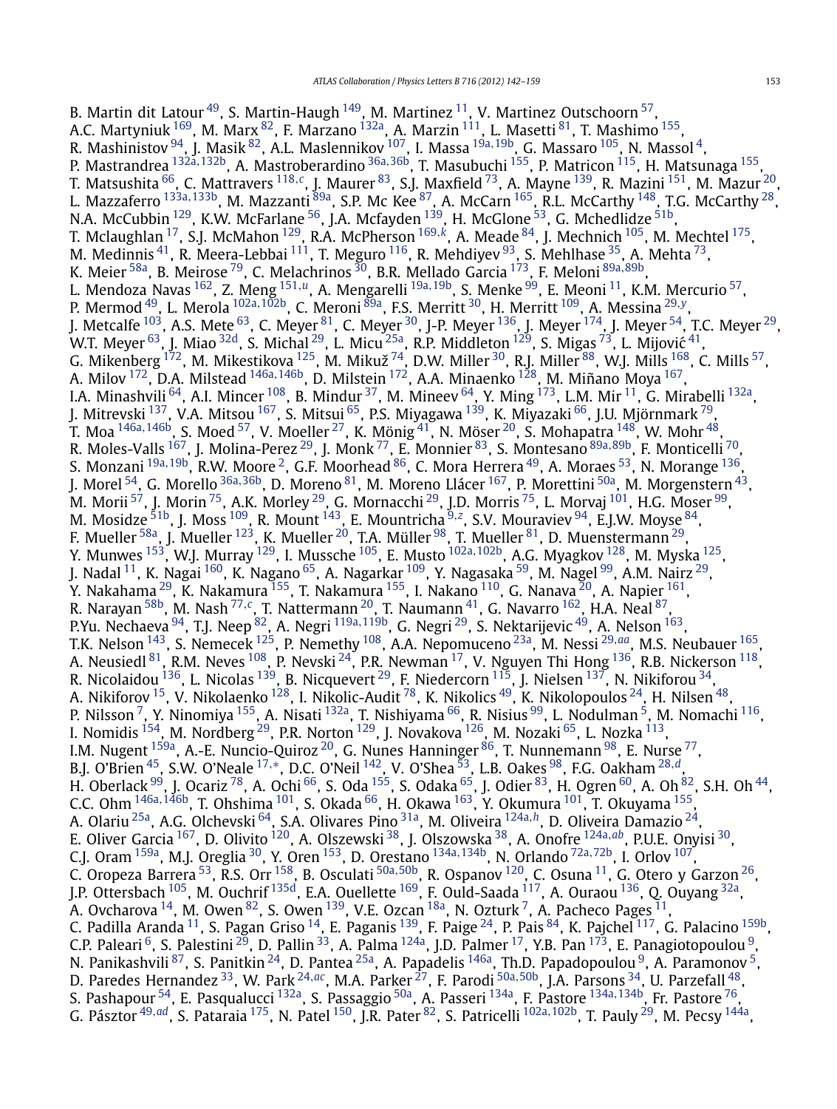B. Martin dit Latour<sup>49</sup>, S. Martin-Haugh  $149$ , M. Martinez  $11$ , V. Martinez Outschoorn  $57$ , A.C. Martyniuk <sup>169</sup>, M. Marx <sup>82</sup>, F. Marzano <sup>[132a](#page-16-0)</sup>, A. Marzin <sup>111</sup>, L. Masetti <sup>[81](#page-15-0)</sup>, T. Mashimo <sup>155</sup>, R. Mashinistov [94,](#page-16-0) J. Masik [82](#page-15-0), A.L. Maslennikov [107,](#page-16-0) I. Massa [19a](#page-15-0)*,*[19b,](#page-15-0) G. Massaro [105,](#page-16-0) N. Massol [4,](#page-14-0) P. Mastrandrea [132a](#page-16-0)*,*[132b,](#page-16-0) A. Mastroberardino [36a](#page-15-0)*,*[36b,](#page-15-0) T. Masubuchi [155,](#page-16-0) P. Matricon [115,](#page-16-0) H. Matsunaga [155,](#page-16-0) T. Matsushita [66,](#page-15-0) C. Mattravers [118](#page-16-0)*,[c](#page-17-0)*, J. Maurer [83,](#page-15-0) S.J. Maxfield [73,](#page-15-0) A. Mayne [139,](#page-16-0) R. Mazini [151,](#page-16-0) M. Mazur [20,](#page-15-0) L. Mazzaferro [133a](#page-16-0)*,*[133b,](#page-16-0) M. Mazzanti [89a,](#page-15-0) S.P. Mc Kee [87,](#page-15-0) A. McCarn [165,](#page-16-0) R.L. McCarthy [148](#page-16-0), T.G. McCarthy [28,](#page-15-0) N.A. McCubbin  $^{129}$ , K.W. McFarlane  $^{56}$ , J.A. Mcfayden  $^{139}$  $^{139}$  $^{139}$ , H. McGlone  $^{53}$ , G. Mchedlidze  $^{51b}$ , T. Mclaughlan [17,](#page-15-0) S.J. McMahon [129,](#page-16-0) R.A. McPherson [169](#page-17-0)*,[k](#page-17-0)*, A. Meade [84](#page-15-0), J. Mechnich [105](#page-16-0), M. Mechtel [175,](#page-17-0) M. Medinnis  $^{41}$ , R. Meera-Lebbai  $^{111}$ , T. Meguro  $^{116}$ , R. Mehdiyev  $^{93}$ , S. Mehlhase  $^{35}$ , A. Mehta  $^{73}$ , K. Meier [58a](#page-15-0), B. Meirose [79,](#page-15-0) C. Melachrinos [30,](#page-15-0) B.R. Mellado Garcia [173](#page-17-0), F. Meloni [89a](#page-15-0)*,*[89b,](#page-15-0) L. Mendoza Navas [162,](#page-16-0) Z. Meng [151](#page-16-0)*,[u](#page-17-0)*, A. Mengarelli [19a](#page-15-0)*,*[19b,](#page-15-0) S. Menke [99,](#page-16-0) E. Meoni [11,](#page-14-0) K.M. Mercurio [57,](#page-15-0) P. Mermod [49,](#page-15-0) L. Merola [102a](#page-16-0)*,*[102b,](#page-16-0) C. Meroni [89a,](#page-15-0) F.S. Merritt [30,](#page-15-0) H. Merritt [109,](#page-16-0) A. Messina [29](#page-15-0)*,[y](#page-17-0)*, J. Metcalfe  $^{103}$ , A.S. Mete  $^{63}$ , C. Meyer  $^{81}$  $^{81}$  $^{81}$ , C. Meyer  $^{30}$ , J-P. Meyer  $^{136}$ , J. Meyer  $^{174}$ , J. Meyer  $^{54}$  $^{54}$  $^{54}$ , T.C. Meyer  $^{29}$ , W.T. Meyer  $^{63}$ , J. Miao  $^{32{\rm d}}$ , S. Michal  $^{29}$ , L. Micu  $^{25{\rm a}}$ , R.P. Middleton  $^{129}$ , S. Migas  $^{73}$ , L. Mijović  $^{41}$ , G. Mikenberg  $^{172}$ , M. Mikestikova  $^{125}$ , M. Mikuž  $^{74}$ , D.W. Miller  $^{30}$ , R.J. Miller  $^{88}$ , W.J. Mills  $^{168}$ , C. Mills  $^{57}$ , A. Milov [172,](#page-17-0) D.A. Milstead [146a](#page-16-0)*,*[146b](#page-16-0), D. Milstein [172,](#page-17-0) A.A. Minaenko [128,](#page-16-0) M. Miñano Moya [167,](#page-17-0) 1.4. Minashvili  $^{64}$ , A.I. Mincer  $^{108}$  $^{108}$  $^{108}$ , B. Mindur  $^{37}$ , M. Mineev  $^{64}$ , Y. Ming  $^{173}$ , L.M. Mir<sup>11</sup>, G. Mirabelli  $^{132}$ , J. Mitrevski <sup>137</sup>, V.A. Mitsou <sup>167</sup>, S. Mitsui <sup>65</sup>, P.S. Miyagawa <sup>139</sup>, K. Miyazaki <sup>66</sup>, J.U. Mjörnmark <sup>79</sup>, T. Moa [146a](#page-16-0)*,*[146b,](#page-16-0) S. Moed [57,](#page-15-0) V. Moeller [27,](#page-15-0) K. Mönig [41,](#page-15-0) N. Möser [20,](#page-15-0) S. Mohapatra [148,](#page-16-0) W. Mohr [48,](#page-15-0) R. Moles-Valls <sup>167</sup>, J. Molina-Perez<sup>29</sup>, J. Monk<sup>77</sup>, E. Monnier <sup>83</sup>, S. Montesano <sup>[89a](#page-15-0),89b</sup>, F. Monticelli <sup>70</sup>, S. Monzani [19a](#page-15-0)*,*[19b,](#page-15-0) R.W. Moore [2,](#page-14-0) G.F. Moorhead [86,](#page-15-0) C. Mora Herrera [49,](#page-15-0) A. Moraes [53,](#page-15-0) N. Morange [136,](#page-16-0) J. Morel [54,](#page-15-0) G. Morello [36a](#page-15-0)*,*[36b,](#page-15-0) D. Moreno [81,](#page-15-0) M. Moreno Llácer [167,](#page-17-0) P. Morettini [50a,](#page-15-0) M. Morgenstern [43,](#page-15-0) M. Morii  $^{57}$  $^{57}$  $^{57}$ , J. Morin  $^{75}$ , A.K. Morley  $^{29}$ , G. Mornacchi  $^{29}$ , J.D. Morris  $^{75}$ , L. Morvaj  $^{101}$ , H.G. Moser  $^{99}$ , M. Mosidze [51b,](#page-15-0) J. Moss [109,](#page-16-0) R. Mount [143,](#page-16-0) E. Mountricha [9](#page-14-0)*,[z](#page-17-0)* , S.V. Mouraviev [94,](#page-16-0) E.J.W. Moyse [84,](#page-15-0) F. Mueller  $^{58a}$ , J. Mueller  $^{123}$ , K. Mueller  $^{20}$ , T.A. Müller  $^{98}$ , T. Mueller  $^{81}$ , D. Muenstermann  $^{29}$ , Y. Munwes [153,](#page-16-0) W.J. Murray [129,](#page-16-0) I. Mussche [105,](#page-16-0) E. Musto [102a](#page-16-0)*,*[102b,](#page-16-0) A.G. Myagkov [128,](#page-16-0) M. Myska [125,](#page-16-0) J. Nadal <sup>11</sup>, K. Nagai <sup>[160](#page-16-0)</sup>, K. Nagano <sup>65</sup>, A. Nagarkar <sup>[109](#page-16-0)</sup>, Y. Nagasaka <sup>59</sup>, M. Nagel <sup>99</sup>, A.M. Nairz <sup>29</sup>, Y. Nakahama <sup>29</sup>, K. Nakamura <sup>155</sup>, T. Nakamura <sup>155</sup>, I. Nakano <sup>110</sup>, G. Nanava <sup>20</sup>, A. Napier <sup>161</sup>, R. Narayan [58b,](#page-15-0) M. Nash [77](#page-15-0)*,[c](#page-17-0)*, T. Nattermann [20,](#page-15-0) T. Naumann [41,](#page-15-0) G. Navarro [162,](#page-16-0) H.A. Neal [87,](#page-15-0) P.Yu. Nechaeva [94,](#page-16-0) T.J. Neep [82,](#page-15-0) A. Negri [119a](#page-16-0)*,*[119b,](#page-16-0) G. Negri [29](#page-15-0), S. Nektarijevic [49,](#page-15-0) A. Nelson [163,](#page-16-0) T.K. Nelson [143,](#page-16-0) S. Nemecek [125,](#page-16-0) P. Nemethy [108,](#page-16-0) A.A. Nepomuceno [23a,](#page-15-0) M. Nessi [29](#page-15-0)*,[aa](#page-17-0)*, M.S. Neubauer [165,](#page-16-0) A. Neusiedl $^{81}$ , R.M. Neves $^{108}$ , P. Nevski $^{24}$  $^{24}$  $^{24}$ , P.R. Newman  $^{17}$ , V. Nguyen Thi Hong $^{136}$ , R.B. Nickerson  $^{118}$ , R. Nicolaidou  $^{136}$ , L. Nicolas  $^{139}$ , B. Nicquevert  $^{29}$ , F. Niedercorn  $^{115}$ , J. Nielsen  $^{137}$ , N. Nikiforou  $^{34}$ , A. Nikiforov <sup>15</sup>, V. Nikolaenko <sup>[128](#page-16-0)</sup>, I. Nikolic-Audit <sup>78</sup>, K. Nikolics <sup>49</sup>, K. Nikolopoulos <sup>[24](#page-15-0)</sup>, H. Nilsen <sup>48</sup>, P. Nilsson <sup>7</sup>, Y. Ninomiya <sup>155</sup>, A. Nisati <sup>132a</sup>, T. Nishiyama <sup>66</sup>, R. Nisius <sup>99</sup>, L. Nodulman <sup>5</sup>, M. Nomachi <sup>116</sup>, I. Nomidis  $^{154}$ , M. Nordberg  $^{29}$ , P.R. Norton  $^{129}$ , J. Novakova  $^{126}$ , M. Nozaki  $^{65}$ , L. Nozka  $^{113}$  $^{113}$  $^{113}$ , I.M. Nugent <sup>159a</sup>, A.-E. Nuncio-Quiroz <sup>[20](#page-15-0)</sup>, G. Nunes Hanninger <sup>86</sup>, T. Nunnemann <sup>98</sup>, E. Nurse <sup>77</sup>, B.J. O'Brien [45,](#page-15-0) S.W. O'Neale [17](#page-15-0)*,*[∗](#page-17-0), D.C. O'Neil [142,](#page-16-0) V. O'Shea [53,](#page-15-0) L.B. Oakes [98,](#page-16-0) F.G. Oakham [28](#page-15-0)*,[d](#page-17-0)*, H. Oberlack  $^{99}$ , J. Ocariz  $^{78}$ , A. Ochi  $^{66}$ , S. Oda  $^{155}$ , S. Odaka  $^{65}$  $^{65}$  $^{65}$ , J. Odier  $^{83}$ , H. Ogren  $^{60}$ , A. Oh  $^{82}$ , S.H. Oh  $^{44}$  $^{44}$  $^{44}$ , C.C. Ohm [146a](#page-16-0)*,*[146b,](#page-16-0) T. Ohshima [101,](#page-16-0) S. Okada [66,](#page-15-0) H. Okawa [163,](#page-16-0) Y. Okumura [101,](#page-16-0) T. Okuyama [155,](#page-16-0) A. Olariu [25a,](#page-15-0) A.G. Olchevski [64,](#page-15-0) S.A. Olivares Pino [31a,](#page-15-0) M. Oliveira [124a](#page-16-0)*,[h](#page-17-0)*, D. Oliveira Damazio [24,](#page-15-0) E. Oliver Garcia [167,](#page-17-0) D. Olivito [120,](#page-16-0) A. Olszewski [38,](#page-15-0) J. Olszowska [38,](#page-15-0) A. Onofre [124a](#page-16-0)*,[ab](#page-17-0)*, P.U.E. Onyisi [30,](#page-15-0) C.J. Oram [159a,](#page-16-0) M.J. Oreglia [30,](#page-15-0) Y. Oren [153,](#page-16-0) D. Orestano [134a](#page-16-0)*,*[134b,](#page-16-0) N. Orlando [72a](#page-15-0)*,*[72b](#page-15-0), I. Orlov [107,](#page-16-0) C. Oropeza Barrera [53,](#page-15-0) R.S. Orr [158,](#page-16-0) B. Osculati [50a](#page-15-0)*,*[50b,](#page-15-0) R. Ospanov [120,](#page-16-0) C. Osuna [11,](#page-14-0) G. Otero y Garzon [26,](#page-15-0) J.P. Ottersbach <sup>105</sup>, M. Ouchrif <sup>135d</sup>, E.A. Ouellette <sup>169</sup>, F. Ould-Saada <sup>117</sup>, A. Ouraou <sup>136</sup>, Q. Ouyang <sup>32a</sup>, A. Ovcharova  $^{14}$ , M. Owen  $^{82}$ , S. Owen  $^{139}$ , V.E. Ozcan  $^{18a}$ , N. Ozturk  $^7$ , A. Pacheco Pages  $^{11}$ , C. Padilla Aranda <sup>11</sup>, S. Pagan Griso <sup>14</sup>, E. Paganis <sup>139</sup>, F. Paige <sup>24</sup>, P. Pais <sup>84</sup>, K. Pajchel <sup>117</sup>, G. Palacino <sup>[159b](#page-16-0)</sup>, C.P. Paleari [6,](#page-14-0) S. Palestini [29](#page-15-0), D. Pallin [33,](#page-15-0) A. Palma [124a,](#page-16-0) J.D. Palmer [17,](#page-15-0) Y.B. Pan [173,](#page-17-0) E. Panagiotopoulou [9,](#page-14-0) N. Panikashvili <sup>87</sup>, S. Panitkin <sup>24</sup>, D. Pantea <sup>25a</sup>, A. Papadelis <sup>[146a](#page-16-0)</sup>, Th.D. Papadopoulou <sup>9</sup>, A. Paramonov <sup>5</sup>, D. Paredes Hernandez [33,](#page-15-0) W. Park [24](#page-15-0)*,[ac](#page-17-0)*, M.A. Parker [27,](#page-15-0) F. Parodi [50a](#page-15-0)*,*[50b,](#page-15-0) J.A. Parsons [34,](#page-15-0) U. Parzefall [48](#page-15-0), S. Pashapour [54](#page-15-0), E. Pasqualucci [132a,](#page-16-0) S. Passaggio [50a,](#page-15-0) A. Passeri [134a,](#page-16-0) F. Pastore [134a](#page-16-0)*,*[134b,](#page-16-0) Fr. Pastore [76,](#page-15-0) G. Pásztor [49](#page-15-0)*,[ad](#page-17-0)*, S. Pataraia [175,](#page-17-0) N. Patel [150,](#page-16-0) J.R. Pater [82,](#page-15-0) S. Patricelli [102a](#page-16-0)*,*[102b,](#page-16-0) T. Pauly [29,](#page-15-0) M. Pecsy [144a,](#page-16-0)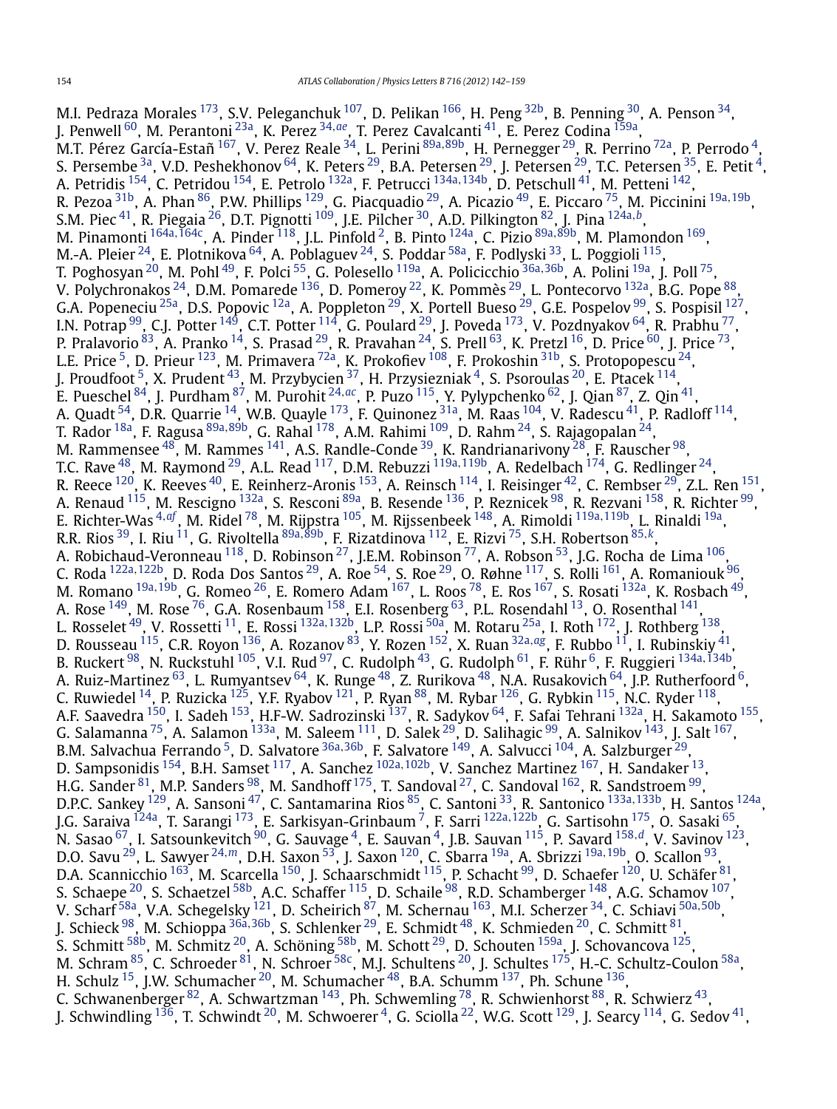M.I. Pedraza Morales <sup>173</sup>, S.V. Peleganchuk <sup>107</sup>, D. Pelikan <sup>166</sup>, H. Peng <sup>32b</sup>, B. Penning <sup>30</sup>, A. Penson <sup>34</sup>, J. Penwell [60,](#page-15-0) M. Perantoni [23a,](#page-15-0) K. Perez [34](#page-15-0)*,[ae](#page-17-0)*, T. Perez Cavalcanti [41,](#page-15-0) E. Perez Codina [159a,](#page-16-0) M.T. Pérez García-Estañ [167,](#page-17-0) V. Perez Reale [34,](#page-15-0) L. Perini [89a](#page-15-0)*,*[89b,](#page-15-0) H. Pernegger [29,](#page-15-0) R. Perrino [72a,](#page-15-0) P. Perrodo [4,](#page-14-0) S. Persembe  $^{3a}$ , V.D. Peshekhonov  $^{64}$ , K. Peters  $^{29}$  $^{29}$  $^{29}$ , B.A. Petersen  $^{29}$ , J. Petersen  $^{29}$ , T.C. Petersen  $^{35}$ , E. Petit  $^4$ , A. Petridis [154,](#page-16-0) C. Petridou [154,](#page-16-0) E. Petrolo [132a,](#page-16-0) F. Petrucci [134a](#page-16-0)*,*[134b,](#page-16-0) D. Petschull [41,](#page-15-0) M. Petteni [142,](#page-16-0) R. Pezoa [31b](#page-15-0), A. Phan [86,](#page-15-0) P.W. Phillips [129,](#page-16-0) G. Piacquadio [29,](#page-15-0) A. Picazio [49](#page-15-0), E. Piccaro [75,](#page-15-0) M. Piccinini [19a](#page-15-0)*,*[19b,](#page-15-0) S.M. Piec [41,](#page-15-0) R. Piegaia [26,](#page-15-0) D.T. Pignotti [109,](#page-16-0) J.E. Pilcher [30,](#page-15-0) A.D. Pilkington [82](#page-15-0), J. Pina [124a](#page-16-0)*,[b](#page-17-0)*, M. Pinamonti [164a](#page-16-0)*,*[164c,](#page-16-0) A. Pinder [118,](#page-16-0) J.L. Pinfold [2,](#page-14-0) B. Pinto [124a,](#page-16-0) C. Pizio [89a](#page-15-0)*,*[89b,](#page-15-0) M. Plamondon [169](#page-17-0), M.-A. Pleier<sup>[24](#page-15-0)</sup>, E. Plotnikova  $^{64}$ , A. Poblaguev<sup>24</sup>, S. Poddar<sup>58a</sup>, F. Podlyski<sup>[33](#page-15-0)</sup>, L. Poggioli<sup>[115](#page-16-0)</sup>, T. Poghosyan [20,](#page-15-0) M. Pohl [49,](#page-15-0) F. Polci [55](#page-15-0), G. Polesello [119a,](#page-16-0) A. Policicchio [36a](#page-15-0)*,*[36b,](#page-15-0) A. Polini [19a,](#page-15-0) J. Poll [75,](#page-15-0) V. Polychronakos  $^{24}$  $^{24}$  $^{24}$ , D.M. Pomarede  $^{136}$ , D. Pomeroy  $^{22}$ , K. Pommès  $^{29}$ , L. Pontecorvo  $^{132}$ , B.G. Pope  $^{88},$  $^{88},$  $^{88},$ G.A. Popeneciu  $^{25a}$ , D.S. Popovic  $^{12a}$ , A. Poppleton  $^{29}$ , X. Portell Bueso  $^{29}$ , G.E. Pospelov  $^{99}$ , S. Pospisil  $^{127}$ , I.N. Potrap  $^{99}$ , C.J. Potter  $^{149}$ , C.T. Potter  $^{114}$ , G. Poulard  $^{29}$ , J. Poveda  $^{173}$ , V. Pozdnyakov  $^{64}$  $^{64}$  $^{64}$ , R. Prabhu  $^{77}$ , P. Pralavorio  $^{83}$ , A. Pranko  $^{14}$  $^{14}$  $^{14}$ , S. Prasad  $^{29}$  $^{29}$  $^{29}$ , R. Pravahan  $^{24}$ , S. Prell  $^{63}$ , K. Pretzl  $^{16}$ , D. Price  $^{60}$ , J. Price  $^{73}$ , L.E. Price <sup>5</sup>, D. Prieur <sup>123</sup>, M. Primavera <sup>72a</sup>, K. Prokofiev <sup>108</sup>, F. Prokoshin <sup>31b</sup>, S. Protopopescu <sup>24</sup>, J. Proudfoot  $^5$ , X. Prudent  $^{43}$ , M. Przybycien  $^{37}$ , H. Przysiezniak  $^4$ , S. Psoroulas  $^{20}$ , E. Ptacek  $^{114},$ E. Pueschel [84,](#page-15-0) J. Purdham [87,](#page-15-0) M. Purohit [24](#page-15-0)*,[ac](#page-17-0)*, P. Puzo [115,](#page-16-0) Y. Pylypchenko [62](#page-15-0), J. Qian [87,](#page-15-0) Z. Qin [41,](#page-15-0) A. Quadt  $^{54}$ , D.R. Quarrie  $^{14}$ , W.B. Quayle  $^{173}$ , F. Quinonez  $^{31a}$ , M. Raas  $^{104}$ , V. Radescu  $^{41}$ , P. Radloff  $^{114}$ , T. Rador [18a,](#page-15-0) F. Ragusa [89a](#page-15-0)*,*[89b,](#page-15-0) G. Rahal [178,](#page-17-0) A.M. Rahimi [109](#page-16-0), D. Rahm [24,](#page-15-0) S. Rajagopalan [24,](#page-15-0) M. Rammensee  $^{48}$  $^{48}$  $^{48}$ , M. Rammes  $^{141}$ , A.S. Randle-Conde  $^{39}$ , K. Randrianarivony  $^{28}$ , F. Rauscher  $^{98}$ , T.C. Rave [48,](#page-15-0) M. Raymond [29,](#page-15-0) A.L. Read [117,](#page-16-0) D.M. Rebuzzi [119a](#page-16-0)*,*[119b,](#page-16-0) A. Redelbach [174,](#page-17-0) G. Redlinger [24,](#page-15-0) R. Reece  $^{120}$ , K. Reeves  $^{40}$ , E. Reinherz-Aronis  $^{153}$  $^{153}$  $^{153}$ , A. Reinsch  $^{114}$ , I. Reisinger  $^{42}$ , C. Rembser  $^{29}$ , Z.L. Ren  $^{151}$ , A. Renaud <sup>115</sup>, M. Rescigno <sup>132a</sup>, S. Resconi <sup>89a</sup>, B. Resende <sup>136</sup>, P. Reznicek <sup>98</sup>, R. Rezvani <sup>158</sup>, R. Richter <sup>99</sup>, E. Richter-Was [4](#page-14-0)*,[af](#page-17-0)* , M. Ridel [78,](#page-15-0) M. Rijpstra [105,](#page-16-0) M. Rijssenbeek [148,](#page-16-0) A. Rimoldi [119a](#page-16-0)*,*[119b,](#page-16-0) L. Rinaldi [19a,](#page-15-0) R.R. Rios [39,](#page-15-0) I. Riu [11,](#page-14-0) G. Rivoltella [89a](#page-15-0)*,*[89b,](#page-15-0) F. Rizatdinova [112,](#page-16-0) E. Rizvi [75,](#page-15-0) S.H. Robertson [85](#page-15-0)*,[k](#page-17-0)*, A. Robichaud-Veronneau  $^{118}$ , D. Robinson  $^{27}$ , J.E.M. Robinson  $^{77}$ , A. Robson  $^{53}$ , J.G. Rocha de Lima  $^{106}$ , C. Roda [122a](#page-16-0)*,*[122b,](#page-16-0) D. Roda Dos Santos [29,](#page-15-0) A. Roe [54,](#page-15-0) S. Roe [29,](#page-15-0) O. Røhne [117,](#page-16-0) S. Rolli [161,](#page-16-0) A. Romaniouk [96,](#page-16-0) M. Romano [19a](#page-15-0)*,*[19b,](#page-15-0) G. Romeo [26](#page-15-0), E. Romero Adam [167](#page-17-0), L. Roos [78,](#page-15-0) E. Ros [167,](#page-17-0) S. Rosati [132a,](#page-16-0) K. Rosbach [49](#page-15-0), A. Rose  $^{149}$ , M. Rose  $^{76}$ , G.A. Rosenbaum  $^{158}$ , E.I. Rosenberg  $^{63}$ , P.L. Rosendahl  $^{13}$ , O. Rosenthal  $^{141}$ , L. Rosselet [49,](#page-15-0) V. Rossetti [11,](#page-14-0) E. Rossi [132a](#page-16-0)*,*[132b](#page-16-0), L.P. Rossi [50a,](#page-15-0) M. Rotaru [25a,](#page-15-0) I. Roth [172,](#page-17-0) J. Rothberg [138,](#page-16-0) D. Rousseau [115,](#page-16-0) C.R. Royon [136,](#page-16-0) A. Rozanov [83,](#page-15-0) Y. Rozen [152,](#page-16-0) X. Ruan [32a](#page-15-0)*,[ag](#page-17-0)*, F. Rubbo [11,](#page-14-0) I. Rubinskiy [41,](#page-15-0) B. Ruckert [98,](#page-16-0) N. Ruckstuhl [105,](#page-16-0) V.I. Rud [97,](#page-16-0) C. Rudolph [43,](#page-15-0) G. Rudolph [61,](#page-15-0) F. Rühr [6,](#page-14-0) F. Ruggieri [134a](#page-16-0)*,*[134b,](#page-16-0) A. Ruiz-Martinez  $^{63}$ , L. Rumyantsev  $^{64}$ , K. Runge  $^{48}$ , Z. Rurikova  $^{48}$ , N.A. Rusakovich  $^{64}$ , J.P. Rutherfoord  $^{6}$ , C. Ruwiedel  $^{14}$ , P. Ruzicka  $^{125}$ , Y.F. Ryabov  $^{121}$ , P. Ryan  $^{88}$ , M. Rybar  $^{126}$ , G. Rybkin  $^{115}$ , N.C. Ryder  $^{118}$  $^{118}$  $^{118}$ , A.F. Saavedra <sup>150</sup>, I. Sadeh <sup>153</sup>, H.F-W. Sadrozinski <sup>137</sup>, R. Sadykov <sup>64</sup>, F. Safai Tehrani <sup>132a</sup>, H. Sakamoto <sup>155</sup>, G. Salamanna  $^{75}$ , A. Salamon  $^{133a}$ , M. Saleem  $^{111}$ , D. Salek  $^{29}$ , D. Salihagic  $^{99}$ , A. Salnikov  $^{143}$ , J. Salt  $^{167}$ , B.M. Salvachua Ferrando [5,](#page-14-0) D. Salvatore [36a](#page-15-0)*,*[36b,](#page-15-0) F. Salvatore [149,](#page-16-0) A. Salvucci [104,](#page-16-0) A. Salzburger [29,](#page-15-0) D. Sampsonidis [154,](#page-16-0) B.H. Samset [117,](#page-16-0) A. Sanchez [102a](#page-16-0)*,*[102b,](#page-16-0) V. Sanchez Martinez [167,](#page-17-0) H. Sandaker [13,](#page-14-0) H.G. Sander  $^{81}$ , M.P. Sanders  $^{98}$ , M. Sandhoff  $^{175}$ , T. Sandoval  $^{27}$ , C. Sandoval  $^{162}$ , R. Sandstroem  $^{99}$ , D.P.C. Sankey [129,](#page-16-0) A. Sansoni [47,](#page-15-0) C. Santamarina Rios [85,](#page-15-0) C. Santoni [33,](#page-15-0) R. Santonico [133a](#page-16-0)*,*[133b,](#page-16-0) H. Santos [124a,](#page-16-0) J.G. Saraiva [124a,](#page-16-0) T. Sarangi [173,](#page-17-0) E. Sarkisyan-Grinbaum [7,](#page-14-0) F. Sarri [122a](#page-16-0)*,*[122b,](#page-16-0) G. Sartisohn [175,](#page-17-0) O. Sasaki [65,](#page-15-0) N. Sasao [67,](#page-15-0) I. Satsounkevitch [90,](#page-15-0) G. Sauvage [4,](#page-14-0) E. Sauvan [4,](#page-14-0) J.B. Sauvan [115,](#page-16-0) P. Savard [158](#page-16-0)*,[d](#page-17-0)*, V. Savinov [123](#page-16-0), D.O. Savu [29,](#page-15-0) L. Sawyer [24](#page-15-0)*,[m](#page-17-0)*, D.H. Saxon [53,](#page-15-0) J. Saxon [120,](#page-16-0) C. Sbarra [19a,](#page-15-0) A. Sbrizzi [19a](#page-15-0)*,*[19b,](#page-15-0) O. Scallon [93,](#page-16-0) D.A. Scannicchio <sup>163</sup>, M. Scarcella <sup>150</sup>, J. Schaarschmidt <sup>115</sup>, P. Schacht <sup>99</sup>, D. Schaefer <sup>120</sup>, U. Schäfer <sup>81</sup>, S. Schaepe  $^{20}$ , S. Schaetzel  $^{58\mathrm{b}}$ , A.C. Schaffer  $^{115}$ , D. Schaile  $^{98}$  $^{98}$  $^{98}$ , R.D. Schamberger  $^{148}$ , A.G. Schamov  $^{107}$ , V. Scharf [58a,](#page-15-0) V.A. Schegelsky [121](#page-16-0), D. Scheirich [87,](#page-15-0) M. Schernau [163,](#page-16-0) M.I. Scherzer [34,](#page-15-0) C. Schiavi [50a](#page-15-0)*,*[50b,](#page-15-0) J. Schieck [98,](#page-16-0) M. Schioppa [36a](#page-15-0)*,*[36b,](#page-15-0) S. Schlenker [29,](#page-15-0) E. Schmidt [48,](#page-15-0) K. Schmieden [20,](#page-15-0) C. Schmitt [81,](#page-15-0) S. Schmitt  $^{58\text{b}}$ , M. Schmitz  $^{20}$  $^{20}$  $^{20}$ , A. Schöning  $^{58\text{b}}$ , M. Schott  $^{29}$ , D. Schouten  $^{159\text{a}}$ , J. Schovancova  $^{125}$ , M. Schram <sup>[85](#page-15-0)</sup>, C. Schroeder <sup>81</sup>, N. Schroer <sup>58c</sup>, M.J. Schultens <sup>20</sup>, J. Schultes <sup>175</sup>, H.-C. Schultz-Coulon <sup>[58a](#page-15-0)</sup>, H. Schulz  $^{15}$ , J.W. Schumacher  $^{20}$ , M. Schumacher  $^{48}$ , B.A. Schumm  $^{137}$ , Ph. Schune  $^{136}$  $^{136}$  $^{136}$ , C. Schwanenberger <sup>82</sup>, A. Schwartzman <sup>143</sup>, Ph. Schwemling <sup>78</sup>, R. Schwienhorst <sup>88</sup>, R. Schwierz <sup>43</sup>, J. Schwindling  $136$ , T. Schwindt  $20$ , M. Schwoerer  $4$ , G. Sciolla  $22$ , W.G. Scott  $129$ , J. Searcy  $114$ , G. Sedov  $41$ ,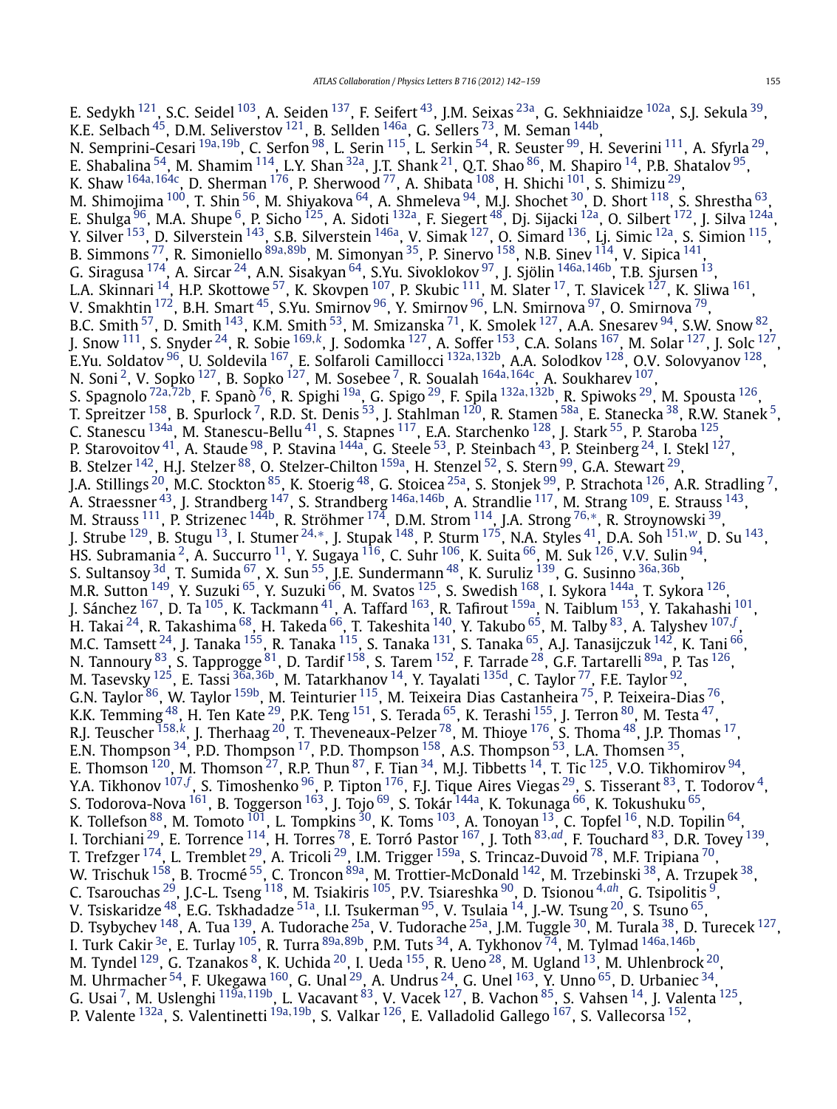E. Sedykh <sup>121</sup>, S.C. Seidel <sup>103</sup>, A. Seiden <sup>137</sup>, F. Seifert <sup>43</sup>, J.M. Seixas <sup>23a</sup>, G. Sekhniaidze <sup>102a</sup>, S.J. Sekula <sup>39</sup>, K.E. Selbach  $^{45}$ , D.M. Seliverstov  $^{121}$ , B. Sellden  $^{146a}$ , G. Sellers  $^{73}$ , M. Seman  $^{144b}$  $^{144b}$  $^{144b}$ , N. Semprini-Cesari [19a](#page-15-0)*,*[19b,](#page-15-0) C. Serfon [98,](#page-16-0) L. Serin [115,](#page-16-0) L. Serkin [54,](#page-15-0) R. Seuster [99,](#page-16-0) H. Severini [111](#page-16-0), A. Sfyrla [29,](#page-15-0) E. Shabalina  $^{54}$ , M. Shamim  $^{114}$ , L.Y. Shan  $^{32}$ , J.T. Shank  $^{21}$ , Q.T. Shao  $^{86}$ , M. Shapiro  $^{14}$ , P.B. Shatalov  $^{95}$ , K. Shaw [164a](#page-16-0)*,*[164c,](#page-16-0) D. Sherman [176,](#page-17-0) P. Sherwood [77,](#page-15-0) A. Shibata [108,](#page-16-0) H. Shichi [101,](#page-16-0) S. Shimizu [29](#page-15-0), M. Shimojima <sup>100</sup>, T. Shin <sup>56</sup>, M. Shiyakova <sup>64</sup>, A. Shmeleva <sup>94</sup>, M.J. Shochet <sup>30</sup>, D. Short <sup>118</sup>, S. Shrestha <sup>63</sup>, E. Shulga <sup>96</sup>, M.A. Shupe <sup>6</sup>, P. Sicho <sup>125</sup>, A. Sidoti <sup>132a</sup>, F. Siegert <sup>48</sup>, Dj. Sijacki <sup>[12a](#page-14-0)</sup>, O. Silbert <sup>172</sup>, J. Silva <sup>124a</sup>, Y. Silver <sup>153</sup>, D. Silverstein <sup>143</sup>, S.B. Silverstein <sup>146a</sup>, V. Simak <sup>127</sup>, O. Simard <sup>136</sup>, Lj. Simic <sup>12a</sup>, S. Simion <sup>115</sup>, B. Simmons [77,](#page-15-0) R. Simoniello [89a](#page-15-0)*,*[89b,](#page-15-0) M. Simonyan [35,](#page-15-0) P. Sinervo [158](#page-16-0), N.B. Sinev [114](#page-16-0), V. Sipica [141,](#page-16-0) G. Siragusa [174,](#page-17-0) A. Sircar [24,](#page-15-0) A.N. Sisakyan [64,](#page-15-0) S.Yu. Sivoklokov [97,](#page-16-0) J. Sjölin [146a](#page-16-0)*,*[146b,](#page-16-0) T.B. Sjursen [13,](#page-14-0) L.A. Skinnari <sup>14</sup>, H.P. Skottowe <sup>57</sup>, K. Skovpen <sup>107</sup>, P. Skubic <sup>111</sup>, M. Slater <sup>17</sup>, T. Slavicek <sup>127</sup>, K. Sliwa <sup>161</sup>, V. Smakhtin <sup>172</sup>, B.H. Smart <sup>[45](#page-15-0)</sup>, S.Yu. Smirnov <sup>96</sup>, Y. Smirnov <sup>96</sup>, L.N. Smirnova <sup>97</sup>, O. Smirnova <sup>79</sup>, B.C. Smith  $^{57}$ , D. Smith  $^{143}$ , K.M. Smith  $^{53}$ , M. Smizanska  $^{71}$ , K. Smolek  $^{127}$ , A.A. Snesarev  $^{94}$ , S.W. Snow  $^{82}$ , J. Snow [111,](#page-16-0) S. Snyder [24,](#page-15-0) R. Sobie [169](#page-17-0)*,[k](#page-17-0)*, J. Sodomka [127,](#page-16-0) A. Soffer [153,](#page-16-0) C.A. Solans [167](#page-17-0), M. Solar [127,](#page-16-0) J. Solc [127,](#page-16-0) E.Yu. Soldatov [96,](#page-16-0) U. Soldevila [167,](#page-17-0) E. Solfaroli Camillocci [132a](#page-16-0)*,*[132b,](#page-16-0) A.A. Solodkov [128,](#page-16-0) O.V. Solovyanov [128,](#page-16-0) N. Soni [2,](#page-14-0) V. Sopko [127,](#page-16-0) B. Sopko [127,](#page-16-0) M. Sosebee [7,](#page-14-0) R. Soualah [164a](#page-16-0)*,*[164c](#page-16-0), A. Soukharev [107,](#page-16-0) S. Spagnolo [72a](#page-15-0)*,*[72b,](#page-15-0) F. Spanò [76,](#page-15-0) R. Spighi [19a](#page-15-0), G. Spigo [29,](#page-15-0) F. Spila [132a](#page-16-0)*,*[132b,](#page-16-0) R. Spiwoks [29](#page-15-0), M. Spousta [126,](#page-16-0) T. Spreitzer  $^{158}$ , B. Spurlock  $^7$ , R.D. St. Denis  $^{53}$ , J. Stahlman  $^{120}$ , R. Stamen  $^{58a}$ , E. Stanecka  $^{38}$ , R.W. Stanek  $^5$ , C. Stanescu  $^{134}$ a, M. Stanescu-Bellu $^{41}$ , S. Stapnes  $^{117}$ , E.A. Starchenko  $^{128}$ , J. Stark  $^{55}$ , P. Staroba  $^{125}$ , P. Starovoitov <sup>41</sup>, A. Staude <sup>98</sup>, P. Stavina <sup>144a</sup>, G. Steele <sup>53</sup>, P. Steinbach <sup>43</sup>, P. Steinberg <sup>24</sup>, I. Stekl <sup>127</sup>, B. Stelzer  $^{142}$ , H.J. Stelzer  $^{88}$ , O. Stelzer-Chilton  $^{159a}$ , H. Stenzel  $^{52}$ , S. Stern  $^{99}$  $^{99}$  $^{99}$ , G.A. Stewart  $^{29}$ , J.A. Stillings <sup>20</sup>, M.C. Stockton <sup>85</sup>, K. Stoerig <sup>48</sup>, G. Stoicea <sup>25a</sup>, S. Stonjek <sup>99</sup>, P. Strachota <sup>126</sup>, A.R. Stradling <sup>7</sup>, A. Straessner [43,](#page-15-0) J. Strandberg [147,](#page-16-0) S. Strandberg [146a](#page-16-0)*,*[146b,](#page-16-0) A. Strandlie [117,](#page-16-0) M. Strang [109,](#page-16-0) E. Strauss [143,](#page-16-0) M. Strauss [111,](#page-16-0) P. Strizenec [144b,](#page-16-0) R. Ströhmer [174,](#page-17-0) D.M. Strom [114,](#page-16-0) J.A. Strong [76](#page-15-0)*,*[∗](#page-17-0), R. Stroynowski [39,](#page-15-0) J. Strube [129,](#page-16-0) B. Stugu [13,](#page-14-0) I. Stumer [24](#page-15-0)*,*[∗](#page-17-0), J. Stupak [148,](#page-16-0) P. Sturm [175,](#page-17-0) N.A. Styles [41,](#page-15-0) D.A. Soh [151](#page-16-0)*,[w](#page-17-0)*, D. Su [143,](#page-16-0) HS. Subramania  $^2$ , A. Succurro  $^{11}$ , Y. Sugaya  $^{116}$ , C. Suhr  $^{106}$ , K. Suita  $^{66}$  $^{66}$  $^{66}$ , M. Suk  $^{126}$ , V.V. Sulin  $^{94}$ , S. Sultansoy [3d,](#page-14-0) T. Sumida [67,](#page-15-0) X. Sun [55,](#page-15-0) J.E. Sundermann [48](#page-15-0), K. Suruliz [139](#page-16-0), G. Susinno [36a](#page-15-0)*,*[36b,](#page-15-0) M.R. Sutton <sup>149</sup>, Y. Suzuki <sup>65</sup>, Y. Suzuki <sup>66</sup>, M. Svatos <sup>125</sup>, S. Swedish <sup>168</sup>, I. Sykora <sup>144a</sup>, T. Sykora <sup>126</sup>, J. Sánchez <sup>167</sup>, D. Ta <sup>105</sup>, K. Tackmann <sup>41</sup>, A. Taffard <sup>163</sup>, R. Tafirout <sup>159a</sup>, N. Taiblum <sup>[153](#page-16-0)</sup>, Y. Takahashi <sup>[101](#page-16-0)</sup>, H. Takai [24,](#page-15-0) R. Takashima [68,](#page-15-0) H. Takeda [66,](#page-15-0) T. Takeshita [140,](#page-16-0) Y. Takubo [65,](#page-15-0) M. Talby [83,](#page-15-0) A. Talyshev [107](#page-16-0)*,[f](#page-17-0)* , M.C. Tamsett  $^{24}$ , J. Tanaka  $^{155}$ , R. Tanaka  $^{115}$ , S. Tanaka  $^{131}$ , S. Tanaka  $^{65}$ , A.J. Tanasijczuk  $^{142}$ , K. Tani  $^{66}$ , N. Tannoury  $^{83}$ , S. Tapprogge  $^{81}$ , D. Tardif  $^{158}$ , S. Tarem  $^{152}$ , F. Tarrade  $^{28}$ , G.F. Tartarelli  $^{89\mathrm{a}}$ , P. Tas  $^{126}$ , M. Tasevsky [125](#page-16-0), E. Tassi [36a](#page-15-0)*,*[36b,](#page-15-0) M. Tatarkhanov [14](#page-14-0), Y. Tayalati [135d,](#page-16-0) C. Taylor [77,](#page-15-0) F.E. Taylor [92,](#page-16-0) G.N. Taylor  $^{86}$  $^{86}$  $^{86}$ , W. Taylor  $^{159\mathrm{b}}$ , M. Teinturier  $^{115}$ , M. Teixeira Dias Castanheira  $^{75}$ , P. Teixeira-Dias  $^{76}$ , K.K. Temming  $^{48}$ , H. Ten Kate  $^{29}$ , P.K. Teng  $^{151}$ , S. Terada  $^{65}$ , K. Terashi  $^{155}$ , J. Terron  $^{80}$ , M. Testa  $^{47}$ , R.J. Teuscher [158](#page-16-0)*,[k](#page-17-0)*, J. Therhaag [20,](#page-15-0) T. Theveneaux-Pelzer [78,](#page-15-0) M. Thioye [176,](#page-17-0) S. Thoma [48,](#page-15-0) J.P. Thomas [17,](#page-15-0) E.N. Thompson  $^{34}$ , P.D. Thompson  $^{17}$  $^{17}$  $^{17}$ , P.D. Thompson  $^{158}$ , A.S. Thompson  $^{53}$ , L.A. Thomsen  $^{35}$ , E. Thomson <sup>120</sup>, M. Thomson <sup>27</sup>, R.P. Thun <sup>87</sup>, F. Tian <sup>34</sup>, M.J. Tibbetts <sup>14</sup>, T. Tic <sup>125</sup>, V.O. Tikhomirov <sup>94</sup>, Y.A. Tikhonov <sup>[107](#page-16-0), [f](#page-17-0)</sup>, S. Timoshenko <sup>96</sup>, P. Tipton <sup>176</sup>, F.J. Tique Aires Viegas <sup>29</sup>, S. Tisserant <sup>83</sup>, T. Todorov <sup>4</sup>, S. Todorova-Nova <sup>[161](#page-16-0)</sup>, B. Toggerson <sup>163</sup>, J. Tojo <sup>[69](#page-15-0)</sup>, S. Tokár <sup>144a</sup>, K. Tokunaga <sup>66</sup>, K. Tokushuku <sup>65</sup>, K. Tollefson  $^{88}$  $^{88}$  $^{88}$ , M. Tomoto  $^{101}$ , L. Tompkins  $^{30}$ , K. Toms  $^{103}$ , A. Tonoyan  $^{13}$ , C. Topfel  $^{16}$  $^{16}$  $^{16}$ , N.D. Topilin  $^{64}$ , I. Torchiani [29,](#page-15-0) E. Torrence [114,](#page-16-0) H. Torres [78,](#page-15-0) E. Torró Pastor [167,](#page-17-0) J. Toth [83](#page-15-0)*,[ad](#page-17-0)*, F. Touchard [83](#page-15-0), D.R. Tovey [139,](#page-16-0) T. Trefzger  $^{174}$ , L. Tremblet  $^{29}$ , A. Tricoli  $^{29}$ , I.M. Trigger  $^{159a}$ , S. Trincaz-Duvoid  $^{78}$ , M.F. Tripiana  $^{70}$ , W. Trischuk  $^{158}$  $^{158}$  $^{158}$ , B. Trocmé  $^{55}$  $^{55}$  $^{55}$ , C. Troncon  $^{89a}$ , M. Trottier-McDonald  $^{142}$ , M. Trzebinski  $^{38}$ , A. Trzupek  $^{38},$ C. Tsarouchas [29,](#page-15-0) J.C-L. Tseng [118,](#page-16-0) M. Tsiakiris [105](#page-16-0), P.V. Tsiareshka [90,](#page-15-0) D. Tsionou [4](#page-14-0)*,[ah](#page-17-0)*, G. Tsipolitis [9,](#page-14-0) V. Tsiskaridze  $^{48}$ , E.G. Tskhadadze  $^{51}$ a, I.I. Tsukerman  $^{95}$ , V. Tsulaia  $^{14}$ , J.-W. Tsung  $^{20}$ , S. Tsuno  $^{65}$ , D. Tsybychev <sup>148</sup>, A. Tua <sup>139</sup>, A. Tudorache <sup>25a</sup>, V. Tudorache <sup>25a</sup>, J.M. Tuggle <sup>[30](#page-15-0)</sup>, M. Turala <sup>38</sup>, D. Turecek <sup>127</sup>, I. Turk Cakir [3e,](#page-14-0) E. Turlay [105](#page-16-0), R. Turra [89a](#page-15-0)*,*[89b](#page-15-0), P.M. Tuts [34,](#page-15-0) A. Tykhonov [74,](#page-15-0) M. Tylmad [146a](#page-16-0)*,*[146b,](#page-16-0) M. Tyndel  $^{129}$ , G. Tzanakos  $^8$ , K. Uchida  $^{20}$ , I. Ueda  $^{155}$ , R. Ueno  $^{28}$  $^{28}$  $^{28}$ , M. Ugland  $^{13}$ , M. Uhlenbrock  $^{20}$ , M. Uhrmacher  $^{54}$ , F. Ukegawa  $^{160}$ , G. Unal  $^{29}$  $^{29}$  $^{29}$ , A. Undrus  $^{24}$  $^{24}$  $^{24}$ , G. Unel  $^{163}$ , Y. Unno  $^{65}$ , D. Urbaniec  $^{34}$ , G. Usai [7,](#page-14-0) M. Uslenghi [119a](#page-16-0)*,*[119b,](#page-16-0) L. Vacavant [83,](#page-15-0) V. Vacek [127,](#page-16-0) B. Vachon [85,](#page-15-0) S. Vahsen [14,](#page-14-0) J. Valenta [125,](#page-16-0) P. Valente [132a,](#page-16-0) S. Valentinetti [19a](#page-15-0)*,*[19b,](#page-15-0) S. Valkar [126,](#page-16-0) E. Valladolid Gallego [167,](#page-17-0) S. Vallecorsa [152,](#page-16-0)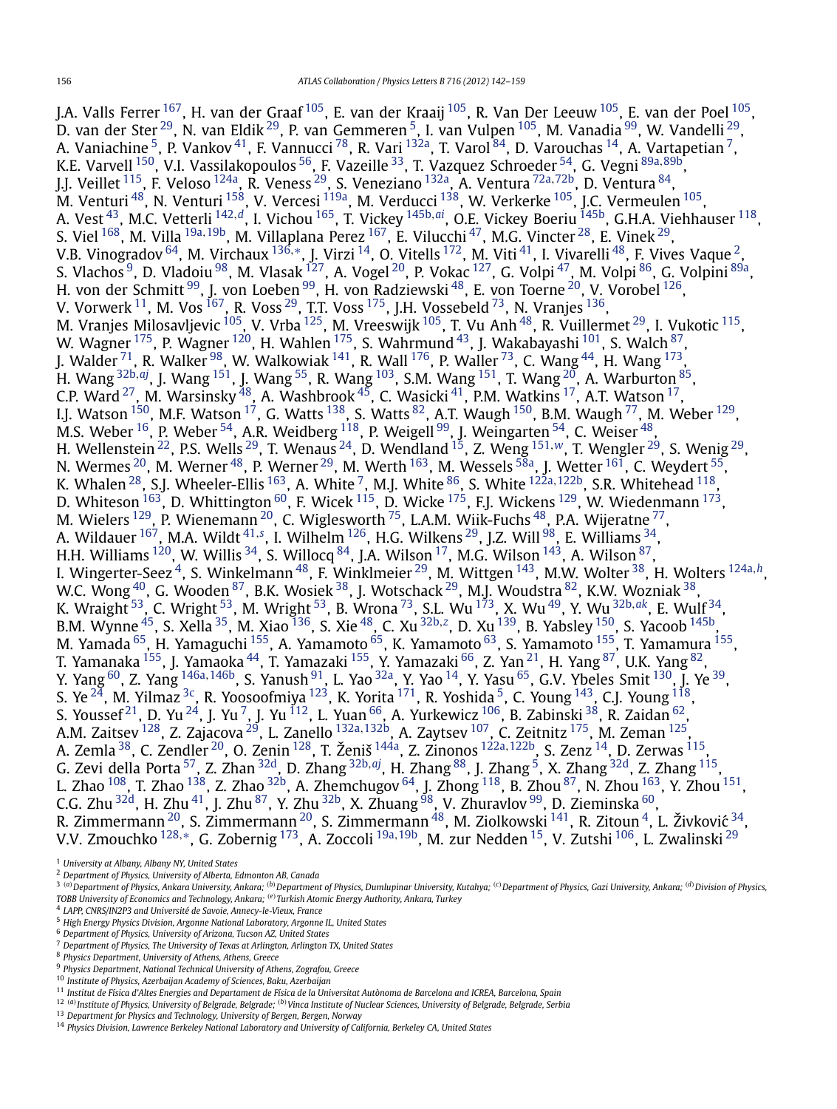<span id="page-14-0"></span>J.A. Valls Ferrer <sup>[167](#page-17-0)</sup>, H. van der Graaf <sup>105</sup>, E. van der Kraaij <sup>105</sup>, R. Van Der Leeuw <sup>105</sup>, E. van der Poel <sup>105</sup>, D. van der Ster $^{29}$ , N. van Eldik $^{29}$ , P. van Gemmeren $^5$ , I. van Vulpen $^{105}$ , M. Vanadia $^{99}$ , W. Vandelli $^{29}$ , A. Vaniachine <sup>5</sup>, P. Vankov <sup>41</sup>, F. Vannucci <sup>78</sup>, R. Vari <sup>132a</sup>, T. Varol <sup>84</sup>, D. Varouchas <sup>14</sup>, A. Vartapetian <sup>7</sup>, K.E. Varvell [150,](#page-16-0) V.I. Vassilakopoulos [56](#page-15-0), F. Vazeille [33,](#page-15-0) T. Vazquez Schroeder [54,](#page-15-0) G. Vegni [89a](#page-15-0)*,*[89b,](#page-15-0) J.J. Veillet [115,](#page-16-0) F. Veloso [124a,](#page-16-0) R. Veness [29,](#page-15-0) S. Veneziano [132a,](#page-16-0) A. Ventura [72a](#page-15-0)*,*[72b,](#page-15-0) D. Ventura [84](#page-15-0), M. Venturi $^{48}$ , N. Venturi $^{158}$ , V. Vercesi $^{119$ a, M. Verducci $^{138}$ , W. Verkerke $^{105}$ , J.C. Vermeulen $^{105}$ , A. Vest<sup>43</sup>, M.C. Vetterli<sup>[142](#page-16-0),*[d](#page-17-0)*'</sup>, I. Vichou <sup>165</sup>, T. Vickey <sup>[145b](#page-16-0),*[ai](#page-17-0)*</sup>, O.E. Vickey Boeriu <sup>145b</sup>, G.H.A. Viehhauser <sup>118</sup>, S. Viel [168,](#page-17-0) M. Villa [19a](#page-15-0)*,*[19b,](#page-15-0) M. Villaplana Perez [167](#page-17-0), E. Vilucchi [47,](#page-15-0) M.G. Vincter [28,](#page-15-0) E. Vinek [29,](#page-15-0) V.B. Vinogradov [64,](#page-15-0) M. Virchaux [136](#page-16-0)*,*[∗](#page-17-0), J. Virzi 14, O. Vitells [172](#page-17-0), M. Viti [41,](#page-15-0) I. Vivarelli [48,](#page-15-0) F. Vives Vaque 2, S. Vlachos <sup>9</sup>, D. Vladoiu <sup>98</sup>, M. Vlasak <sup>127</sup>, A. Vogel <sup>20</sup>, P. Vokac <sup>127</sup>, G. Volpi <sup>[47](#page-15-0)</sup>, M. Volpi <sup>86</sup>, G. Volpini <sup>[89a](#page-15-0)</sup>, H. von der Schmitt <sup>99</sup>, J. von Loeben <sup>99</sup>, H. von Radziewski <sup>48</sup>, E. von Toerne <sup>20</sup>, V. Vorobel <sup>126</sup>, V. Vorwerk  $^{11}$ , M. Vos  $^{167}$ , R. Voss  $^{29}$ , T.T. Voss  $^{175}$  $^{175}$  $^{175}$ , J.H. Vossebeld  $^{73}$ , N. Vranjes  $^{136}$ , M. Vranjes Milosavljevic <sup>105</sup>, V. Vrba <sup>125</sup>, M. Vreeswijk <sup>105</sup>, T. Vu Anh <sup>48</sup>, R. Vuillermet <sup>29</sup>, I. Vukotic <sup>115</sup>, W. Wagner <sup>[175](#page-17-0)</sup>, P. Wagner <sup>120</sup>, H. Wahlen <sup>175</sup>, S. Wahrmund <sup>43</sup>, J. Wakabayashi <sup>101</sup>, S. Walch <sup>87</sup>, J. Walder  $^{71}$ , R. Walker  $^{98}$  $^{98}$  $^{98}$ , W. Walkowiak  $^{141}$ , R. Wall  $^{176}$ , P. Waller  $^{73}$ , C. Wang  $^{44}$ , H. Wang  $^{173}$ , H. Wang [32b](#page-15-0)*,[aj](#page-17-0)*, J. Wang [151,](#page-16-0) J. Wang [55](#page-15-0), R. Wang [103,](#page-16-0) S.M. Wang [151,](#page-16-0) T. Wang [20,](#page-15-0) A. Warburton [85,](#page-15-0) C.P. Ward  $^{27}$  $^{27}$  $^{27}$ , M. Warsinsky  $^{48}$ , A. Washbrook  $^{45}$ , C. Wasicki  $^{41}$ , P.M. Watkins  $^{17}$ , A.T. Watson  $^{17}$ , I.J. Watson  $^{150}$ , M.F. Watson  $^{17}$ , G. Watts  $^{138}$ , S. Watts  $^{82}$  $^{82}$  $^{82}$ , A.T. Waugh  $^{150}$ , B.M. Waugh  $^{77}$ , M. Weber  $^{129}$ , M.S. Weber  $^{16}$ , P. Weber  $^{54}$ , A.R. Weidberg  $^{118}$ , P. Weigell  $^{99}$ , J. Weingarten  $^{54}$ , C. Weiser  $^{48}$  $^{48}$  $^{48}$ , H. Wellenstein [22,](#page-15-0) P.S. Wells [29](#page-15-0), T. Wenaus [24,](#page-15-0) D. Wendland 15, Z. Weng [151](#page-16-0)*,[w](#page-17-0)*, T. Wengler [29](#page-15-0), S. Wenig [29,](#page-15-0) N. Wermes  $^{20}$  $^{20}$  $^{20}$ , M. Werner  $^{48}$ , P. Werner  $^{29}$ , M. Werth  $^{163}$ , M. Wessels  $^{58\mathrm{a}}$ , J. Wetter  $^{161}$ , C. Weydert  $^{55}$ , K. Whalen [28,](#page-15-0) S.J. Wheeler-Ellis [163,](#page-16-0) A. White 7, M.J. White [86,](#page-15-0) S. White [122a](#page-16-0)*,*[122b,](#page-16-0) S.R. Whitehead [118,](#page-16-0) D. Whiteson  $^{163}$  $^{163}$  $^{163}$ , D. Whittington  $^{60}$ , F. Wicek  $^{115}$ , D. Wicke  $^{175}$ , F.J. Wickens  $^{129}$ , W. Wiedenmann  $^{173}$ , M. Wielers <sup>129</sup>, P. Wienemann <sup>20</sup>, C. Wiglesworth <sup>75</sup>, L.A.M. Wiik-Fuchs <sup>48</sup>, P.A. Wijeratne <sup>77</sup>, A. Wildauer <sup>167</sup>, M.A. Wildt <sup>[41](#page-15-0),[s](#page-17-0)</sup>, I. Wilhelm <sup>126</sup>, H.G. Wilkens <sup>29</sup>, J.Z. Will <sup>98</sup>, E. Williams <sup>34</sup>, H.H. Williams  $^{120}$ , W. Willis  $^{34}$ , S. Willocq  $^{84}$ , J.A. Wilson  $^{17}$ , M.G. Wilson  $^{143}$ , A. Wilson  $^{87},$ I. Wingerter-Seez 4, S. Winkelmann [48,](#page-15-0) F. Winklmeier [29,](#page-15-0) M. Wittgen [143,](#page-16-0) M.W. Wolter [38,](#page-15-0) H. Wolters [124a](#page-16-0)*,[h](#page-17-0)*, W.C. Wong  $^{40}$ , G. Wooden  $^{87}$ , B.K. Wosiek  $^{38}$  $^{38}$  $^{38}$ , J. Wotschack  $^{29}$ , M.J. Woudstra  $^{82}$ , K.W. Wozniak  $^{38}$ , K. Wraight [53,](#page-15-0) C. Wright [53,](#page-15-0) M. Wright [53,](#page-15-0) B. Wrona [73,](#page-15-0) S.L. Wu [173,](#page-17-0) X. Wu [49,](#page-15-0) Y. Wu [32b](#page-15-0)*,[ak](#page-17-0)*, E. Wulf [34,](#page-15-0) B.M. Wynne <sup>45</sup>, S. Xella <sup>35</sup>, M. Xiao <sup>136</sup>, S. Xie <sup>48</sup>, C. Xu <sup>[32b](#page-15-0),*[z](#page-17-0)*</sup>, D. Xu <sup>139</sup>, B. Yabsley <sup>150</sup>, S. Yacoob <sup>145b</sup>, M. Yamada <sup>65</sup>, H. Yamaguchi <sup>155</sup>, A. Yamamoto <sup>65</sup>, K. Yamamoto <sup>63</sup>, S. Yamamoto <sup>155</sup>, T. Yamamura <sup>155</sup>, T. Yamanaka <sup>155</sup>, J. Yamaoka <sup>44</sup>, T. Yamazaki <sup>155</sup>, Y. Yamazaki <sup>66</sup>, Z. Yan <sup>21</sup>, H. Yang <sup>87</sup>, U.K. Yang <sup>82</sup>, Y. Yang [60,](#page-15-0) Z. Yang [146a](#page-16-0)*,*[146b,](#page-16-0) S. Yanush [91,](#page-16-0) L. Yao [32a,](#page-15-0) Y. Yao 14, Y. Yasu [65,](#page-15-0) G.V. Ybeles Smit [130,](#page-16-0) J. Ye [39,](#page-15-0) S. Ye $^{24}$ , M. Yilmaz  $^{3\mathsf{c}}$ , R. Yoosoofmiya  $^{123}$ , K. Yorita  $^{171}$ , R. Yoshida  $^5$ , C. Young  $^{143}$  $^{143}$  $^{143}$ , C.J. Young  $^{118}$ , S. Youssef  $^{21}$ , D. Yu  $^{24}$ , J. Yu  $^{7}$ , J. Yu  $^{112}$ , L. Yuan  $^{66}$ , A. Yurkewicz  $^{106}$  $^{106}$  $^{106}$ , B. Zabinski  $^{38}$ , R. Zaidan  $^{62}$ , A.M. Zaitsev [128,](#page-16-0) Z. Zajacova [29,](#page-15-0) L. Zanello [132a](#page-16-0)*,*[132b](#page-16-0), A. Zaytsev [107](#page-16-0), C. Zeitnitz [175,](#page-17-0) M. Zeman [125,](#page-16-0) A. Zemla [38,](#page-15-0) C. Zendler [20,](#page-15-0) O. Zenin [128,](#page-16-0) T. Ženiš [144a](#page-16-0), Z. Zinonos [122a](#page-16-0)*,*[122b,](#page-16-0) S. Zenz 14, D. Zerwas [115](#page-16-0), G. Zevi della Porta [57,](#page-15-0) Z. Zhan [32d,](#page-15-0) D. Zhang [32b](#page-15-0)*,[aj](#page-17-0)*, H. Zhang [88,](#page-15-0) J. Zhang 5, X. Zhang [32d,](#page-15-0) Z. Zhang [115,](#page-16-0) L. Zhao  $^{108}$ , T. Zhao  $^{138}$ , Z. Zhao  $^{32b}$ , A. Zhemchugov  $^{64}$ , J. Zhong  $^{118}$ , B. Zhou  $^{87}$ , N. Zhou  $^{163}$ , Y. Zhou  $^{151}$ , C.G. Zhu  $^{32{\rm d}}$ , H. Zhu  $^{41}$ , J. Zhu  $^{87}$ , Y. Zhu  $^{32{\rm b}}$ , X. Zhuang  $^{98}$ , V. Zhuravlov  $^{99}$ , D. Zieminska  $^{60}$ , R. Zimmermann $^{20}$ , S. Zimmermann $^{20}$ , S. Zimmermann $^{48}$ , M. Ziolkowski  $^{141}$ , R. Zitoun $^4$ , L. Živković  $^{34}$ , V.V. Zmouchko [128](#page-16-0)*,*[∗](#page-17-0), G. Zobernig [173,](#page-17-0) A. Zoccoli [19a](#page-15-0)*,*[19b,](#page-15-0) M. zur Nedden 15, V. Zutshi [106,](#page-16-0) L. Zwalinski [29](#page-15-0)

<sup>1</sup> *University at Albany, Albany NY, United States*

<sup>2</sup> *Department of Physics, University of Alberta, Edmonton AB, Canada*

<sup>&</sup>lt;sup>3</sup><sup>(a)</sup> Department of Physics, Ankara University, Ankara; <sup>(b)</sup> Department of Physics, Dumlupinar University, Kutahya; <sup>(c)</sup> Department of Physics, Gazi University, Ankara; <sup>(d)</sup> Division of Physics, *TOBB University of Economics and Technology, Ankara; (e)Turkish Atomic Energy Authority, Ankara, Turkey*

<sup>4</sup> *LAPP, CNRS/IN2P3 and Université de Savoie, Annecy-le-Vieux, France*

<sup>5</sup> *High Energy Physics Division, Argonne National Laboratory, Argonne IL, United States*

<sup>6</sup> *Department of Physics, University of Arizona, Tucson AZ, United States*

<sup>7</sup> *Department of Physics, The University of Texas at Arlington, Arlington TX, United States*

<sup>8</sup> *Physics Department, University of Athens, Athens, Greece*

<sup>9</sup> *Physics Department, National Technical University of Athens, Zografou, Greece*

<sup>10</sup> *Institute of Physics, Azerbaijan Academy of Sciences, Baku, Azerbaijan*

<sup>11</sup> *Institut de Física d'Altes Energies and Departament de Física de la Universitat Autònoma de Barcelona and ICREA, Barcelona, Spain*

<sup>12</sup> *(a)Institute of Physics, University of Belgrade, Belgrade; (b)Vinca Institute of Nuclear Sciences, University of Belgrade, Belgrade, Serbia*

<sup>13</sup> *Department for Physics and Technology, University of Bergen, Bergen, Norway*

<sup>14</sup> *Physics Division, Lawrence Berkeley National Laboratory and University of California, Berkeley CA, United States*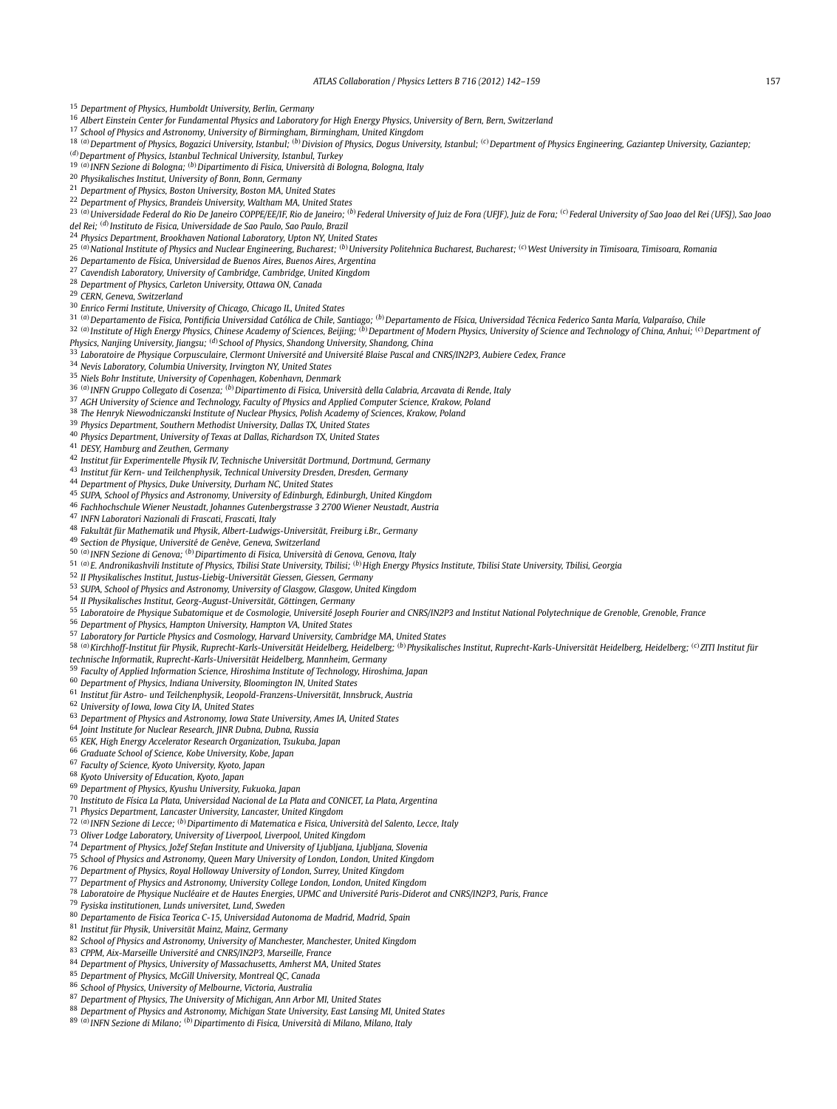<span id="page-15-0"></span>*Department of Physics, Humboldt University, Berlin, Germany*

*Albert Einstein Center for Fundamental Physics and Laboratory for High Energy Physics, University of Bern, Bern, Switzerland*

*School of Physics and Astronomy, University of Birmingham, Birmingham, United Kingdom*

<sup>18</sup> (a) Department of Physics, Bogazici University, Istanbul; (b) Division of Physics, Dogus University, Istanbul; (c) Department of Physics Engineering, Gaziantep University, Gaziantep;

*(d)Department of Physics, Istanbul Technical University, Istanbul, Turkey*

*(a)INFN Sezione di Bologna; (b)Dipartimento di Fisica, Università di Bologna, Bologna, Italy*

*Physikalisches Institut, University of Bonn, Bonn, Germany*

*Department of Physics, Boston University, Boston MA, United States*

*Department of Physics, Brandeis University, Waltham MA, United States*

<sup>23</sup> (a) Universidade Federal do Rio De Janeiro COPPE/EE/IF, Rio de Janeiro; <sup>(b)</sup> Federal University of Juiz de Fora (UFIF), Juiz de Fora; <sup>(c)</sup> Federal University of Sao Joao del Rei (UFSI), Sao Joao *del Rei; (d)Instituto de Fisica, Universidade de Sao Paulo, Sao Paulo, Brazil*

*Physics Department, Brookhaven National Laboratory, Upton NY, United States*

<sup>25</sup> (a) National Institute of Physics and Nuclear Engineering, Bucharest; <sup>(b)</sup> University Politehnica Bucharest, Bucharest; <sup>(c)</sup> West University in Timisoara, Timisoara, Romania

*Departamento de Física, Universidad de Buenos Aires, Buenos Aires, Argentina*

*Cavendish Laboratory, University of Cambridge, Cambridge, United Kingdom*

*Department of Physics, Carleton University, Ottawa ON, Canada*

*CERN, Geneva, Switzerland*

*Enrico Fermi Institute, University of Chicago, Chicago IL, United States*

*(a)Departamento de Fisica, Pontificia Universidad Católica de Chile, Santiago; (b)Departamento de Física, Universidad Técnica Federico Santa María, Valparaíso, Chile*

<sup>32</sup> (a) Institute of High Energy Physics, Chinese Academy of Sciences, Beijing; <sup>(b)</sup> Department of Modern Physics, University of Science and Technology of China, Anhui; <sup>(c)</sup> Department of *Physics, Nanjing University, Jiangsu; (d)School of Physics, Shandong University, Shandong, China*

*Laboratoire de Physique Corpusculaire, Clermont Université and Université Blaise Pascal and CNRS/IN2P3, Aubiere Cedex, France*

*Nevis Laboratory, Columbia University, Irvington NY, United States*

*Niels Bohr Institute, University of Copenhagen, Kobenhavn, Denmark*

*(a)INFN Gruppo Collegato di Cosenza; (b)Dipartimento di Fisica, Università della Calabria, Arcavata di Rende, Italy*

*AGH University of Science and Technology, Faculty of Physics and Applied Computer Science, Krakow, Poland*

*The Henryk Niewodniczanski Institute of Nuclear Physics, Polish Academy of Sciences, Krakow, Poland*

*Physics Department, Southern Methodist University, Dallas TX, United States*

*Physics Department, University of Texas at Dallas, Richardson TX, United States*

*DESY, Hamburg and Zeuthen, Germany*

*Institut für Experimentelle Physik IV, Technische Universität Dortmund, Dortmund, Germany*

*Institut für Kern- und Teilchenphysik, Technical University Dresden, Dresden, Germany*

*Department of Physics, Duke University, Durham NC, United States*

*SUPA, School of Physics and Astronomy, University of Edinburgh, Edinburgh, United Kingdom*

*Fachhochschule Wiener Neustadt, Johannes Gutenbergstrasse 3 2700 Wiener Neustadt, Austria*

*INFN Laboratori Nazionali di Frascati, Frascati, Italy*

*Fakultät für Mathematik und Physik, Albert-Ludwigs-Universität, Freiburg i.Br., Germany*

*Section de Physique, Université de Genève, Geneva, Switzerland*

*(a)INFN Sezione di Genova; (b)Dipartimento di Fisica, Università di Genova, Genova, Italy*

*(a)E. Andronikashvili Institute of Physics, Tbilisi State University, Tbilisi; (b)High Energy Physics Institute, Tbilisi State University, Tbilisi, Georgia*

*II Physikalisches Institut, Justus-Liebig-Universität Giessen, Giessen, Germany*

*SUPA, School of Physics and Astronomy, University of Glasgow, Glasgow, United Kingdom*

*II Physikalisches Institut, Georg-August-Universität, Göttingen, Germany*

*Laboratoire de Physique Subatomique et de Cosmologie, Université Joseph Fourier and CNRS/IN2P3 and Institut National Polytechnique de Grenoble, Grenoble, France*

*Department of Physics, Hampton University, Hampton VA, United States*

*Laboratory for Particle Physics and Cosmology, Harvard University, Cambridge MA, United States*

58 (a) Kirchhoff-Institut für Physik, Ruprecht-Karls-Universität Heidelberg, Heidelberg; <sup>(b)</sup> Physikalisches Institut, Ruprecht-Karls-Universität Heidelberg, Heidelberg; <sup>(c)</sup> ZITI Institut für

*technische Informatik, Ruprecht-Karls-Universität Heidelberg, Mannheim, Germany*

*Faculty of Applied Information Science, Hiroshima Institute of Technology, Hiroshima, Japan*

*Department of Physics, Indiana University, Bloomington IN, United States*

*Institut für Astro- und Teilchenphysik, Leopold-Franzens-Universität, Innsbruck, Austria*

*University of Iowa, Iowa City IA, United States*

*Department of Physics and Astronomy, Iowa State University, Ames IA, United States*

*Joint Institute for Nuclear Research, JINR Dubna, Dubna, Russia*

*KEK, High Energy Accelerator Research Organization, Tsukuba, Japan*

*Graduate School of Science, Kobe University, Kobe, Japan*

*Faculty of Science, Kyoto University, Kyoto, Japan*

*Kyoto University of Education, Kyoto, Japan*

*Department of Physics, Kyushu University, Fukuoka, Japan*

*Instituto de Física La Plata, Universidad Nacional de La Plata and CONICET, La Plata, Argentina*

*Physics Department, Lancaster University, Lancaster, United Kingdom*

*(a)INFN Sezione di Lecce; (b)Dipartimento di Matematica e Fisica, Università del Salento, Lecce, Italy*

*Oliver Lodge Laboratory, University of Liverpool, Liverpool, United Kingdom*

*Department of Physics, Jožef Stefan Institute and University of Ljubljana, Ljubljana, Slovenia*

*School of Physics and Astronomy, Queen Mary University of London, London, United Kingdom*

*Department of Physics, Royal Holloway University of London, Surrey, United Kingdom*

*Department of Physics and Astronomy, University College London, London, United Kingdom*

*Laboratoire de Physique Nucléaire et de Hautes Energies, UPMC and Université Paris-Diderot and CNRS/IN2P3, Paris, France*

*Fysiska institutionen, Lunds universitet, Lund, Sweden*

*Departamento de Fisica Teorica C-15, Universidad Autonoma de Madrid, Madrid, Spain*

*Institut für Physik, Universität Mainz, Mainz, Germany*

*School of Physics and Astronomy, University of Manchester, Manchester, United Kingdom*

*CPPM, Aix-Marseille Université and CNRS/IN2P3, Marseille, France*

*Department of Physics, University of Massachusetts, Amherst MA, United States*

*Department of Physics, McGill University, Montreal QC, Canada*

*School of Physics, University of Melbourne, Victoria, Australia*

*Department of Physics, The University of Michigan, Ann Arbor MI, United States*

*Department of Physics and Astronomy, Michigan State University, East Lansing MI, United States*

*(a)INFN Sezione di Milano; (b)Dipartimento di Fisica, Università di Milano, Milano, Italy*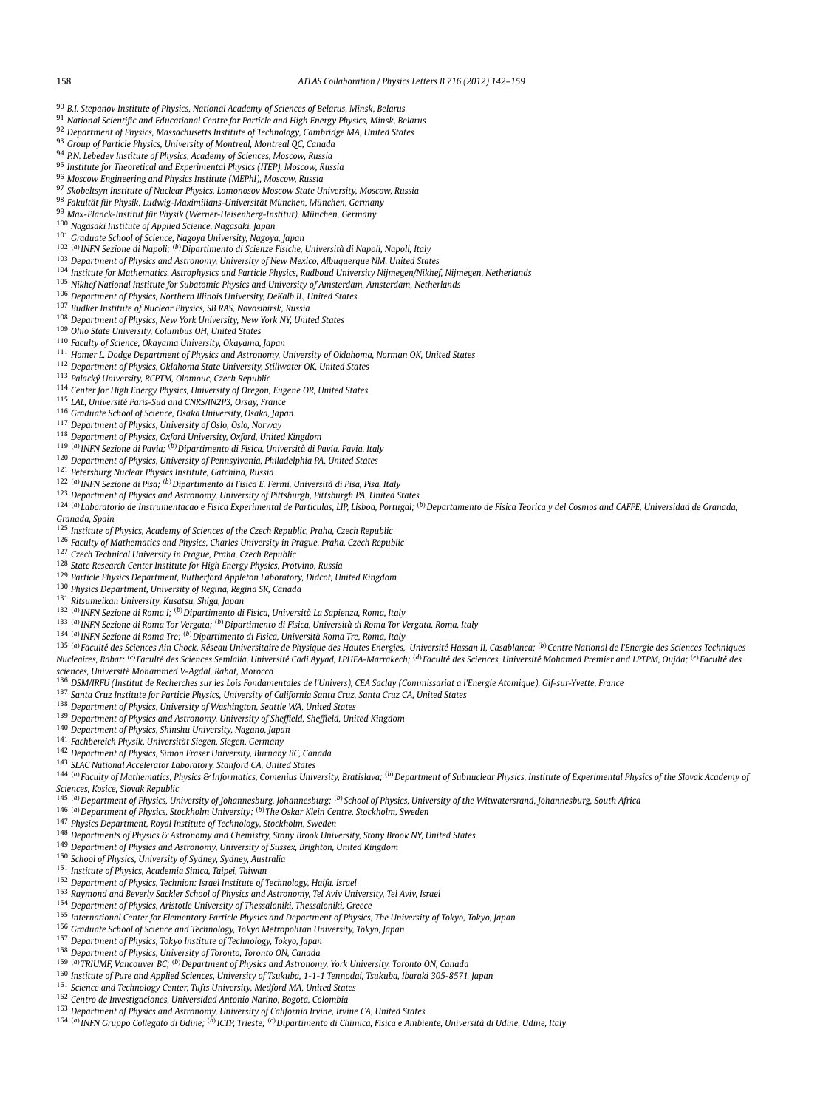- <span id="page-16-0"></span>*B.I. Stepanov Institute of Physics, National Academy of Sciences of Belarus, Minsk, Belarus*
- *National Scientific and Educational Centre for Particle and High Energy Physics, Minsk, Belarus*
- *Department of Physics, Massachusetts Institute of Technology, Cambridge MA, United States*
- *Group of Particle Physics, University of Montreal, Montreal QC, Canada*
- *P.N. Lebedev Institute of Physics, Academy of Sciences, Moscow, Russia*
- *Institute for Theoretical and Experimental Physics (ITEP), Moscow, Russia*
- *Moscow Engineering and Physics Institute (MEPhI), Moscow, Russia*
- *Skobeltsyn Institute of Nuclear Physics, Lomonosov Moscow State University, Moscow, Russia*
- *Fakultät für Physik, Ludwig-Maximilians-Universität München, München, Germany*
- *Max-Planck-Institut für Physik (Werner-Heisenberg-Institut), München, Germany*
- *Nagasaki Institute of Applied Science, Nagasaki, Japan*
- *Graduate School of Science, Nagoya University, Nagoya, Japan*
- *(a)INFN Sezione di Napoli; (b)Dipartimento di Scienze Fisiche, Università di Napoli, Napoli, Italy*
- *Department of Physics and Astronomy, University of New Mexico, Albuquerque NM, United States*
- *Institute for Mathematics, Astrophysics and Particle Physics, Radboud University Nijmegen/Nikhef, Nijmegen, Netherlands*
- *Nikhef National Institute for Subatomic Physics and University of Amsterdam, Amsterdam, Netherlands*
- *Department of Physics, Northern Illinois University, DeKalb IL, United States*
- *Budker Institute of Nuclear Physics, SB RAS, Novosibirsk, Russia*
- *Department of Physics, New York University, New York NY, United States*
- *Ohio State University, Columbus OH, United States*
- *Faculty of Science, Okayama University, Okayama, Japan*
- *Homer L. Dodge Department of Physics and Astronomy, University of Oklahoma, Norman OK, United States*
- *Department of Physics, Oklahoma State University, Stillwater OK, United States*
- *Palacký University, RCPTM, Olomouc, Czech Republic*
- *Center for High Energy Physics, University of Oregon, Eugene OR, United States*
- *LAL, Université Paris-Sud and CNRS/IN2P3, Orsay, France*
- *Graduate School of Science, Osaka University, Osaka, Japan*
- *Department of Physics, University of Oslo, Oslo, Norway*
- *Department of Physics, Oxford University, Oxford, United Kingdom*
- *(a)INFN Sezione di Pavia; (b)Dipartimento di Fisica, Università di Pavia, Pavia, Italy*
- *Department of Physics, University of Pennsylvania, Philadelphia PA, United States*
- *Petersburg Nuclear Physics Institute, Gatchina, Russia*
- *(a)INFN Sezione di Pisa; (b)Dipartimento di Fisica E. Fermi, Università di Pisa, Pisa, Italy*
- *Department of Physics and Astronomy, University of Pittsburgh, Pittsburgh PA, United States*
- 124 (a) Laboratorio de Instrumentacao e Física Experimental de Particulas, LIP, Lisboa, Portugal; (b) Departamento de Física Teorica y del Cosmos and CAFPE, Universidad de Granada, *Granada, Spain*
- *Institute of Physics, Academy of Sciences of the Czech Republic, Praha, Czech Republic*
- *Faculty of Mathematics and Physics, Charles University in Prague, Praha, Czech Republic*
- *Czech Technical University in Prague, Praha, Czech Republic*
- *State Research Center Institute for High Energy Physics, Protvino, Russia*
- *Particle Physics Department, Rutherford Appleton Laboratory, Didcot, United Kingdom*
- *Physics Department, University of Regina, Regina SK, Canada*
- *Ritsumeikan University, Kusatsu, Shiga, Japan*
- *(a)INFN Sezione di Roma I; (b)Dipartimento di Fisica, Università La Sapienza, Roma, Italy*
- *(a)INFN Sezione di Roma Tor Vergata; (b)Dipartimento di Fisica, Università di Roma Tor Vergata, Roma, Italy*
- *(a)INFN Sezione di Roma Tre; (b)Dipartimento di Fisica, Università Roma Tre, Roma, Italy*
- 135 (a) Faculté des Sciences Ain Chock, Réseau Universitaire de Physique des Hautes Energies, Université Hassan II, Casablanca; <sup>(b)</sup> Centre National de l'Energie des Sciences Techniques Nucleaires, Rabat; <sup>(c)</sup> Faculté des Sciences Semlalia, Université Cadi Ayyad, LPHEA-Marrakech; <sup>(d)</sup> Faculté des Sciences, Université Mohamed Premier and LPTPM, Oujda; <sup>(e)</sup> Faculté des
- *sciences, Université Mohammed V-Agdal, Rabat, Morocco*
- *DSM/IRFU (Institut de Recherches sur les Lois Fondamentales de l'Univers), CEA Saclay (Commissariat a l'Energie Atomique), Gif-sur-Yvette, France*
- *Santa Cruz Institute for Particle Physics, University of California Santa Cruz, Santa Cruz CA, United States*
- *Department of Physics, University of Washington, Seattle WA, United States*
- *Department of Physics and Astronomy, University of Sheffield, Sheffield, United Kingdom*
- *Department of Physics, Shinshu University, Nagano, Japan*
- *Fachbereich Physik, Universität Siegen, Siegen, Germany*
- *Department of Physics, Simon Fraser University, Burnaby BC, Canada*
- *SLAC National Accelerator Laboratory, Stanford CA, United States*
- 
- 144 (a) Faculty of Mathematics, Physics & Informatics, Comenius University, Bratislava; (b) Department of Subnuclear Physics, Institute of Experimental Physics of the Slovak Academy of *Sciences, Kosice, Slovak Republic*
- *(a)Department of Physics, University of Johannesburg, Johannesburg; (b)School of Physics, University of the Witwatersrand, Johannesburg, South Africa*
- *(a)Department of Physics, Stockholm University; (b)The Oskar Klein Centre, Stockholm, Sweden*
- *Physics Department, Royal Institute of Technology, Stockholm, Sweden*
- *Departments of Physics & Astronomy and Chemistry, Stony Brook University, Stony Brook NY, United States*
- *Department of Physics and Astronomy, University of Sussex, Brighton, United Kingdom*
- *School of Physics, University of Sydney, Sydney, Australia*
- *Institute of Physics, Academia Sinica, Taipei, Taiwan*
- *Department of Physics, Technion: Israel Institute of Technology, Haifa, Israel*
- *Raymond and Beverly Sackler School of Physics and Astronomy, Tel Aviv University, Tel Aviv, Israel*
- *Department of Physics, Aristotle University of Thessaloniki, Thessaloniki, Greece*
- *International Center for Elementary Particle Physics and Department of Physics, The University of Tokyo, Tokyo, Japan*
- *Graduate School of Science and Technology, Tokyo Metropolitan University, Tokyo, Japan*
- *Department of Physics, Tokyo Institute of Technology, Tokyo, Japan*
- *Department of Physics, University of Toronto, Toronto ON, Canada*
- *(a)TRIUMF, Vancouver BC; (b)Department of Physics and Astronomy, York University, Toronto ON, Canada*
- *Institute of Pure and Applied Sciences, University of Tsukuba, 1-1-1 Tennodai, Tsukuba, Ibaraki 305-8571, Japan*
- *Science and Technology Center, Tufts University, Medford MA, United States*
- *Centro de Investigaciones, Universidad Antonio Narino, Bogota, Colombia*
- *Department of Physics and Astronomy, University of California Irvine, Irvine CA, United States*
- *(a)INFN Gruppo Collegato di Udine; (b)ICTP, Trieste; (c)Dipartimento di Chimica, Fisica e Ambiente, Università di Udine, Udine, Italy*